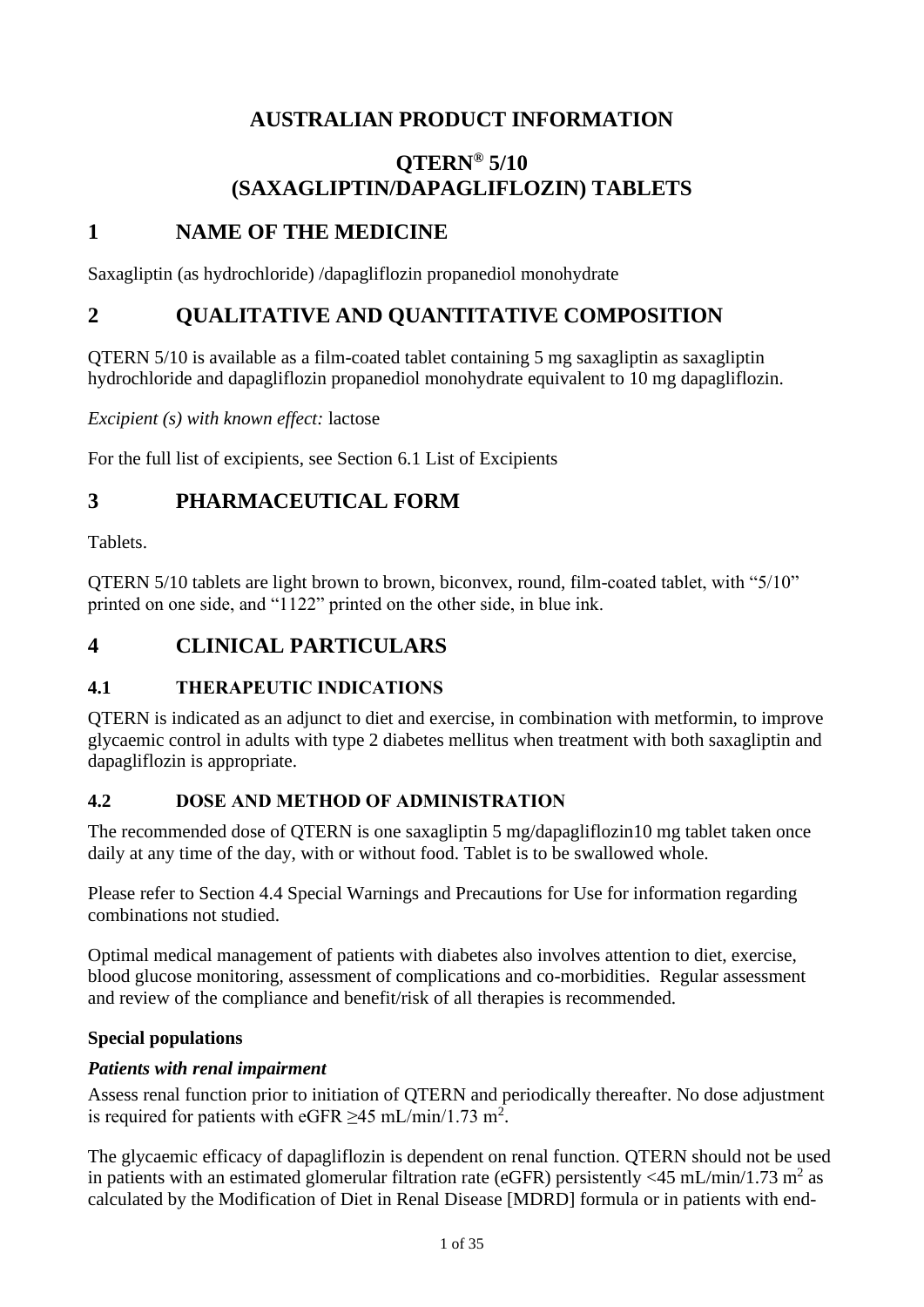# **AUSTRALIAN PRODUCT INFORMATION**

# **QTERN® 5/10 (SAXAGLIPTIN/DAPAGLIFLOZIN) TABLETS**

# **1 NAME OF THE MEDICINE**

Saxagliptin (as hydrochloride) /dapagliflozin propanediol monohydrate

# **2 QUALITATIVE AND QUANTITATIVE COMPOSITION**

QTERN 5/10 is available as a film-coated tablet containing 5 mg saxagliptin as saxagliptin hydrochloride and dapagliflozin propanediol monohydrate equivalent to 10 mg dapagliflozin.

*Excipient (s) with known effect:* lactose

For the full list of excipients, see Section 6.1 List of Excipients

# **3 PHARMACEUTICAL FORM**

Tablets.

QTERN 5/10 tablets are light brown to brown, biconvex, round, film-coated tablet, with "5/10" printed on one side, and "1122" printed on the other side, in blue ink.

# **4 CLINICAL PARTICULARS**

#### **4.1 THERAPEUTIC INDICATIONS**

QTERN is indicated as an adjunct to diet and exercise, in combination with metformin, to improve glycaemic control in adults with type 2 diabetes mellitus when treatment with both saxagliptin and dapagliflozin is appropriate.

#### **4.2 DOSE AND METHOD OF ADMINISTRATION**

The recommended dose of QTERN is one saxagliptin 5 mg/dapagliflozin10 mg tablet taken once daily at any time of the day, with or without food. Tablet is to be swallowed whole.

Please refer to Section 4.4 Special Warnings and Precautions for Use for information regarding combinations not studied.

Optimal medical management of patients with diabetes also involves attention to diet, exercise, blood glucose monitoring, assessment of complications and co-morbidities. Regular assessment and review of the compliance and benefit/risk of all therapies is recommended.

#### **Special populations**

#### *Patients with renal impairment*

Assess renal function prior to initiation of QTERN and periodically thereafter. No dose adjustment is required for patients with eGFR  $\geq$ 45 mL/min/1.73 m<sup>2</sup>.

The glycaemic efficacy of dapagliflozin is dependent on renal function. QTERN should not be used in patients with an estimated glomerular filtration rate (eGFR) persistently <45 mL/min/1.73 m<sup>2</sup> as calculated by the Modification of Diet in Renal Disease [MDRD] formula or in patients with end-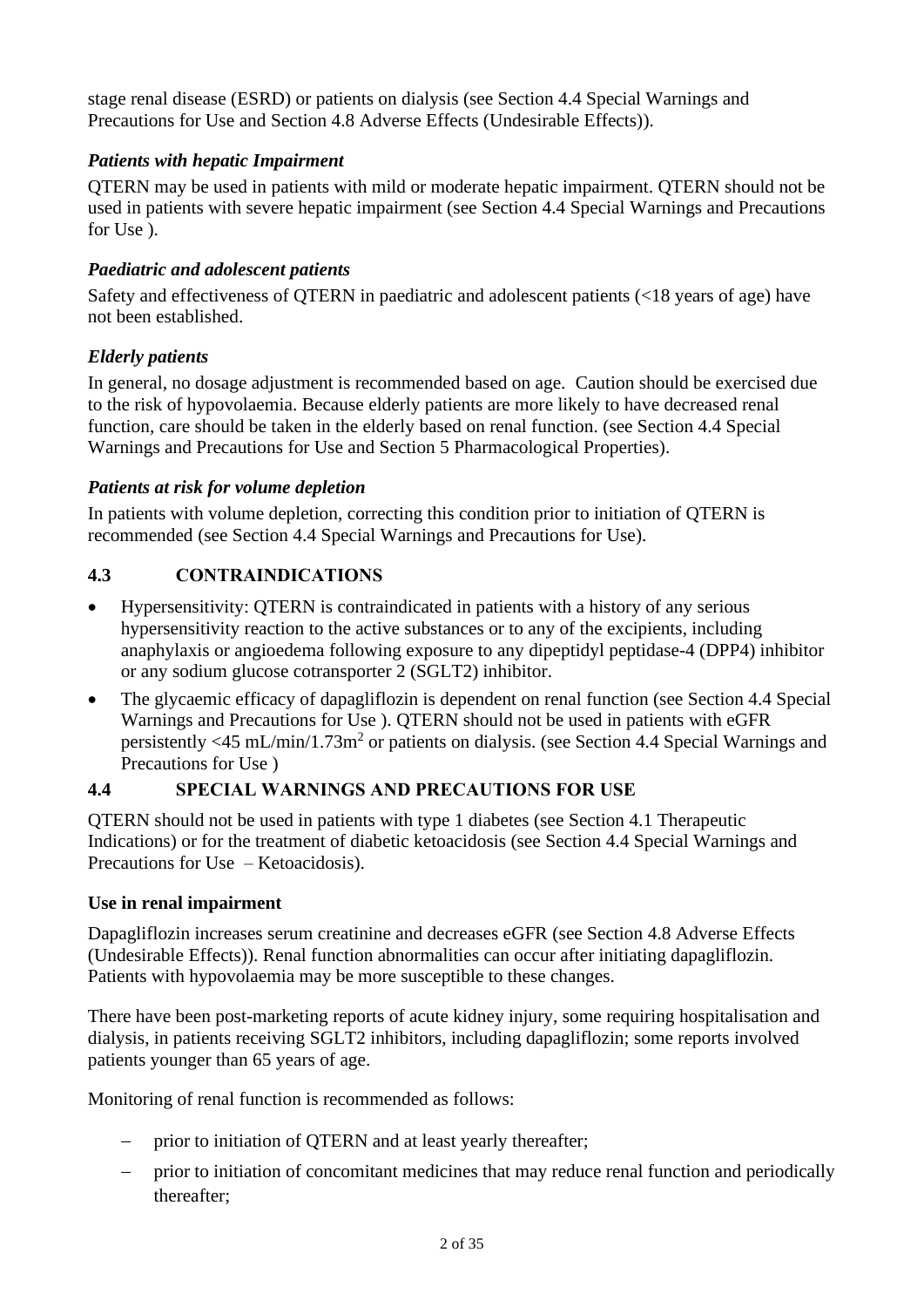stage renal disease (ESRD) or patients on dialysis (see Section 4.4 Special Warnings and Precautions for Use and Section 4.8 Adverse Effects (Undesirable Effects)).

# *Patients with hepatic Impairment*

QTERN may be used in patients with mild or moderate hepatic impairment. QTERN should not be used in patients with severe hepatic impairment (see Section 4.4 Special Warnings and Precautions for Use ).

## *Paediatric and adolescent patients*

Safety and effectiveness of QTERN in paediatric and adolescent patients (<18 years of age) have not been established.

## *Elderly patients*

In general, no dosage adjustment is recommended based on age. Caution should be exercised due to the risk of hypovolaemia. Because elderly patients are more likely to have decreased renal function, care should be taken in the elderly based on renal function. (see Section 4.4 Special Warnings and Precautions for Use and Section 5 Pharmacological Properties).

## *Patients at risk for volume depletion*

In patients with volume depletion, correcting this condition prior to initiation of QTERN is recommended (see Section 4.4 Special Warnings and Precautions for Use).

## **4.3 CONTRAINDICATIONS**

- Hypersensitivity: QTERN is contraindicated in patients with a history of any serious hypersensitivity reaction to the active substances or to any of the excipients, including anaphylaxis or angioedema following exposure to any dipeptidyl peptidase-4 (DPP4) inhibitor or any sodium glucose cotransporter 2 (SGLT2) inhibitor.
- The glycaemic efficacy of dapagliflozin is dependent on renal function (see Section 4.4 Special Warnings and Precautions for Use ). QTERN should not be used in patients with eGFR persistently <45 mL/min/1.73m<sup>2</sup> or patients on dialysis. (see Section 4.4 Special Warnings and Precautions for Use )

## **4.4 SPECIAL WARNINGS AND PRECAUTIONS FOR USE**

QTERN should not be used in patients with type 1 diabetes (see Section 4.1 Therapeutic Indications) or for the treatment of diabetic ketoacidosis (see Section 4.4 Special Warnings and Precautions for Use – Ketoacidosis).

#### **Use in renal impairment**

Dapagliflozin increases serum creatinine and decreases eGFR (see Section 4.8 Adverse Effects (Undesirable Effects)). Renal function abnormalities can occur after initiating dapagliflozin. Patients with hypovolaemia may be more susceptible to these changes.

There have been post-marketing reports of acute kidney injury, some requiring hospitalisation and dialysis, in patients receiving SGLT2 inhibitors, including dapagliflozin; some reports involved patients younger than 65 years of age.

Monitoring of renal function is recommended as follows:

- prior to initiation of QTERN and at least yearly thereafter;
- − prior to initiation of concomitant medicines that may reduce renal function and periodically thereafter;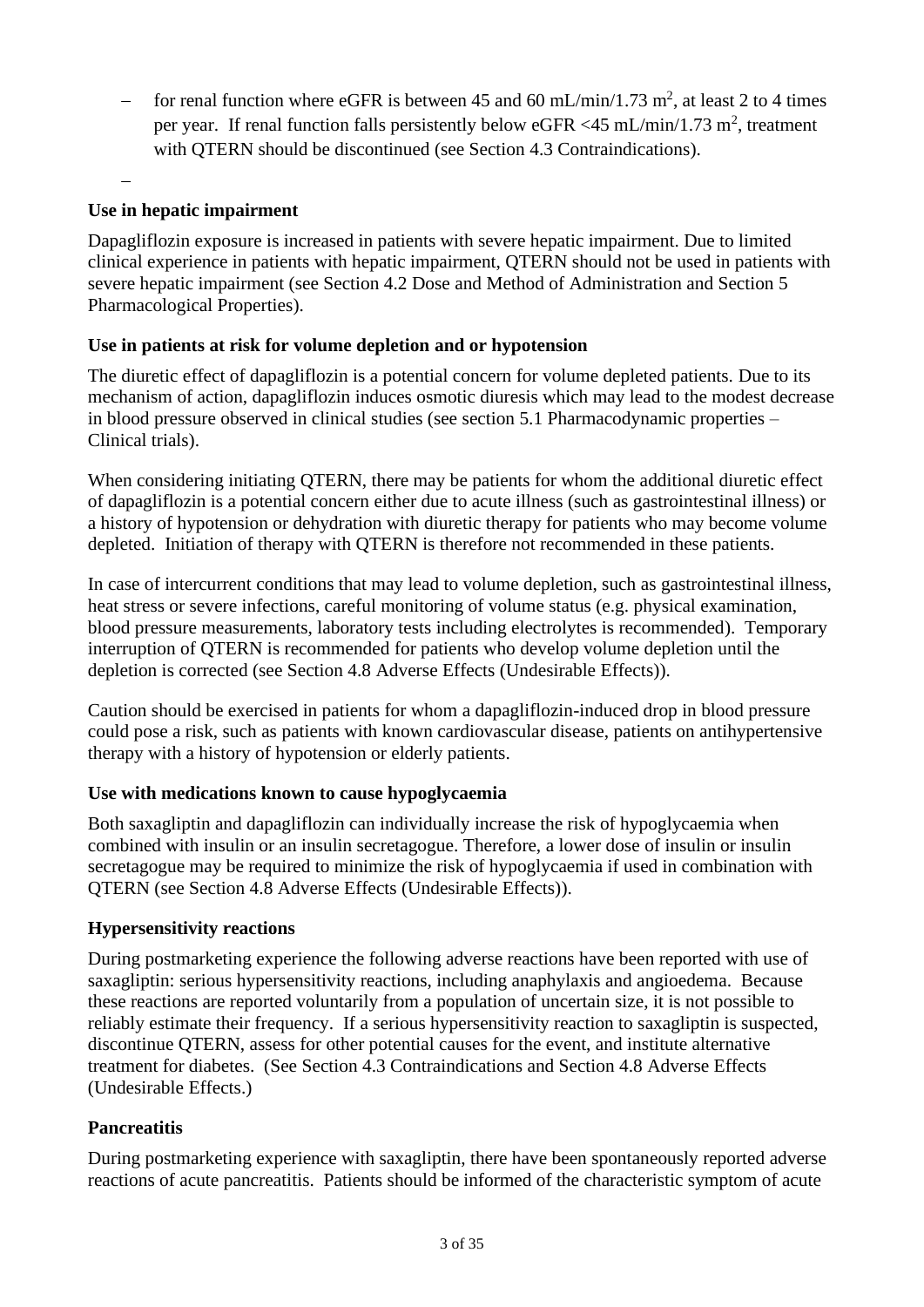− for renal function where eGFR is between 45 and 60 mL/min/1.73 m<sup>2</sup>, at least 2 to 4 times per year. If renal function falls persistently below eGFR <45 mL/min/1.73 m<sup>2</sup>, treatment with OTERN should be discontinued (see Section 4.3 Contraindications).

### **Use in hepatic impairment**

−

Dapagliflozin exposure is increased in patients with severe hepatic impairment. Due to limited clinical experience in patients with hepatic impairment, QTERN should not be used in patients with severe hepatic impairment (see Section 4.2 Dose and Method of Administration and Section 5 Pharmacological Properties).

## **Use in patients at risk for volume depletion and or hypotension**

The diuretic effect of dapagliflozin is a potential concern for volume depleted patients. Due to its mechanism of action, dapagliflozin induces osmotic diuresis which may lead to the modest decrease in blood pressure observed in clinical studies (see section 5.1 Pharmacodynamic properties – Clinical trials).

When considering initiating QTERN, there may be patients for whom the additional diuretic effect of dapagliflozin is a potential concern either due to acute illness (such as gastrointestinal illness) or a history of hypotension or dehydration with diuretic therapy for patients who may become volume depleted. Initiation of therapy with QTERN is therefore not recommended in these patients.

In case of intercurrent conditions that may lead to volume depletion, such as gastrointestinal illness, heat stress or severe infections, careful monitoring of volume status (e.g. physical examination, blood pressure measurements, laboratory tests including electrolytes is recommended). Temporary interruption of QTERN is recommended for patients who develop volume depletion until the depletion is corrected (see Section 4.8 Adverse Effects (Undesirable Effects)).

Caution should be exercised in patients for whom a dapagliflozin-induced drop in blood pressure could pose a risk, such as patients with known cardiovascular disease, patients on antihypertensive therapy with a history of hypotension or elderly patients.

#### **Use with medications known to cause hypoglycaemia**

Both saxagliptin and dapagliflozin can individually increase the risk of hypoglycaemia when combined with insulin or an insulin secretagogue. Therefore, a lower dose of insulin or insulin secretagogue may be required to minimize the risk of hypoglycaemia if used in combination with QTERN (see Section 4.8 Adverse Effects (Undesirable Effects)).

#### **Hypersensitivity reactions**

During postmarketing experience the following adverse reactions have been reported with use of saxagliptin: serious hypersensitivity reactions, including anaphylaxis and angioedema. Because these reactions are reported voluntarily from a population of uncertain size, it is not possible to reliably estimate their frequency. If a serious hypersensitivity reaction to saxagliptin is suspected, discontinue QTERN, assess for other potential causes for the event, and institute alternative treatment for diabetes. (See Section 4.3 Contraindications and Section 4.8 Adverse Effects (Undesirable Effects.)

#### **Pancreatitis**

During postmarketing experience with saxagliptin, there have been spontaneously reported adverse reactions of acute pancreatitis. Patients should be informed of the characteristic symptom of acute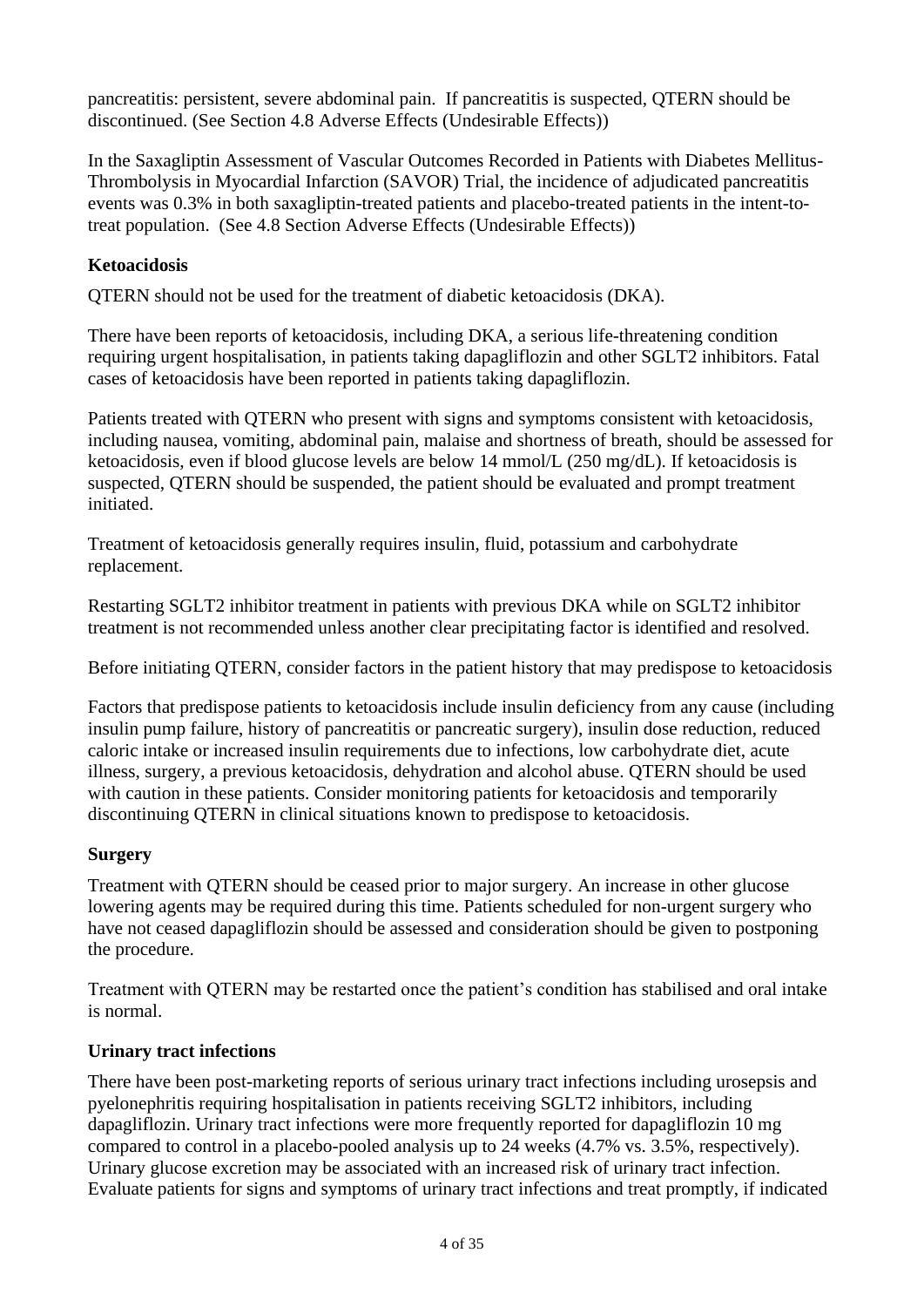pancreatitis: persistent, severe abdominal pain. If pancreatitis is suspected, QTERN should be discontinued. (See Section 4.8 Adverse Effects (Undesirable Effects))

In the Saxagliptin Assessment of Vascular Outcomes Recorded in Patients with Diabetes Mellitus-Thrombolysis in Myocardial Infarction (SAVOR) Trial, the incidence of adjudicated pancreatitis events was 0.3% in both saxagliptin-treated patients and placebo-treated patients in the intent-totreat population. (See 4.8 Section Adverse Effects (Undesirable Effects))

## **Ketoacidosis**

QTERN should not be used for the treatment of diabetic ketoacidosis (DKA).

There have been reports of ketoacidosis, including DKA, a serious life-threatening condition requiring urgent hospitalisation, in patients taking dapagliflozin and other SGLT2 inhibitors. Fatal cases of ketoacidosis have been reported in patients taking dapagliflozin.

Patients treated with QTERN who present with signs and symptoms consistent with ketoacidosis, including nausea, vomiting, abdominal pain, malaise and shortness of breath, should be assessed for ketoacidosis, even if blood glucose levels are below 14 mmol/L (250 mg/dL). If ketoacidosis is suspected, QTERN should be suspended, the patient should be evaluated and prompt treatment initiated.

Treatment of ketoacidosis generally requires insulin, fluid, potassium and carbohydrate replacement.

Restarting SGLT2 inhibitor treatment in patients with previous DKA while on SGLT2 inhibitor treatment is not recommended unless another clear precipitating factor is identified and resolved.

Before initiating QTERN, consider factors in the patient history that may predispose to ketoacidosis

Factors that predispose patients to ketoacidosis include insulin deficiency from any cause (including insulin pump failure, history of pancreatitis or pancreatic surgery), insulin dose reduction, reduced caloric intake or increased insulin requirements due to infections, low carbohydrate diet, acute illness, surgery, a previous ketoacidosis, dehydration and alcohol abuse. QTERN should be used with caution in these patients. Consider monitoring patients for ketoacidosis and temporarily discontinuing QTERN in clinical situations known to predispose to ketoacidosis.

#### **Surgery**

Treatment with QTERN should be ceased prior to major surgery. An increase in other glucose lowering agents may be required during this time. Patients scheduled for non-urgent surgery who have not ceased dapagliflozin should be assessed and consideration should be given to postponing the procedure.

Treatment with QTERN may be restarted once the patient's condition has stabilised and oral intake is normal.

#### **Urinary tract infections**

There have been post-marketing reports of serious urinary tract infections including urosepsis and pyelonephritis requiring hospitalisation in patients receiving SGLT2 inhibitors, including dapagliflozin. Urinary tract infections were more frequently reported for dapagliflozin 10 mg compared to control in a placebo-pooled analysis up to 24 weeks (4.7% vs. 3.5%, respectively). Urinary glucose excretion may be associated with an increased risk of urinary tract infection. Evaluate patients for signs and symptoms of urinary tract infections and treat promptly, if indicated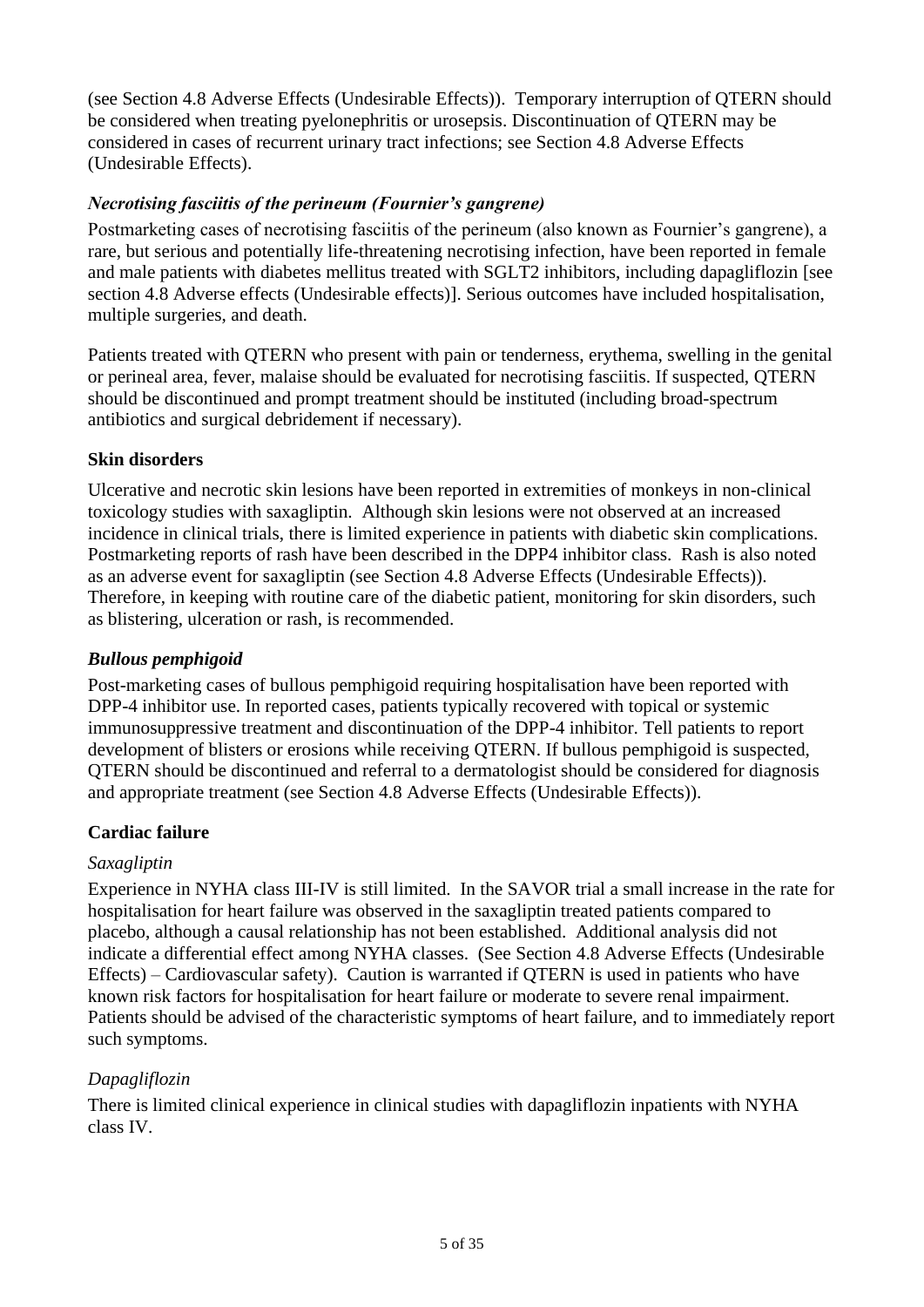(see Section 4.8 Adverse Effects (Undesirable Effects)). Temporary interruption of QTERN should be considered when treating pyelonephritis or urosepsis. Discontinuation of QTERN may be considered in cases of recurrent urinary tract infections; see Section 4.8 Adverse Effects (Undesirable Effects).

## *Necrotising fasciitis of the perineum (Fournier's gangrene)*

Postmarketing cases of necrotising fasciitis of the perineum (also known as Fournier's gangrene), a rare, but serious and potentially life-threatening necrotising infection, have been reported in female and male patients with diabetes mellitus treated with SGLT2 inhibitors, including dapagliflozin [see section 4.8 Adverse effects (Undesirable effects)]. Serious outcomes have included hospitalisation, multiple surgeries, and death.

Patients treated with QTERN who present with pain or tenderness, erythema, swelling in the genital or perineal area, fever, malaise should be evaluated for necrotising fasciitis. If suspected, QTERN should be discontinued and prompt treatment should be instituted (including broad-spectrum antibiotics and surgical debridement if necessary).

## **Skin disorders**

Ulcerative and necrotic skin lesions have been reported in extremities of monkeys in non-clinical toxicology studies with saxagliptin. Although skin lesions were not observed at an increased incidence in clinical trials, there is limited experience in patients with diabetic skin complications. Postmarketing reports of rash have been described in the DPP4 inhibitor class. Rash is also noted as an adverse event for saxagliptin (see Section 4.8 Adverse Effects (Undesirable Effects)). Therefore, in keeping with routine care of the diabetic patient, monitoring for skin disorders, such as blistering, ulceration or rash, is recommended.

#### *Bullous pemphigoid*

Post-marketing cases of bullous pemphigoid requiring hospitalisation have been reported with DPP-4 inhibitor use. In reported cases, patients typically recovered with topical or systemic immunosuppressive treatment and discontinuation of the DPP-4 inhibitor. Tell patients to report development of blisters or erosions while receiving QTERN. If bullous pemphigoid is suspected, QTERN should be discontinued and referral to a dermatologist should be considered for diagnosis and appropriate treatment (see Section 4.8 Adverse Effects (Undesirable Effects)).

#### **Cardiac failure**

#### *Saxagliptin*

Experience in NYHA class III-IV is still limited. In the SAVOR trial a small increase in the rate for hospitalisation for heart failure was observed in the saxagliptin treated patients compared to placebo, although a causal relationship has not been established. Additional analysis did not indicate a differential effect among NYHA classes. (See Section 4.8 Adverse Effects (Undesirable Effects) – Cardiovascular safety). Caution is warranted if QTERN is used in patients who have known risk factors for hospitalisation for heart failure or moderate to severe renal impairment. Patients should be advised of the characteristic symptoms of heart failure, and to immediately report such symptoms.

#### *Dapagliflozin*

There is limited clinical experience in clinical studies with dapagliflozin inpatients with NYHA class IV.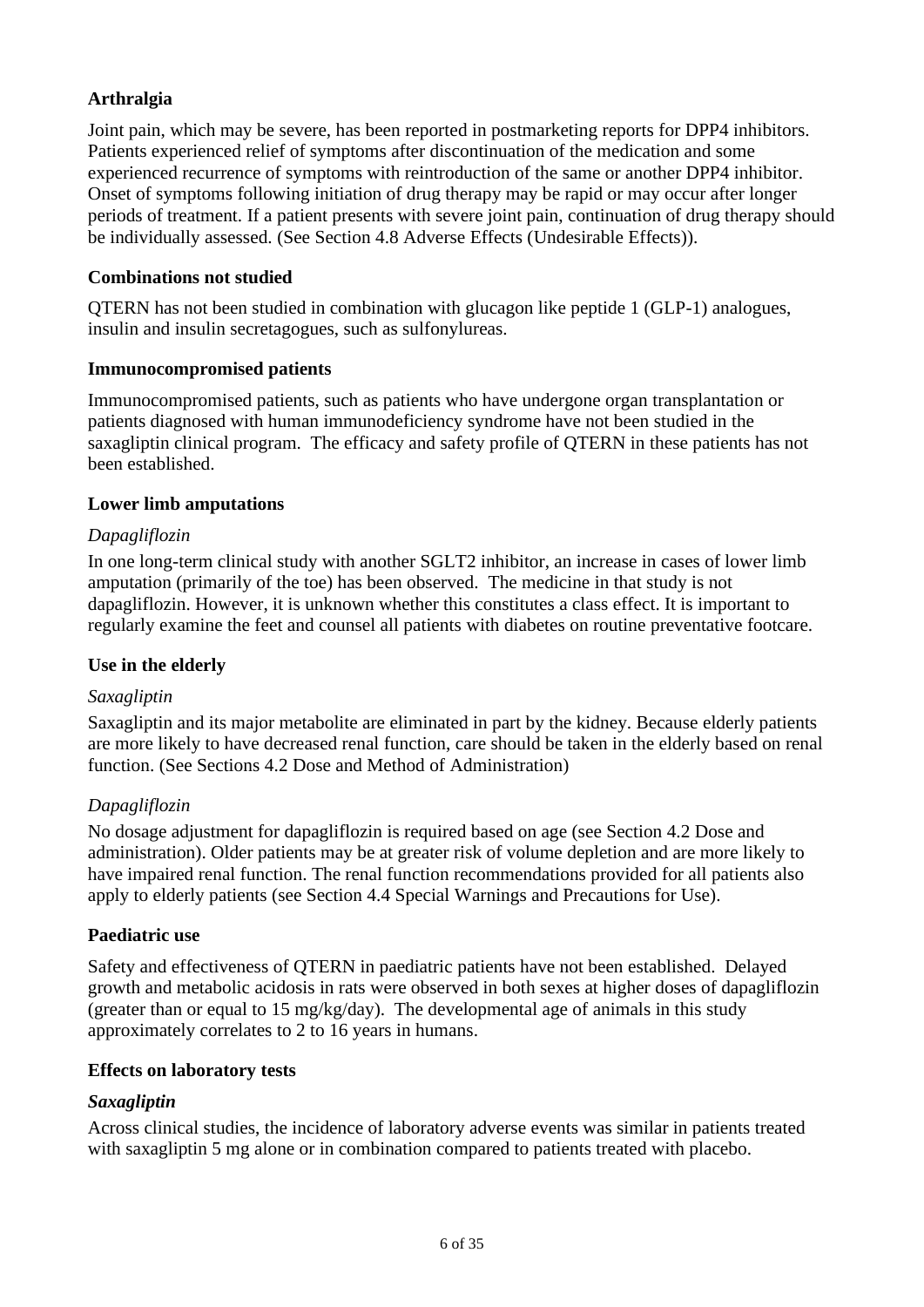## **Arthralgia**

Joint pain, which may be severe, has been reported in postmarketing reports for DPP4 inhibitors. Patients experienced relief of symptoms after discontinuation of the medication and some experienced recurrence of symptoms with reintroduction of the same or another DPP4 inhibitor. Onset of symptoms following initiation of drug therapy may be rapid or may occur after longer periods of treatment. If a patient presents with severe joint pain, continuation of drug therapy should be individually assessed. (See Section 4.8 Adverse Effects (Undesirable Effects)).

#### **Combinations not studied**

QTERN has not been studied in combination with glucagon like peptide 1 (GLP-1) analogues, insulin and insulin secretagogues, such as sulfonylureas.

#### **Immunocompromised patients**

Immunocompromised patients, such as patients who have undergone organ transplantation or patients diagnosed with human immunodeficiency syndrome have not been studied in the saxagliptin clinical program. The efficacy and safety profile of QTERN in these patients has not been established.

#### **Lower limb amputations**

#### *Dapagliflozin*

In one long-term clinical study with another SGLT2 inhibitor, an increase in cases of lower limb amputation (primarily of the toe) has been observed. The medicine in that study is not dapagliflozin. However, it is unknown whether this constitutes a class effect. It is important to regularly examine the feet and counsel all patients with diabetes on routine preventative footcare.

#### **Use in the elderly**

#### *Saxagliptin*

Saxagliptin and its major metabolite are eliminated in part by the kidney. Because elderly patients are more likely to have decreased renal function, care should be taken in the elderly based on renal function. (See Sections 4.2 Dose and Method of Administration)

#### *Dapagliflozin*

No dosage adjustment for dapagliflozin is required based on age (see Section 4.2 Dose and administration). Older patients may be at greater risk of volume depletion and are more likely to have impaired renal function. The renal function recommendations provided for all patients also apply to elderly patients (see Section 4.4 Special Warnings and Precautions for Use).

#### **Paediatric use**

Safety and effectiveness of QTERN in paediatric patients have not been established. Delayed growth and metabolic acidosis in rats were observed in both sexes at higher doses of dapagliflozin (greater than or equal to 15 mg/kg/day). The developmental age of animals in this study approximately correlates to 2 to 16 years in humans.

#### **Effects on laboratory tests**

#### *Saxagliptin*

Across clinical studies, the incidence of laboratory adverse events was similar in patients treated with saxagliptin 5 mg alone or in combination compared to patients treated with placebo.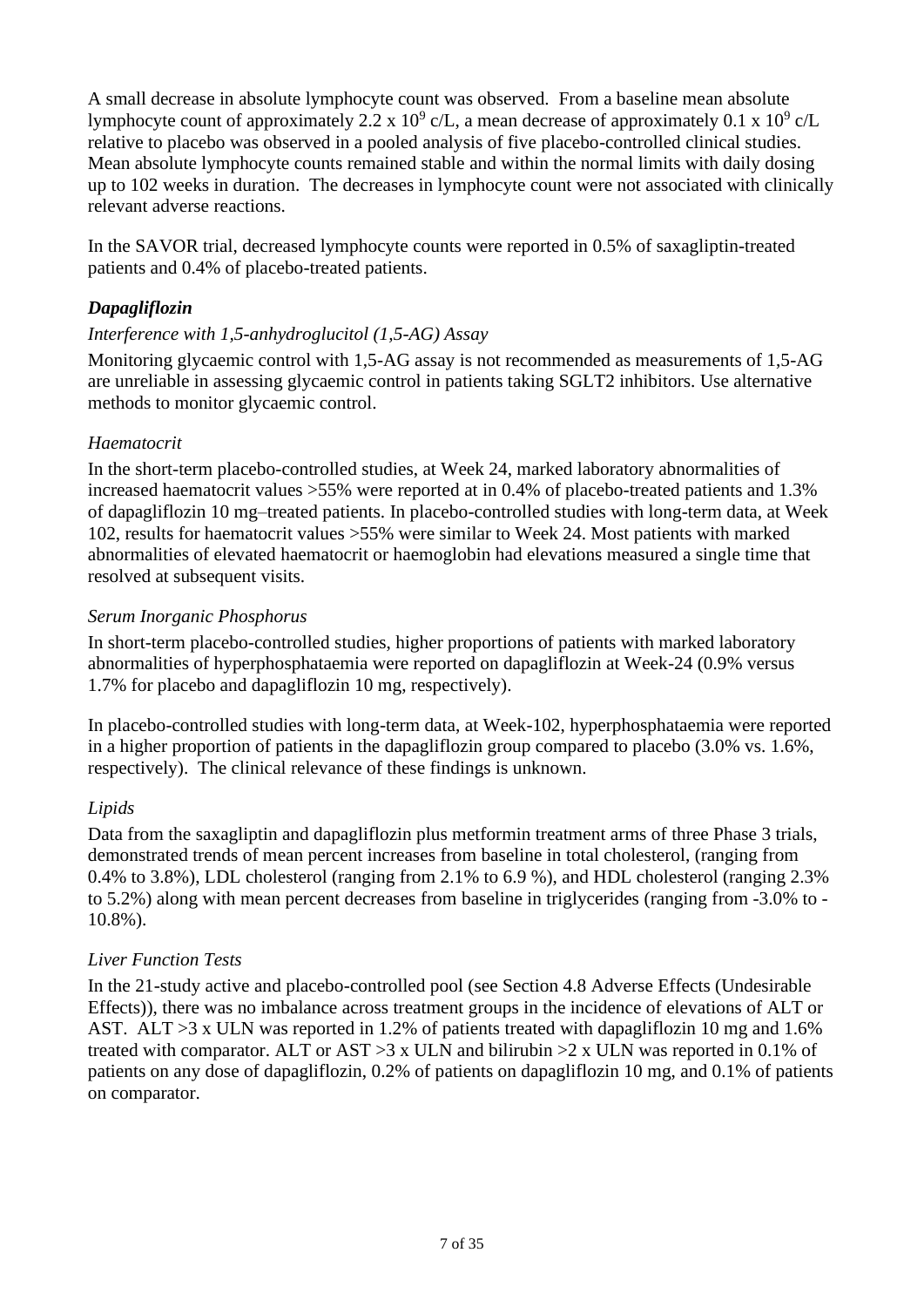A small decrease in absolute lymphocyte count was observed. From a baseline mean absolute lymphocyte count of approximately 2.2 x 10<sup>9</sup> c/L, a mean decrease of approximately 0.1 x 10<sup>9</sup> c/L relative to placebo was observed in a pooled analysis of five placebo-controlled clinical studies. Mean absolute lymphocyte counts remained stable and within the normal limits with daily dosing up to 102 weeks in duration. The decreases in lymphocyte count were not associated with clinically relevant adverse reactions.

In the SAVOR trial, decreased lymphocyte counts were reported in 0.5% of saxagliptin-treated patients and 0.4% of placebo-treated patients.

## *Dapagliflozin*

## *Interference with 1,5-anhydroglucitol (1,5-AG) Assay*

Monitoring glycaemic control with 1,5-AG assay is not recommended as measurements of 1,5-AG are unreliable in assessing glycaemic control in patients taking SGLT2 inhibitors. Use alternative methods to monitor glycaemic control.

## *Haematocrit*

In the short-term placebo-controlled studies, at Week 24, marked laboratory abnormalities of increased haematocrit values >55% were reported at in 0.4% of placebo-treated patients and 1.3% of dapagliflozin 10 mg–treated patients. In placebo-controlled studies with long-term data, at Week 102, results for haematocrit values >55% were similar to Week 24. Most patients with marked abnormalities of elevated haematocrit or haemoglobin had elevations measured a single time that resolved at subsequent visits.

## *Serum Inorganic Phosphorus*

In short-term placebo-controlled studies, higher proportions of patients with marked laboratory abnormalities of hyperphosphataemia were reported on dapagliflozin at Week-24 (0.9% versus 1.7% for placebo and dapagliflozin 10 mg, respectively).

In placebo-controlled studies with long-term data, at Week-102, hyperphosphataemia were reported in a higher proportion of patients in the dapagliflozin group compared to placebo (3.0% vs. 1.6%, respectively). The clinical relevance of these findings is unknown.

## *Lipids*

Data from the saxagliptin and dapagliflozin plus metformin treatment arms of three Phase 3 trials, demonstrated trends of mean percent increases from baseline in total cholesterol, (ranging from 0.4% to 3.8%), LDL cholesterol (ranging from 2.1% to 6.9 %), and HDL cholesterol (ranging 2.3% to 5.2%) along with mean percent decreases from baseline in triglycerides (ranging from -3.0% to - 10.8%).

## *Liver Function Tests*

In the 21-study active and placebo-controlled pool (see Section 4.8 Adverse Effects (Undesirable Effects)), there was no imbalance across treatment groups in the incidence of elevations of ALT or AST. ALT >3 x ULN was reported in 1.2% of patients treated with dapagliflozin 10 mg and 1.6% treated with comparator. ALT or AST  $>3 \times$  ULN and bilirubin  $>2 \times$  ULN was reported in 0.1% of patients on any dose of dapagliflozin, 0.2% of patients on dapagliflozin 10 mg, and 0.1% of patients on comparator.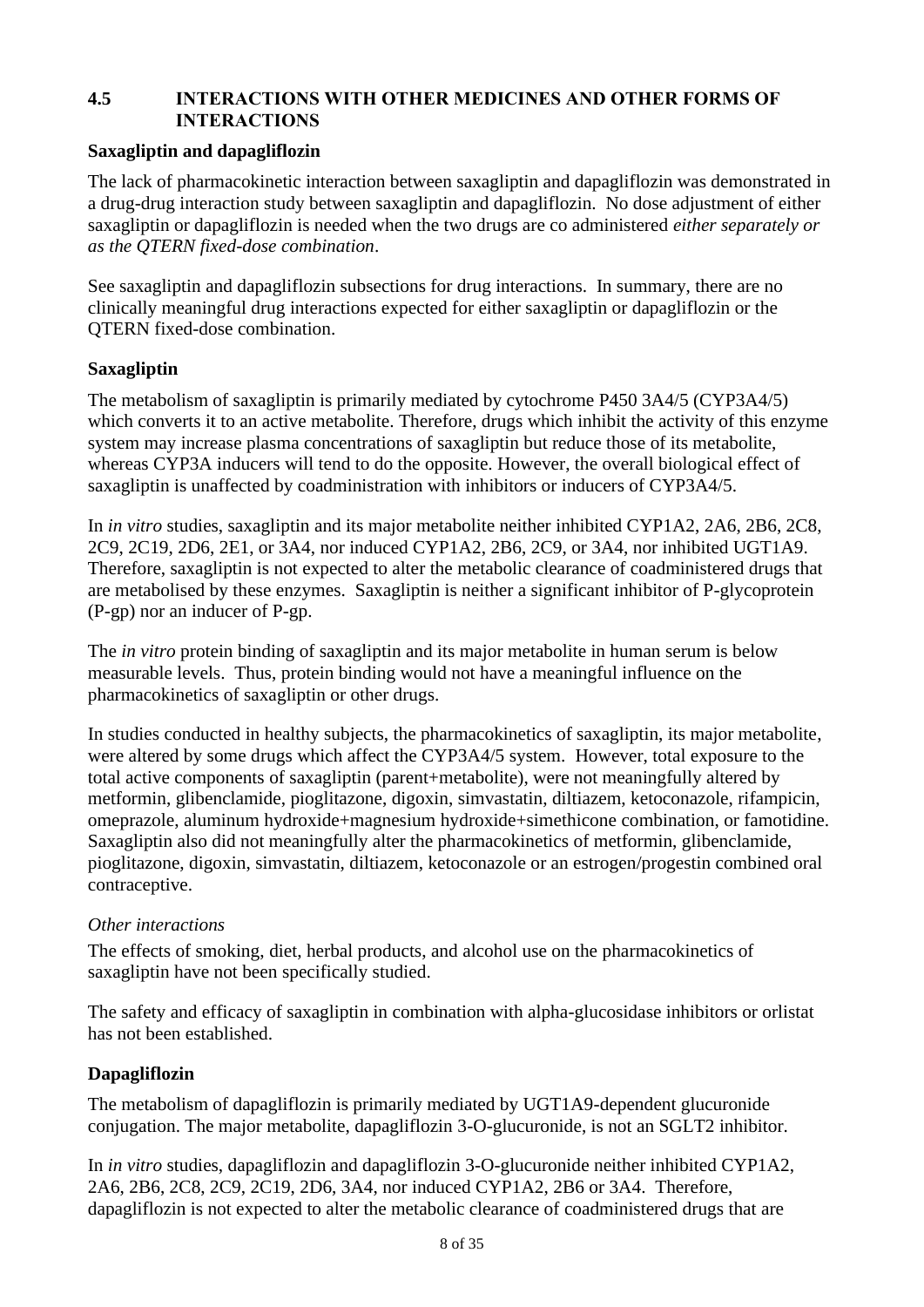## **4.5 INTERACTIONS WITH OTHER MEDICINES AND OTHER FORMS OF INTERACTIONS**

#### **Saxagliptin and dapagliflozin**

The lack of pharmacokinetic interaction between saxagliptin and dapagliflozin was demonstrated in a drug-drug interaction study between saxagliptin and dapagliflozin. No dose adjustment of either saxagliptin or dapagliflozin is needed when the two drugs are co administered *either separately or as the QTERN fixed-dose combination*.

See saxagliptin and dapagliflozin subsections for drug interactions. In summary, there are no clinically meaningful drug interactions expected for either saxagliptin or dapagliflozin or the QTERN fixed-dose combination.

#### **Saxagliptin**

The metabolism of saxagliptin is primarily mediated by cytochrome P450 3A4/5 (CYP3A4/5) which converts it to an active metabolite. Therefore, drugs which inhibit the activity of this enzyme system may increase plasma concentrations of saxagliptin but reduce those of its metabolite, whereas CYP3A inducers will tend to do the opposite. However, the overall biological effect of saxagliptin is unaffected by coadministration with inhibitors or inducers of CYP3A4/5.

In *in vitro* studies, saxagliptin and its major metabolite neither inhibited CYP1A2, 2A6, 2B6, 2C8, 2C9, 2C19, 2D6, 2E1, or 3A4, nor induced CYP1A2, 2B6, 2C9, or 3A4, nor inhibited UGT1A9. Therefore, saxagliptin is not expected to alter the metabolic clearance of coadministered drugs that are metabolised by these enzymes. Saxagliptin is neither a significant inhibitor of P-glycoprotein (P-gp) nor an inducer of P-gp.

The *in vitro* protein binding of saxagliptin and its major metabolite in human serum is below measurable levels. Thus, protein binding would not have a meaningful influence on the pharmacokinetics of saxagliptin or other drugs.

In studies conducted in healthy subjects, the pharmacokinetics of saxagliptin, its major metabolite, were altered by some drugs which affect the CYP3A4/5 system. However, total exposure to the total active components of saxagliptin (parent+metabolite), were not meaningfully altered by metformin, glibenclamide, pioglitazone, digoxin, simvastatin, diltiazem, ketoconazole, rifampicin, omeprazole, aluminum hydroxide+magnesium hydroxide+simethicone combination, or famotidine. Saxagliptin also did not meaningfully alter the pharmacokinetics of metformin, glibenclamide, pioglitazone, digoxin, simvastatin, diltiazem, ketoconazole or an estrogen/progestin combined oral contraceptive.

#### *Other interactions*

The effects of smoking, diet, herbal products, and alcohol use on the pharmacokinetics of saxagliptin have not been specifically studied.

The safety and efficacy of saxagliptin in combination with alpha-glucosidase inhibitors or orlistat has not been established.

#### **Dapagliflozin**

The metabolism of dapagliflozin is primarily mediated by UGT1A9-dependent glucuronide conjugation. The major metabolite, dapagliflozin 3-O-glucuronide, is not an SGLT2 inhibitor.

In *in vitro* studies, dapagliflozin and dapagliflozin 3-O-glucuronide neither inhibited CYP1A2, 2A6, 2B6, 2C8, 2C9, 2C19, 2D6, 3A4, nor induced CYP1A2, 2B6 or 3A4. Therefore, dapagliflozin is not expected to alter the metabolic clearance of coadministered drugs that are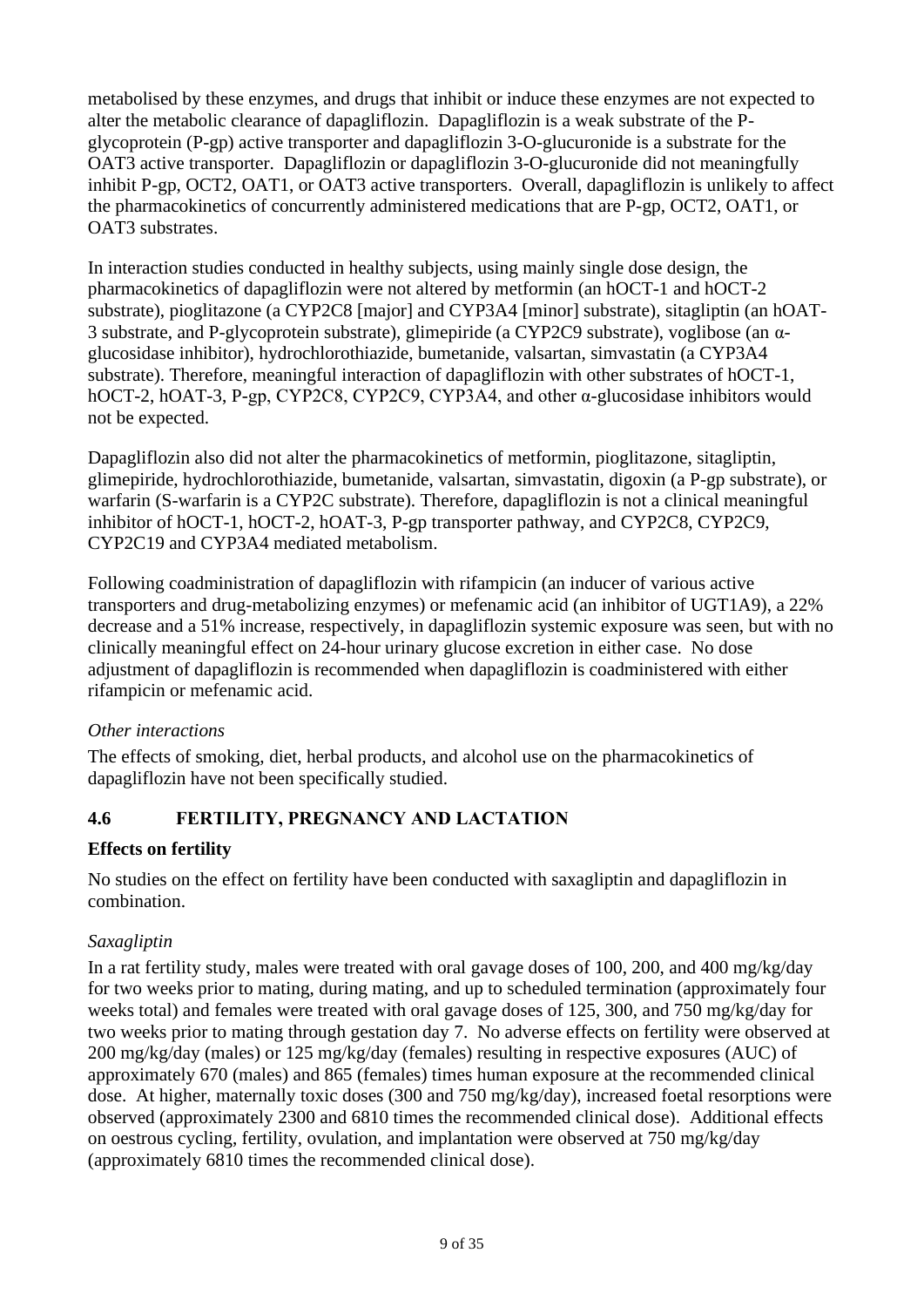metabolised by these enzymes, and drugs that inhibit or induce these enzymes are not expected to alter the metabolic clearance of dapagliflozin. Dapagliflozin is a weak substrate of the Pglycoprotein (P-gp) active transporter and dapagliflozin 3-O-glucuronide is a substrate for the OAT3 active transporter. Dapagliflozin or dapagliflozin 3-O-glucuronide did not meaningfully inhibit P-gp, OCT2, OAT1, or OAT3 active transporters. Overall, dapagliflozin is unlikely to affect the pharmacokinetics of concurrently administered medications that are P-gp, OCT2, OAT1, or OAT3 substrates.

In interaction studies conducted in healthy subjects, using mainly single dose design, the pharmacokinetics of dapagliflozin were not altered by metformin (an hOCT-1 and hOCT-2 substrate), pioglitazone (a CYP2C8 [major] and CYP3A4 [minor] substrate), sitagliptin (an hOAT-3 substrate, and P-glycoprotein substrate), glimepiride (a CYP2C9 substrate), voglibose (an αglucosidase inhibitor), hydrochlorothiazide, bumetanide, valsartan, simvastatin (a CYP3A4 substrate). Therefore, meaningful interaction of dapagliflozin with other substrates of hOCT-1, hOCT-2, hOAT-3, P-gp, CYP2C8, CYP2C9, CYP3A4, and other α-glucosidase inhibitors would not be expected.

Dapagliflozin also did not alter the pharmacokinetics of metformin, pioglitazone, sitagliptin, glimepiride, hydrochlorothiazide, bumetanide, valsartan, simvastatin, digoxin (a P-gp substrate), or warfarin (S-warfarin is a CYP2C substrate). Therefore, dapagliflozin is not a clinical meaningful inhibitor of hOCT-1, hOCT-2, hOAT-3, P-gp transporter pathway, and CYP2C8, CYP2C9, CYP2C19 and CYP3A4 mediated metabolism.

Following coadministration of dapagliflozin with rifampicin (an inducer of various active transporters and drug-metabolizing enzymes) or mefenamic acid (an inhibitor of UGT1A9), a 22% decrease and a 51% increase, respectively, in dapagliflozin systemic exposure was seen, but with no clinically meaningful effect on 24-hour urinary glucose excretion in either case. No dose adjustment of dapagliflozin is recommended when dapagliflozin is coadministered with either rifampicin or mefenamic acid.

## *Other interactions*

The effects of smoking, diet, herbal products, and alcohol use on the pharmacokinetics of dapagliflozin have not been specifically studied.

## **4.6 FERTILITY, PREGNANCY AND LACTATION**

## **Effects on fertility**

No studies on the effect on fertility have been conducted with saxagliptin and dapagliflozin in combination.

## *Saxagliptin*

In a rat fertility study, males were treated with oral gavage doses of 100, 200, and 400 mg/kg/day for two weeks prior to mating, during mating, and up to scheduled termination (approximately four weeks total) and females were treated with oral gavage doses of 125, 300, and 750 mg/kg/day for two weeks prior to mating through gestation day 7. No adverse effects on fertility were observed at 200 mg/kg/day (males) or 125 mg/kg/day (females) resulting in respective exposures (AUC) of approximately 670 (males) and 865 (females) times human exposure at the recommended clinical dose. At higher, maternally toxic doses (300 and 750 mg/kg/day), increased foetal resorptions were observed (approximately 2300 and 6810 times the recommended clinical dose). Additional effects on oestrous cycling, fertility, ovulation, and implantation were observed at 750 mg/kg/day (approximately 6810 times the recommended clinical dose).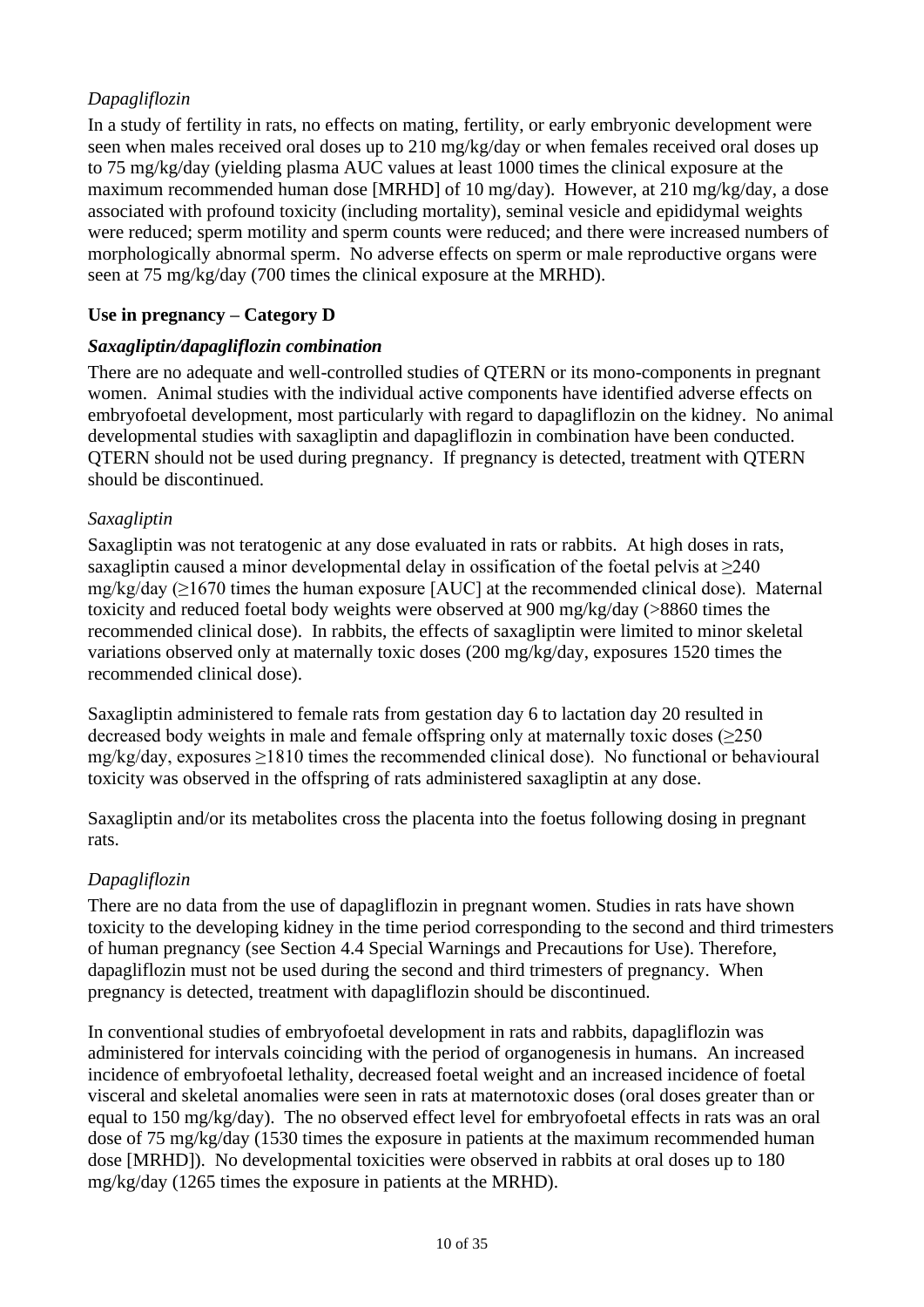# *Dapagliflozin*

In a study of fertility in rats, no effects on mating, fertility, or early embryonic development were seen when males received oral doses up to 210 mg/kg/day or when females received oral doses up to 75 mg/kg/day (yielding plasma AUC values at least 1000 times the clinical exposure at the maximum recommended human dose [MRHD] of 10 mg/day). However, at 210 mg/kg/day, a dose associated with profound toxicity (including mortality), seminal vesicle and epididymal weights were reduced; sperm motility and sperm counts were reduced; and there were increased numbers of morphologically abnormal sperm. No adverse effects on sperm or male reproductive organs were seen at 75 mg/kg/day (700 times the clinical exposure at the MRHD).

## **Use in pregnancy – Category D**

#### *Saxagliptin/dapagliflozin combination*

There are no adequate and well-controlled studies of QTERN or its mono-components in pregnant women. Animal studies with the individual active components have identified adverse effects on embryofoetal development, most particularly with regard to dapagliflozin on the kidney. No animal developmental studies with saxagliptin and dapagliflozin in combination have been conducted. QTERN should not be used during pregnancy. If pregnancy is detected, treatment with QTERN should be discontinued.

## *Saxagliptin*

Saxagliptin was not teratogenic at any dose evaluated in rats or rabbits. At high doses in rats, saxagliptin caused a minor developmental delay in ossification of the foetal pelvis at  $\geq 240$ mg/kg/day ( $\geq$ 1670 times the human exposure [AUC] at the recommended clinical dose). Maternal toxicity and reduced foetal body weights were observed at 900 mg/kg/day (>8860 times the recommended clinical dose). In rabbits, the effects of saxagliptin were limited to minor skeletal variations observed only at maternally toxic doses (200 mg/kg/day, exposures 1520 times the recommended clinical dose).

Saxagliptin administered to female rats from gestation day 6 to lactation day 20 resulted in decreased body weights in male and female offspring only at maternally toxic doses  $(\geq 250$ mg/kg/day, exposures ≥1810 times the recommended clinical dose). No functional or behavioural toxicity was observed in the offspring of rats administered saxagliptin at any dose.

Saxagliptin and/or its metabolites cross the placenta into the foetus following dosing in pregnant rats.

## *Dapagliflozin*

There are no data from the use of dapagliflozin in pregnant women. Studies in rats have shown toxicity to the developing kidney in the time period corresponding to the second and third trimesters of human pregnancy (see Section 4.4 Special Warnings and Precautions for Use). Therefore, dapagliflozin must not be used during the second and third trimesters of pregnancy. When pregnancy is detected, treatment with dapagliflozin should be discontinued.

In conventional studies of embryofoetal development in rats and rabbits, dapagliflozin was administered for intervals coinciding with the period of organogenesis in humans. An increased incidence of embryofoetal lethality, decreased foetal weight and an increased incidence of foetal visceral and skeletal anomalies were seen in rats at maternotoxic doses (oral doses greater than or equal to 150 mg/kg/day). The no observed effect level for embryofoetal effects in rats was an oral dose of 75 mg/kg/day (1530 times the exposure in patients at the maximum recommended human dose [MRHD]). No developmental toxicities were observed in rabbits at oral doses up to 180 mg/kg/day (1265 times the exposure in patients at the MRHD).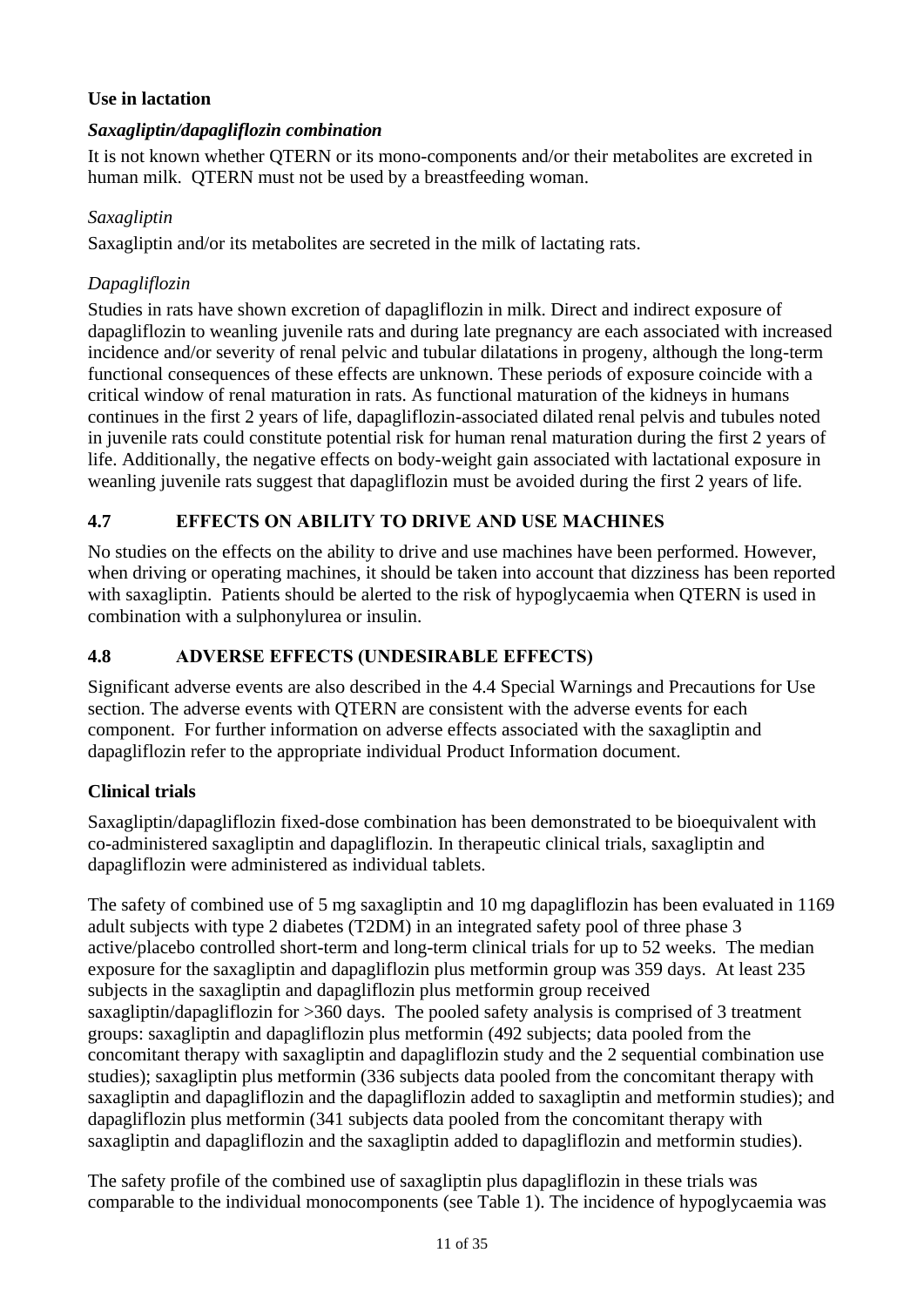## **Use in lactation**

#### *Saxagliptin/dapagliflozin combination*

It is not known whether QTERN or its mono-components and/or their metabolites are excreted in human milk. QTERN must not be used by a breastfeeding woman.

#### *Saxagliptin*

Saxagliptin and/or its metabolites are secreted in the milk of lactating rats.

#### *Dapagliflozin*

Studies in rats have shown excretion of dapagliflozin in milk. Direct and indirect exposure of dapagliflozin to weanling juvenile rats and during late pregnancy are each associated with increased incidence and/or severity of renal pelvic and tubular dilatations in progeny, although the long-term functional consequences of these effects are unknown. These periods of exposure coincide with a critical window of renal maturation in rats. As functional maturation of the kidneys in humans continues in the first 2 years of life, dapagliflozin-associated dilated renal pelvis and tubules noted in juvenile rats could constitute potential risk for human renal maturation during the first 2 years of life. Additionally, the negative effects on body-weight gain associated with lactational exposure in weanling juvenile rats suggest that dapagliflozin must be avoided during the first 2 years of life.

## **4.7 EFFECTS ON ABILITY TO DRIVE AND USE MACHINES**

No studies on the effects on the ability to drive and use machines have been performed. However, when driving or operating machines, it should be taken into account that dizziness has been reported with saxagliptin. Patients should be alerted to the risk of hypoglycaemia when QTERN is used in combination with a sulphonylurea or insulin.

#### **4.8 ADVERSE EFFECTS (UNDESIRABLE EFFECTS)**

Significant adverse events are also described in the 4.4 Special Warnings and Precautions for Use section. The adverse events with QTERN are consistent with the adverse events for each component. For further information on adverse effects associated with the saxagliptin and dapagliflozin refer to the appropriate individual Product Information document.

#### **Clinical trials**

Saxagliptin/dapagliflozin fixed-dose combination has been demonstrated to be bioequivalent with co-administered saxagliptin and dapagliflozin. In therapeutic clinical trials, saxagliptin and dapagliflozin were administered as individual tablets.

The safety of combined use of 5 mg saxagliptin and 10 mg dapagliflozin has been evaluated in 1169 adult subjects with type 2 diabetes (T2DM) in an integrated safety pool of three phase 3 active/placebo controlled short-term and long-term clinical trials for up to 52 weeks. The median exposure for the saxagliptin and dapagliflozin plus metformin group was 359 days. At least 235 subjects in the saxagliptin and dapagliflozin plus metformin group received saxagliptin/dapagliflozin for >360 days. The pooled safety analysis is comprised of 3 treatment groups: saxagliptin and dapagliflozin plus metformin (492 subjects; data pooled from the concomitant therapy with saxagliptin and dapagliflozin study and the 2 sequential combination use studies); saxagliptin plus metformin (336 subjects data pooled from the concomitant therapy with saxagliptin and dapagliflozin and the dapagliflozin added to saxagliptin and metformin studies); and dapagliflozin plus metformin (341 subjects data pooled from the concomitant therapy with saxagliptin and dapagliflozin and the saxagliptin added to dapagliflozin and metformin studies).

The safety profile of the combined use of saxagliptin plus dapagliflozin in these trials was comparable to the individual monocomponents (see [Table](#page-11-0) 1). The incidence of hypoglycaemia was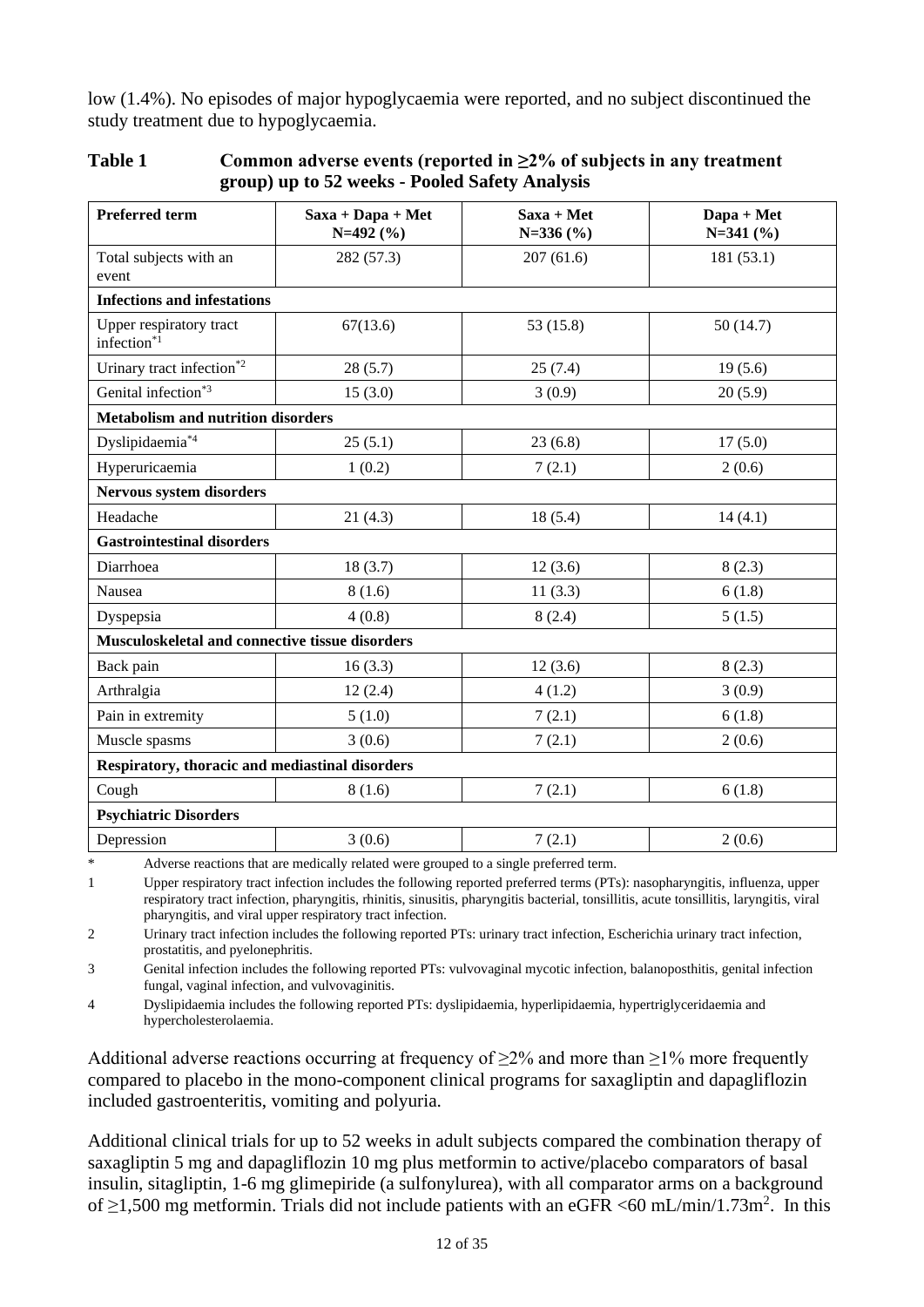low (1.4%). No episodes of major hypoglycaemia were reported, and no subject discontinued the study treatment due to hypoglycaemia.

| <b>Preferred term</b>                              | $Saxa + Dapa + Met$<br>$N=492(%)$ | Saxa + Met<br>$N=336(%)$ | Dapa + Met<br>$N=341(%)$ |
|----------------------------------------------------|-----------------------------------|--------------------------|--------------------------|
| Total subjects with an<br>event                    | 282 (57.3)                        | 207(61.6)                | 181(53.1)                |
| <b>Infections and infestations</b>                 |                                   |                          |                          |
| Upper respiratory tract<br>infection <sup>*1</sup> | 67(13.6)                          | 53 (15.8)                | 50 (14.7)                |
| Urinary tract infection $^*$ <sup>2</sup>          | 28(5.7)                           | 25(7.4)                  | 19(5.6)                  |
| Genital infection <sup>*3</sup>                    | 15(3.0)                           | 3(0.9)                   | 20(5.9)                  |
| <b>Metabolism and nutrition disorders</b>          |                                   |                          |                          |
| Dyslipidaemia*4                                    | 25(5.1)                           | 23(6.8)                  | 17(5.0)                  |
| Hyperuricaemia                                     | 1(0.2)                            | 7(2.1)                   | 2(0.6)                   |
| Nervous system disorders                           |                                   |                          |                          |
| Headache                                           | 21(4.3)                           | 18(5.4)                  | 14(4.1)                  |
| <b>Gastrointestinal disorders</b>                  |                                   |                          |                          |
| Diarrhoea                                          | 18(3.7)                           | 12(3.6)                  | 8(2.3)                   |
| Nausea                                             | 8(1.6)                            | 11(3.3)                  | 6(1.8)                   |
| Dyspepsia                                          | 4(0.8)                            | 8(2.4)                   | 5(1.5)                   |
| Musculoskeletal and connective tissue disorders    |                                   |                          |                          |
| Back pain                                          | 16(3.3)                           | 12(3.6)                  | 8(2.3)                   |
| Arthralgia                                         | 12(2.4)                           | 4(1.2)                   | 3(0.9)                   |
| Pain in extremity                                  | 5(1.0)                            | 7(2.1)                   | 6(1.8)                   |
| Muscle spasms                                      | 3(0.6)                            | 7(2.1)                   | 2(0.6)                   |
| Respiratory, thoracic and mediastinal disorders    |                                   |                          |                          |
| Cough                                              | 8(1.6)                            | 7(2.1)                   | 6(1.8)                   |
| <b>Psychiatric Disorders</b>                       |                                   |                          |                          |
| Depression                                         | 3(0.6)                            | 7(2.1)                   | 2(0.6)                   |

<span id="page-11-0"></span>

| Table 1 | Common adverse events (reported in $\geq 2\%$ of subjects in any treatment |
|---------|----------------------------------------------------------------------------|
|         | group) up to 52 weeks - Pooled Safety Analysis                             |

\* Adverse reactions that are medically related were grouped to a single preferred term.

1 Upper respiratory tract infection includes the following reported preferred terms (PTs): nasopharyngitis, influenza, upper respiratory tract infection, pharyngitis, rhinitis, sinusitis, pharyngitis bacterial, tonsillitis, acute tonsillitis, laryngitis, viral pharyngitis, and viral upper respiratory tract infection.

2 Urinary tract infection includes the following reported PTs: urinary tract infection, Escherichia urinary tract infection, prostatitis, and pyelonephritis.

3 Genital infection includes the following reported PTs: vulvovaginal mycotic infection, balanoposthitis, genital infection fungal, vaginal infection, and vulvovaginitis.

4 Dyslipidaemia includes the following reported PTs: dyslipidaemia, hyperlipidaemia, hypertriglyceridaemia and hypercholesterolaemia.

Additional adverse reactions occurring at frequency of  $\geq 2\%$  and more than  $\geq 1\%$  more frequently compared to placebo in the mono-component clinical programs for saxagliptin and dapagliflozin included gastroenteritis, vomiting and polyuria.

Additional clinical trials for up to 52 weeks in adult subjects compared the combination therapy of saxagliptin 5 mg and dapagliflozin 10 mg plus metformin to active/placebo comparators of basal insulin, sitagliptin, 1-6 mg glimepiride (a sulfonylurea), with all comparator arms on a background of  $\geq$ 1,500 mg metformin. Trials did not include patients with an eGFR <60 mL/min/1.73m<sup>2</sup>. In this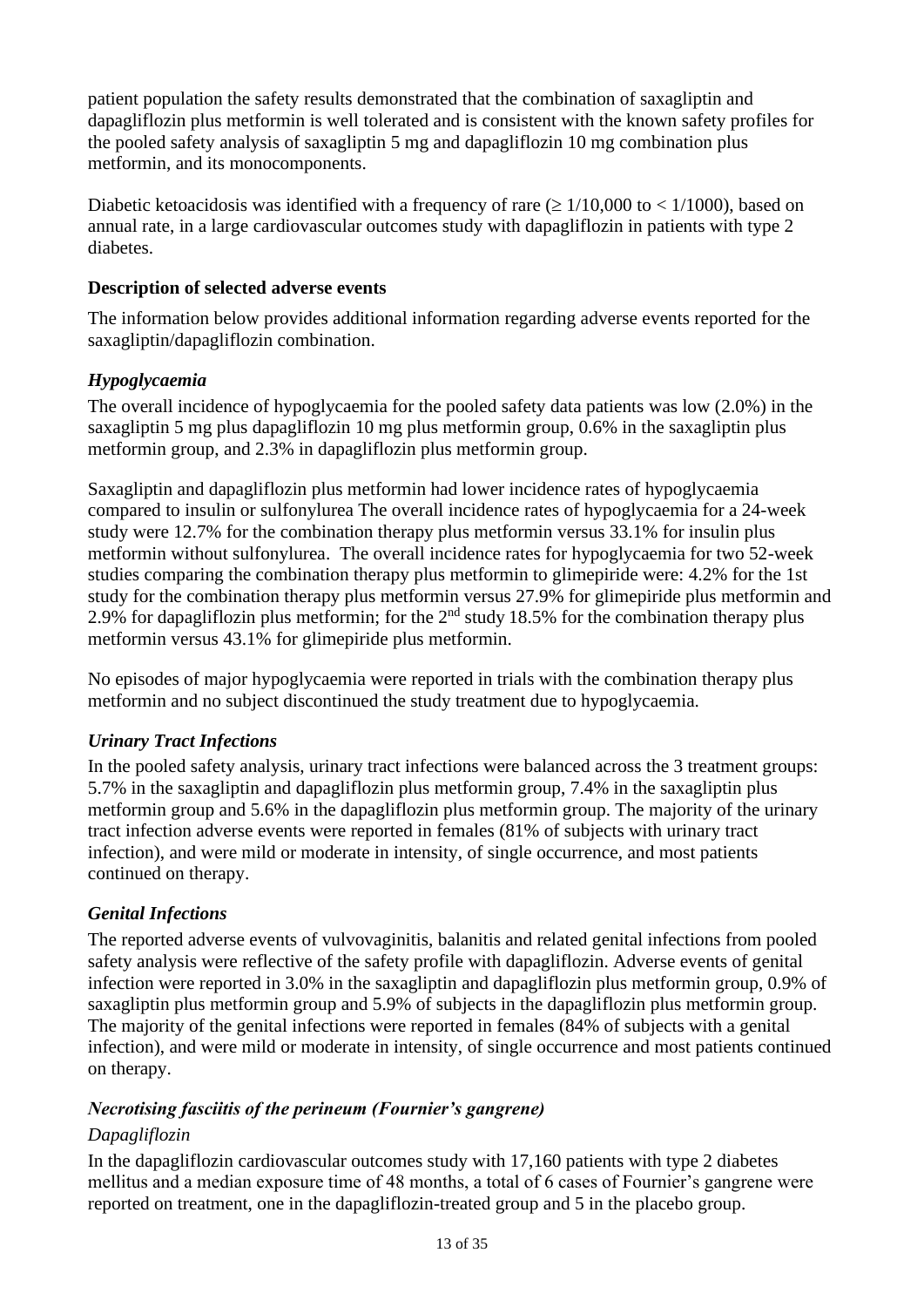patient population the safety results demonstrated that the combination of saxagliptin and dapagliflozin plus metformin is well tolerated and is consistent with the known safety profiles for the pooled safety analysis of saxagliptin 5 mg and dapagliflozin 10 mg combination plus metformin, and its monocomponents.

Diabetic ketoacidosis was identified with a frequency of rare ( $\geq 1/10,000$  to  $\lt 1/1000$ ), based on annual rate, in a large cardiovascular outcomes study with dapagliflozin in patients with type 2 diabetes.

#### **Description of selected adverse events**

The information below provides additional information regarding adverse events reported for the saxagliptin/dapagliflozin combination.

#### *Hypoglycaemia*

The overall incidence of hypoglycaemia for the pooled safety data patients was low (2.0%) in the saxagliptin 5 mg plus dapagliflozin 10 mg plus metformin group, 0.6% in the saxagliptin plus metformin group, and 2.3% in dapagliflozin plus metformin group.

Saxagliptin and dapagliflozin plus metformin had lower incidence rates of hypoglycaemia compared to insulin or sulfonylurea The overall incidence rates of hypoglycaemia for a 24-week study were 12.7% for the combination therapy plus metformin versus 33.1% for insulin plus metformin without sulfonylurea. The overall incidence rates for hypoglycaemia for two 52-week studies comparing the combination therapy plus metformin to glimepiride were: 4.2% for the 1st study for the combination therapy plus metformin versus 27.9% for glimepiride plus metformin and 2.9% for dapagliflozin plus metformin; for the  $2<sup>nd</sup>$  study 18.5% for the combination therapy plus metformin versus 43.1% for glimepiride plus metformin.

No episodes of major hypoglycaemia were reported in trials with the combination therapy plus metformin and no subject discontinued the study treatment due to hypoglycaemia.

#### *Urinary Tract Infections*

In the pooled safety analysis, urinary tract infections were balanced across the 3 treatment groups: 5.7% in the saxagliptin and dapagliflozin plus metformin group, 7.4% in the saxagliptin plus metformin group and 5.6% in the dapagliflozin plus metformin group. The majority of the urinary tract infection adverse events were reported in females (81% of subjects with urinary tract infection), and were mild or moderate in intensity, of single occurrence, and most patients continued on therapy.

#### *Genital Infections*

The reported adverse events of vulvovaginitis, balanitis and related genital infections from pooled safety analysis were reflective of the safety profile with dapagliflozin. Adverse events of genital infection were reported in 3.0% in the saxagliptin and dapagliflozin plus metformin group, 0.9% of saxagliptin plus metformin group and 5.9% of subjects in the dapagliflozin plus metformin group. The majority of the genital infections were reported in females (84% of subjects with a genital infection), and were mild or moderate in intensity, of single occurrence and most patients continued on therapy.

#### *Necrotising fasciitis of the perineum (Fournier's gangrene)*

## *Dapagliflozin*

In the dapagliflozin cardiovascular outcomes study with 17,160 patients with type 2 diabetes mellitus and a median exposure time of 48 months, a total of 6 cases of Fournier's gangrene were reported on treatment, one in the dapagliflozin-treated group and 5 in the placebo group.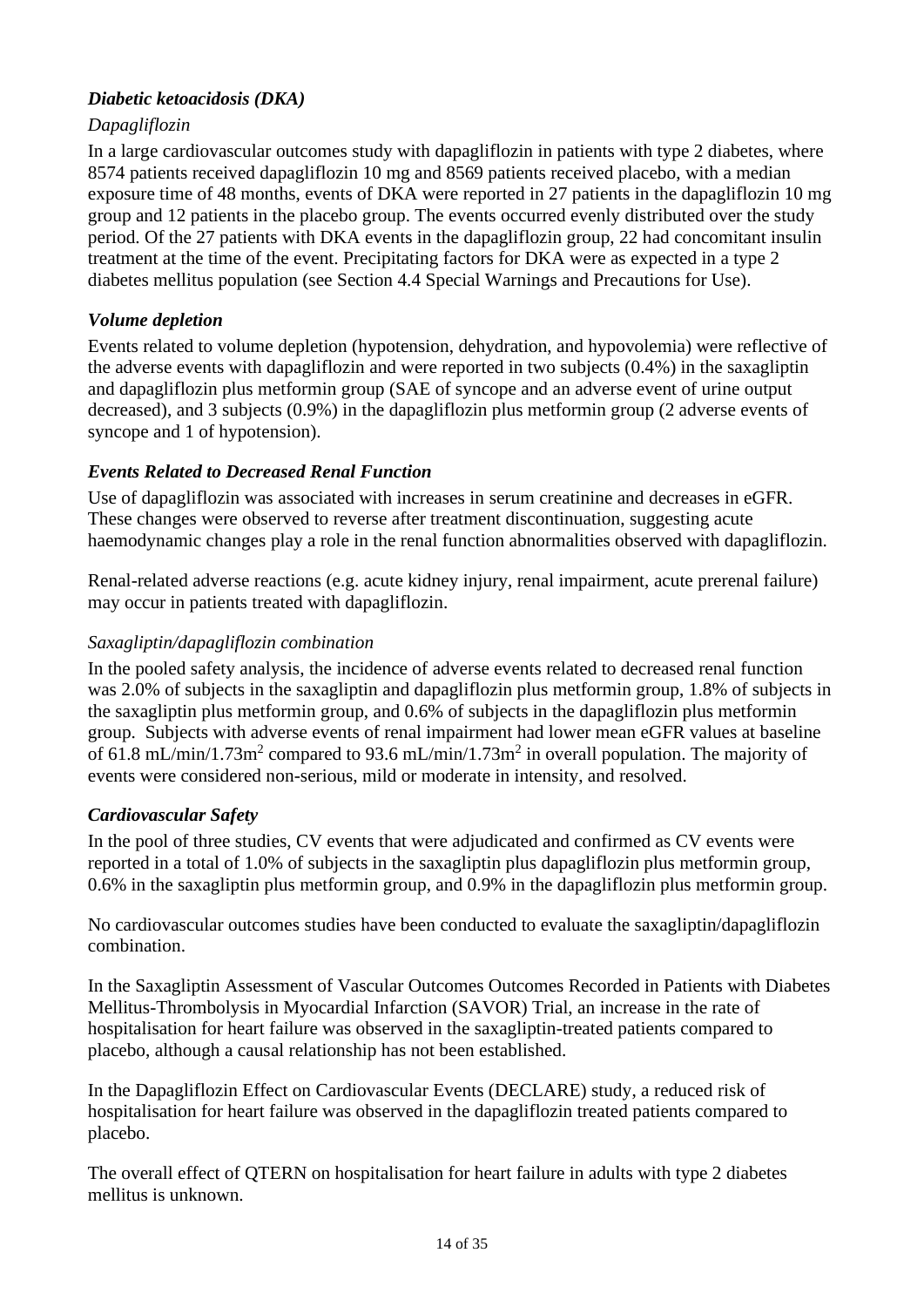## *Diabetic ketoacidosis (DKA)*

## *Dapagliflozin*

In a large cardiovascular outcomes study with dapagliflozin in patients with type 2 diabetes, where 8574 patients received dapagliflozin 10 mg and 8569 patients received placebo, with a median exposure time of 48 months, events of DKA were reported in 27 patients in the dapagliflozin 10 mg group and 12 patients in the placebo group. The events occurred evenly distributed over the study period. Of the 27 patients with DKA events in the dapagliflozin group, 22 had concomitant insulin treatment at the time of the event. Precipitating factors for DKA were as expected in a type 2 diabetes mellitus population (see Section 4.4 Special Warnings and Precautions for Use).

## *Volume depletion*

Events related to volume depletion (hypotension, dehydration, and hypovolemia) were reflective of the adverse events with dapagliflozin and were reported in two subjects (0.4%) in the saxagliptin and dapagliflozin plus metformin group (SAE of syncope and an adverse event of urine output decreased), and 3 subjects (0.9%) in the dapagliflozin plus metformin group (2 adverse events of syncope and 1 of hypotension).

## *Events Related to Decreased Renal Function*

Use of dapagliflozin was associated with increases in serum creatinine and decreases in eGFR. These changes were observed to reverse after treatment discontinuation, suggesting acute haemodynamic changes play a role in the renal function abnormalities observed with dapagliflozin.

Renal-related adverse reactions (e.g. acute kidney injury, renal impairment, acute prerenal failure) may occur in patients treated with dapagliflozin.

# *Saxagliptin/dapagliflozin combination*

In the pooled safety analysis, the incidence of adverse events related to decreased renal function was 2.0% of subjects in the saxagliptin and dapagliflozin plus metformin group, 1.8% of subjects in the saxagliptin plus metformin group, and 0.6% of subjects in the dapagliflozin plus metformin group. Subjects with adverse events of renal impairment had lower mean eGFR values at baseline of 61.8 mL/min/1.73m<sup>2</sup> compared to 93.6 mL/min/1.73m<sup>2</sup> in overall population. The majority of events were considered non-serious, mild or moderate in intensity, and resolved.

## *Cardiovascular Safety*

In the pool of three studies, CV events that were adjudicated and confirmed as CV events were reported in a total of 1.0% of subjects in the saxagliptin plus dapagliflozin plus metformin group, 0.6% in the saxagliptin plus metformin group, and 0.9% in the dapagliflozin plus metformin group.

No cardiovascular outcomes studies have been conducted to evaluate the saxagliptin/dapagliflozin combination.

In the Saxagliptin Assessment of Vascular Outcomes Outcomes Recorded in Patients with Diabetes Mellitus-Thrombolysis in Myocardial Infarction (SAVOR) Trial, an increase in the rate of hospitalisation for heart failure was observed in the saxagliptin-treated patients compared to placebo, although a causal relationship has not been established.

In the Dapagliflozin Effect on Cardiovascular Events (DECLARE) study, a reduced risk of hospitalisation for heart failure was observed in the dapagliflozin treated patients compared to placebo.

The overall effect of QTERN on hospitalisation for heart failure in adults with type 2 diabetes mellitus is unknown.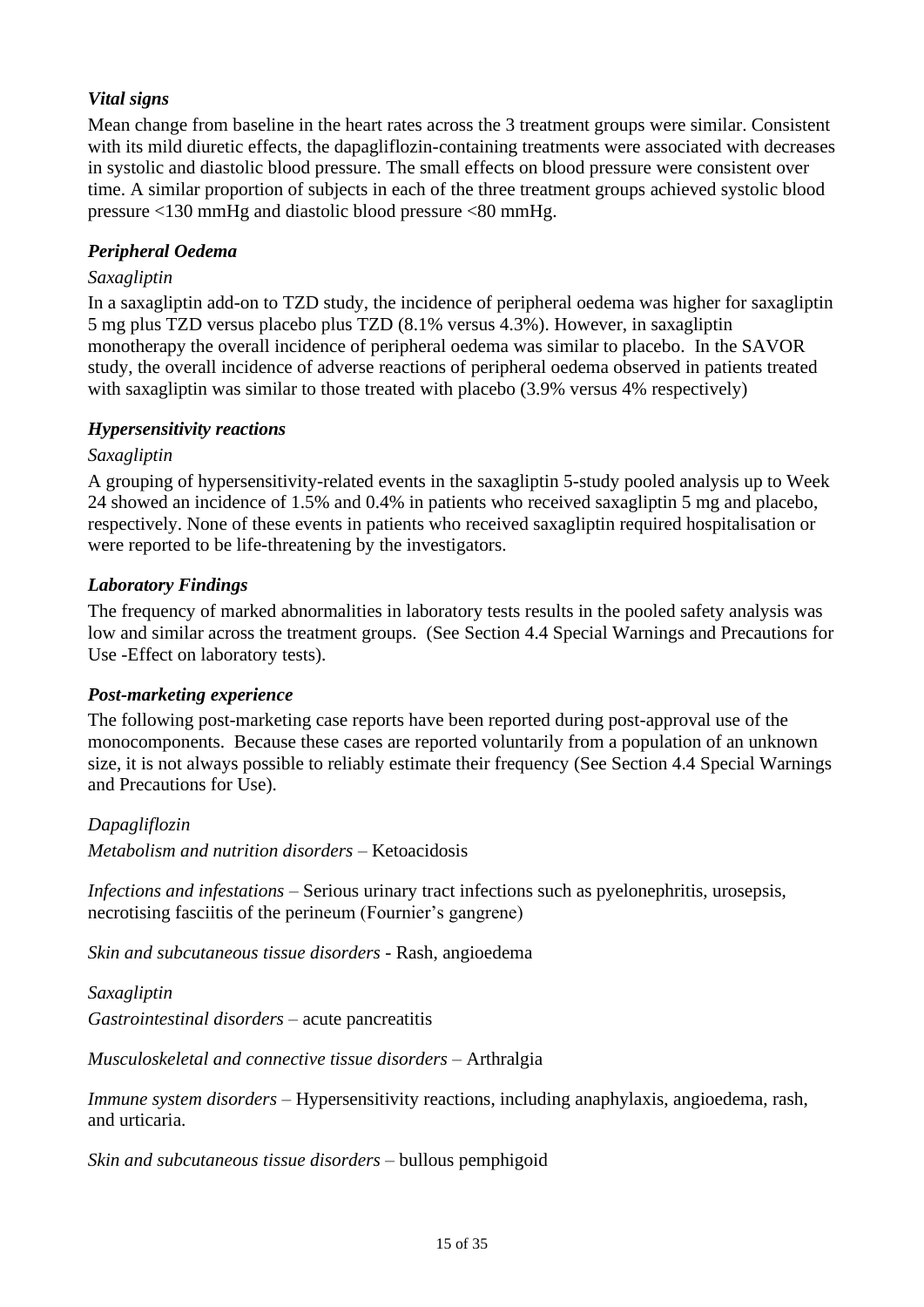## *Vital signs*

Mean change from baseline in the heart rates across the 3 treatment groups were similar. Consistent with its mild diuretic effects, the dapagliflozin-containing treatments were associated with decreases in systolic and diastolic blood pressure. The small effects on blood pressure were consistent over time. A similar proportion of subjects in each of the three treatment groups achieved systolic blood pressure <130 mmHg and diastolic blood pressure <80 mmHg.

#### *Peripheral Oedema*

#### *Saxagliptin*

In a saxagliptin add-on to TZD study, the incidence of peripheral oedema was higher for saxagliptin 5 mg plus TZD versus placebo plus TZD (8.1% versus 4.3%). However, in saxagliptin monotherapy the overall incidence of peripheral oedema was similar to placebo. In the SAVOR study, the overall incidence of adverse reactions of peripheral oedema observed in patients treated with saxagliptin was similar to those treated with placebo (3.9% versus 4% respectively)

#### *Hypersensitivity reactions*

#### *Saxagliptin*

A grouping of hypersensitivity-related events in the saxagliptin 5-study pooled analysis up to Week 24 showed an incidence of 1.5% and 0.4% in patients who received saxagliptin 5 mg and placebo, respectively. None of these events in patients who received saxagliptin required hospitalisation or were reported to be life-threatening by the investigators.

#### *Laboratory Findings*

The frequency of marked abnormalities in laboratory tests results in the pooled safety analysis was low and similar across the treatment groups. (See Section 4.4 Special Warnings and Precautions for Use -Effect on laboratory tests).

#### *Post-marketing experience*

The following post-marketing case reports have been reported during post-approval use of the monocomponents. Because these cases are reported voluntarily from a population of an unknown size, it is not always possible to reliably estimate their frequency (See Section 4.4 Special Warnings and Precautions for Use).

#### *Dapagliflozin*

*Metabolism and nutrition disorders* – Ketoacidosis

*Infections and infestations* – Serious urinary tract infections such as pyelonephritis, urosepsis, necrotising fasciitis of the perineum (Fournier's gangrene)

*Skin and subcutaneous tissue disorders* - Rash, angioedema

#### *Saxagliptin*

*Gastrointestinal disorders* – acute pancreatitis

*Musculoskeletal and connective tissue disorders* – Arthralgia

*Immune system disorders* – Hypersensitivity reactions, including anaphylaxis, angioedema, rash, and urticaria.

*Skin and subcutaneous tissue disorders* – bullous pemphigoid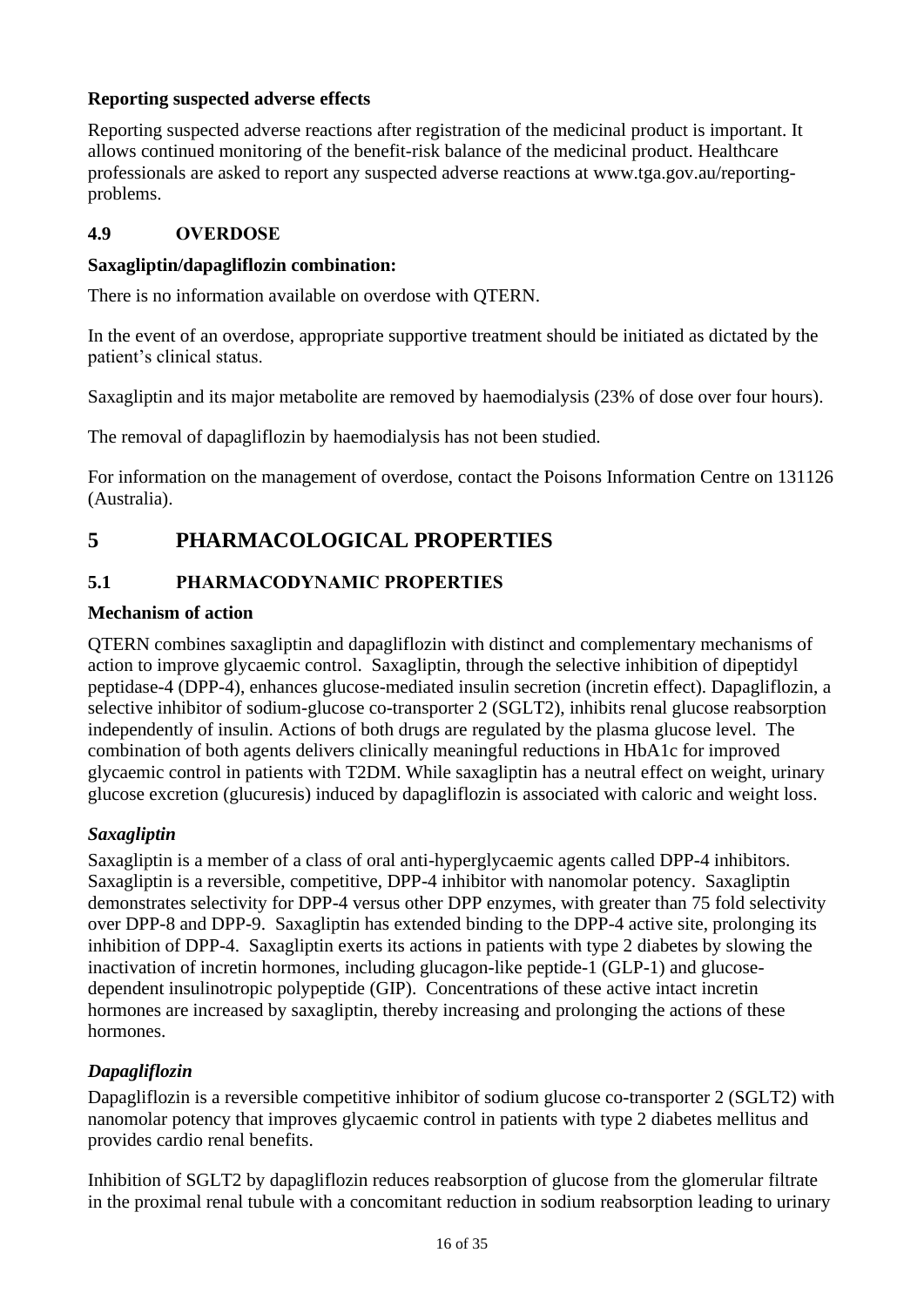## **Reporting suspected adverse effects**

Reporting suspected adverse reactions after registration of the medicinal product is important. It allows continued monitoring of the benefit-risk balance of the medicinal product. Healthcare professionals are asked to report any suspected adverse reactions at www.tga.gov.au/reportingproblems.

## **4.9 OVERDOSE**

#### **Saxagliptin/dapagliflozin combination:**

There is no information available on overdose with QTERN.

In the event of an overdose, appropriate supportive treatment should be initiated as dictated by the patient's clinical status.

Saxagliptin and its major metabolite are removed by haemodialysis (23% of dose over four hours).

The removal of dapagliflozin by haemodialysis has not been studied.

For information on the management of overdose, contact the Poisons Information Centre on 131126 (Australia).

# **5 PHARMACOLOGICAL PROPERTIES**

## **5.1 PHARMACODYNAMIC PROPERTIES**

#### **Mechanism of action**

QTERN combines saxagliptin and dapagliflozin with distinct and complementary mechanisms of action to improve glycaemic control. Saxagliptin, through the selective inhibition of dipeptidyl peptidase-4 (DPP-4), enhances glucose-mediated insulin secretion (incretin effect). Dapagliflozin, a selective inhibitor of sodium-glucose co-transporter 2 (SGLT2), inhibits renal glucose reabsorption independently of insulin. Actions of both drugs are regulated by the plasma glucose level. The combination of both agents delivers clinically meaningful reductions in HbA1c for improved glycaemic control in patients with T2DM. While saxagliptin has a neutral effect on weight, urinary glucose excretion (glucuresis) induced by dapagliflozin is associated with caloric and weight loss.

#### *Saxagliptin*

Saxagliptin is a member of a class of oral anti-hyperglycaemic agents called DPP-4 inhibitors. Saxagliptin is a reversible, competitive, DPP-4 inhibitor with nanomolar potency. Saxagliptin demonstrates selectivity for DPP-4 versus other DPP enzymes, with greater than 75 fold selectivity over DPP-8 and DPP-9. Saxagliptin has extended binding to the DPP-4 active site, prolonging its inhibition of DPP-4. Saxagliptin exerts its actions in patients with type 2 diabetes by slowing the inactivation of incretin hormones, including glucagon-like peptide-1 (GLP-1) and glucosedependent insulinotropic polypeptide (GIP). Concentrations of these active intact incretin hormones are increased by saxagliptin, thereby increasing and prolonging the actions of these hormones.

## *Dapagliflozin*

Dapagliflozin is a reversible competitive inhibitor of sodium glucose co-transporter 2 (SGLT2) with nanomolar potency that improves glycaemic control in patients with type 2 diabetes mellitus and provides cardio renal benefits.

Inhibition of SGLT2 by dapagliflozin reduces reabsorption of glucose from the glomerular filtrate in the proximal renal tubule with a concomitant reduction in sodium reabsorption leading to urinary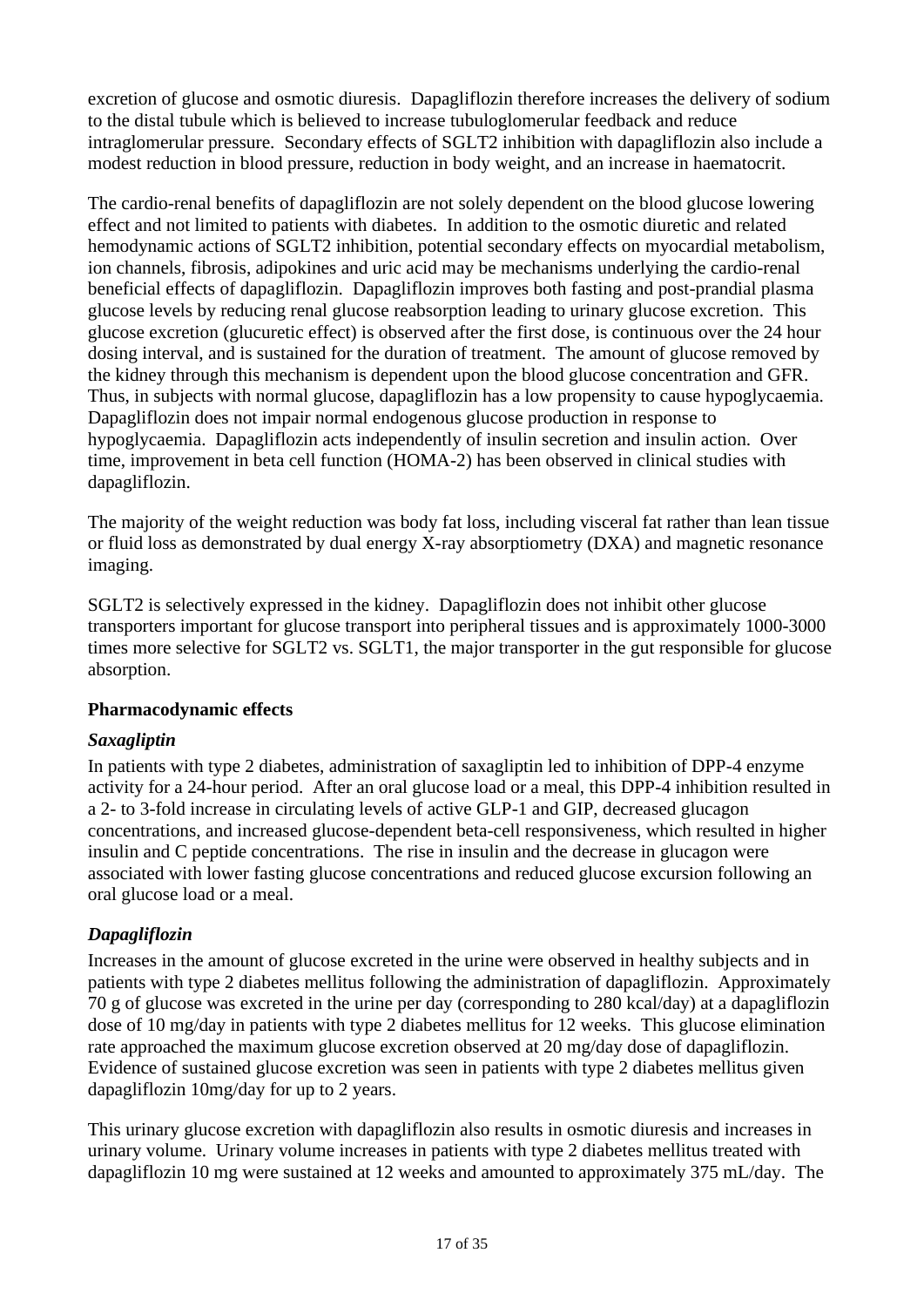excretion of glucose and osmotic diuresis. Dapagliflozin therefore increases the delivery of sodium to the distal tubule which is believed to increase tubuloglomerular feedback and reduce intraglomerular pressure. Secondary effects of SGLT2 inhibition with dapagliflozin also include a modest reduction in blood pressure, reduction in body weight, and an increase in haematocrit.

The cardio-renal benefits of dapagliflozin are not solely dependent on the blood glucose lowering effect and not limited to patients with diabetes. In addition to the osmotic diuretic and related hemodynamic actions of SGLT2 inhibition, potential secondary effects on myocardial metabolism, ion channels, fibrosis, adipokines and uric acid may be mechanisms underlying the cardio-renal beneficial effects of dapagliflozin. Dapagliflozin improves both fasting and post-prandial plasma glucose levels by reducing renal glucose reabsorption leading to urinary glucose excretion. This glucose excretion (glucuretic effect) is observed after the first dose, is continuous over the 24 hour dosing interval, and is sustained for the duration of treatment. The amount of glucose removed by the kidney through this mechanism is dependent upon the blood glucose concentration and GFR. Thus, in subjects with normal glucose, dapagliflozin has a low propensity to cause hypoglycaemia. Dapagliflozin does not impair normal endogenous glucose production in response to hypoglycaemia. Dapagliflozin acts independently of insulin secretion and insulin action. Over time, improvement in beta cell function (HOMA-2) has been observed in clinical studies with dapagliflozin.

The majority of the weight reduction was body fat loss, including visceral fat rather than lean tissue or fluid loss as demonstrated by dual energy X-ray absorptiometry (DXA) and magnetic resonance imaging.

SGLT2 is selectively expressed in the kidney. Dapagliflozin does not inhibit other glucose transporters important for glucose transport into peripheral tissues and is approximately 1000-3000 times more selective for SGLT2 vs. SGLT1, the major transporter in the gut responsible for glucose absorption.

#### **Pharmacodynamic effects**

#### *Saxagliptin*

In patients with type 2 diabetes, administration of saxagliptin led to inhibition of DPP-4 enzyme activity for a 24-hour period. After an oral glucose load or a meal, this DPP-4 inhibition resulted in a 2- to 3-fold increase in circulating levels of active GLP-1 and GIP, decreased glucagon concentrations, and increased glucose-dependent beta-cell responsiveness, which resulted in higher insulin and C peptide concentrations. The rise in insulin and the decrease in glucagon were associated with lower fasting glucose concentrations and reduced glucose excursion following an oral glucose load or a meal.

## *Dapagliflozin*

Increases in the amount of glucose excreted in the urine were observed in healthy subjects and in patients with type 2 diabetes mellitus following the administration of dapagliflozin. Approximately 70 g of glucose was excreted in the urine per day (corresponding to 280 kcal/day) at a dapagliflozin dose of 10 mg/day in patients with type 2 diabetes mellitus for 12 weeks. This glucose elimination rate approached the maximum glucose excretion observed at 20 mg/day dose of dapagliflozin. Evidence of sustained glucose excretion was seen in patients with type 2 diabetes mellitus given dapagliflozin 10mg/day for up to 2 years.

This urinary glucose excretion with dapagliflozin also results in osmotic diuresis and increases in urinary volume. Urinary volume increases in patients with type 2 diabetes mellitus treated with dapagliflozin 10 mg were sustained at 12 weeks and amounted to approximately 375 mL/day. The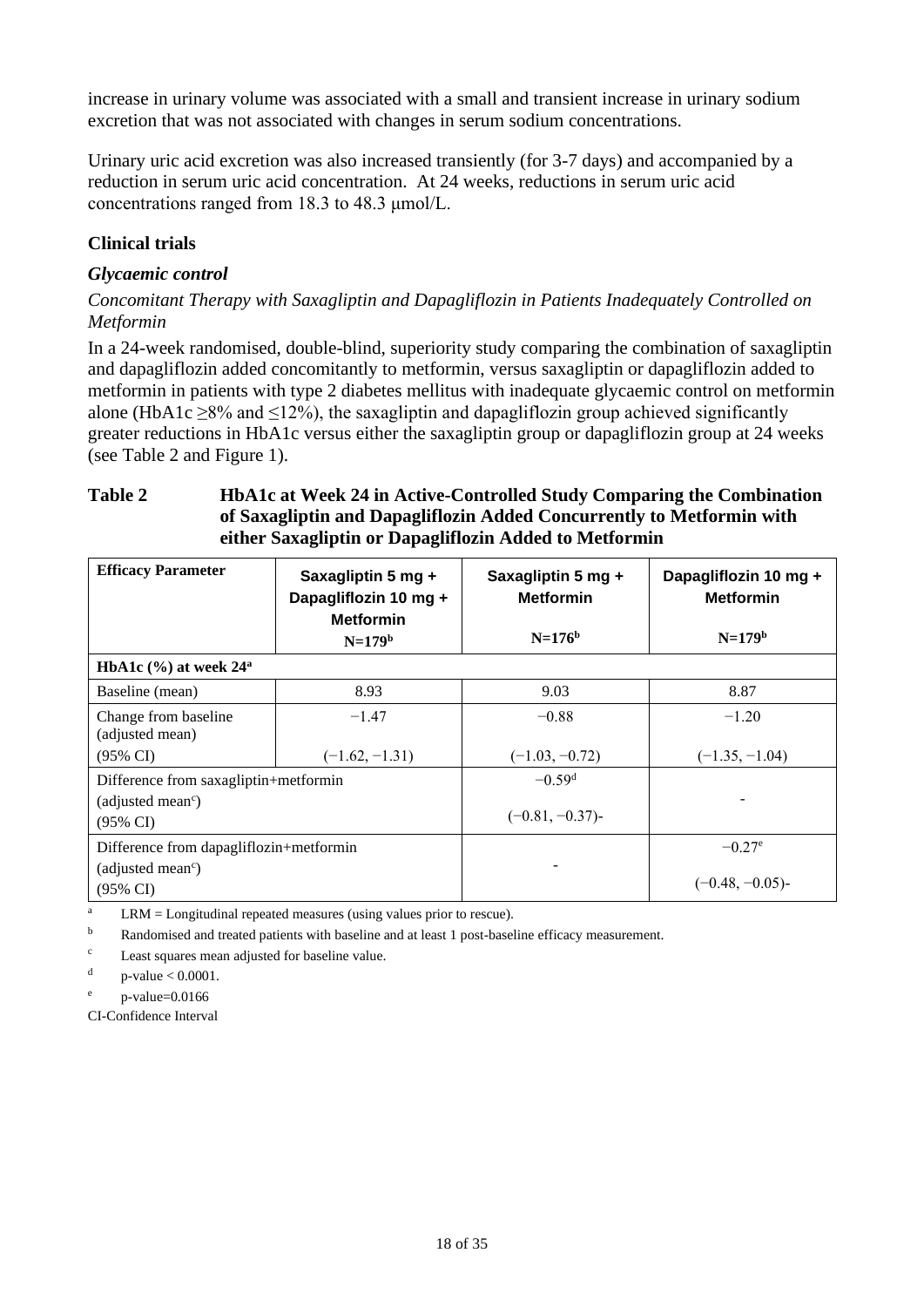increase in urinary volume was associated with a small and transient increase in urinary sodium excretion that was not associated with changes in serum sodium concentrations.

Urinary uric acid excretion was also increased transiently (for 3-7 days) and accompanied by a reduction in serum uric acid concentration. At 24 weeks, reductions in serum uric acid concentrations ranged from 18.3 to 48.3 μmol/L.

### **Clinical trials**

#### *Glycaemic control*

*Concomitant Therapy with Saxagliptin and Dapagliflozin in Patients Inadequately Controlled on Metformin*

In a 24-week randomised, double-blind, superiority study comparing the combination of saxagliptin and dapagliflozin added concomitantly to metformin, versus saxagliptin or dapagliflozin added to metformin in patients with type 2 diabetes mellitus with inadequate glycaemic control on metformin alone (HbA1c  $\geq$ 8% and  $\leq$ 12%), the saxagliptin and dapagliflozin group achieved significantly greater reductions in HbA1c versus either the saxagliptin group or dapagliflozin group at 24 weeks (see [Table](#page-17-0) 2 and [Figure](#page-18-0) 1).

#### <span id="page-17-0"></span>**Table 2 HbA1c at Week 24 in Active-Controlled Study Comparing the Combination of Saxagliptin and Dapagliflozin Added Concurrently to Metformin with either Saxagliptin or Dapagliflozin Added to Metformin**

| <b>Efficacy Parameter</b>                                                                       | Saxagliptin 5 mg +<br>Dapagliflozin 10 mg +<br><b>Metformin</b> | Saxagliptin 5 mg +<br><b>Metformin</b> | Dapagliflozin 10 mg +<br><b>Metformin</b> |
|-------------------------------------------------------------------------------------------------|-----------------------------------------------------------------|----------------------------------------|-------------------------------------------|
|                                                                                                 | $N=179b$                                                        | $N=176^{b}$                            | $N=179b$                                  |
| HbA1c $(\% )$ at week 24 <sup>a</sup>                                                           |                                                                 |                                        |                                           |
| Baseline (mean)                                                                                 | 8.93                                                            | 9.03                                   | 8.87                                      |
| Change from baseline<br>(adjusted mean)                                                         | $-1.47$                                                         | $-0.88$                                | $-1.20$                                   |
| $(95\% \text{ CI})$                                                                             | $(-1.62, -1.31)$                                                | $(-1.03, -0.72)$                       | $(-1.35, -1.04)$                          |
| Difference from saxagliptin+metformin<br>(adjusted mean <sup>c</sup> )                          |                                                                 | $-0.59d$<br>$(-0.81, -0.37)$           |                                           |
| $(95\% \text{ CI})$<br>Difference from dapagliflozin+metformin<br>(adjusted mean <sup>c</sup> ) |                                                                 |                                        | $-0.27^{\circ}$                           |
| $(95\% \text{ CI})$                                                                             |                                                                 |                                        | $(-0.48, -0.05)$                          |

<sup>a</sup> LRM = Longitudinal repeated measures (using values prior to rescue).

<sup>b</sup> Randomised and treated patients with baseline and at least 1 post-baseline efficacy measurement.

<sup>c</sup> Least squares mean adjusted for baseline value.

d p-value < 0.0001.

e p-value=0.0166

CI-Confidence Interval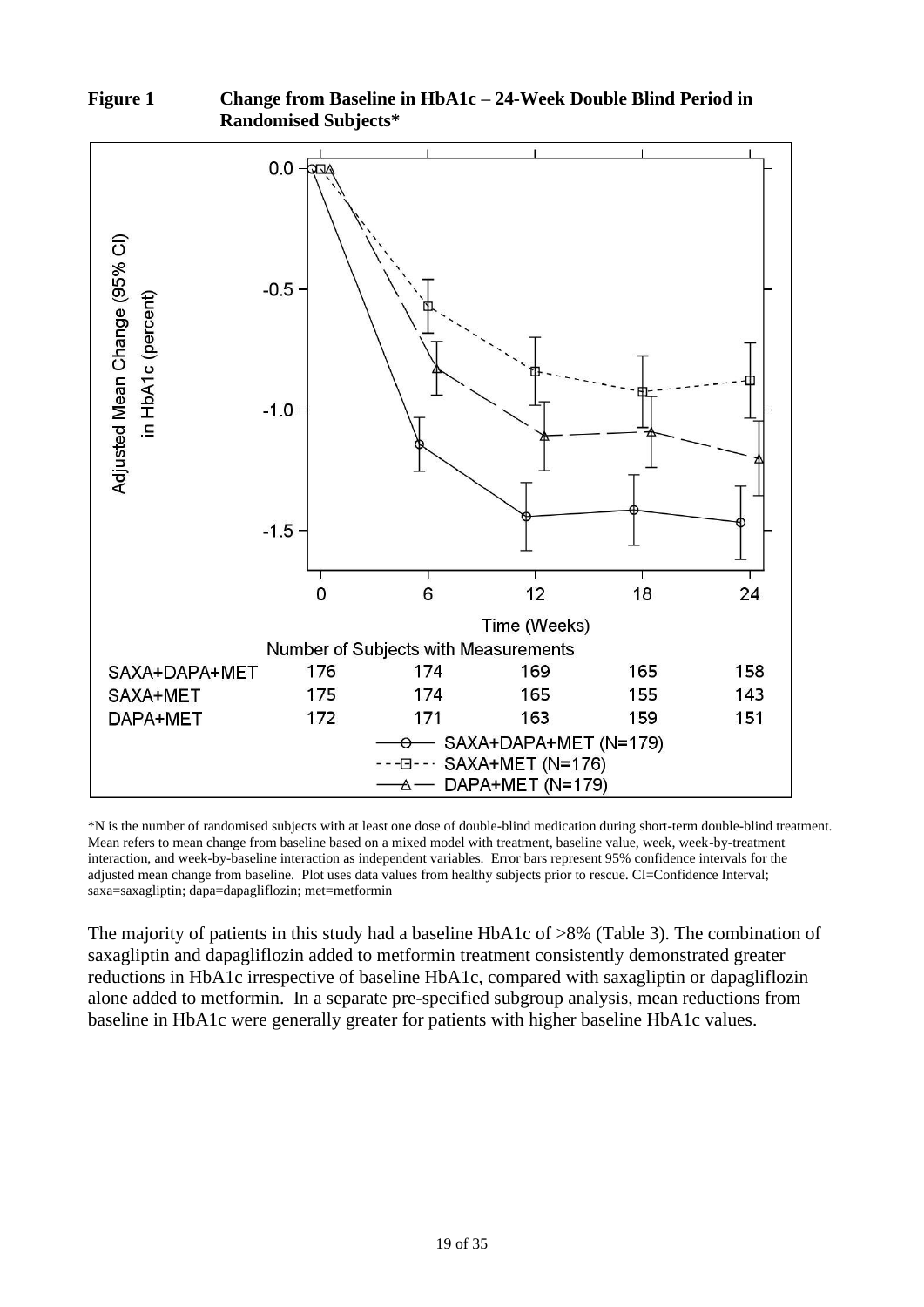

<span id="page-18-0"></span>**Figure 1 Change from Baseline in HbA1c – 24-Week Double Blind Period in Randomised Subjects\***

\*N is the number of randomised subjects with at least one dose of double-blind medication during short-term double-blind treatment. Mean refers to mean change from baseline based on a mixed model with treatment, baseline value, week, week-by-treatment interaction, and week-by-baseline interaction as independent variables. Error bars represent 95% confidence intervals for the adjusted mean change from baseline. Plot uses data values from healthy subjects prior to rescue. CI=Confidence Interval; saxa=saxagliptin; dapa=dapagliflozin; met=metformin

The majority of patients in this study had a baseline HbA1c of >8% [\(Table](#page-19-0) 3). The combination of saxagliptin and dapagliflozin added to metformin treatment consistently demonstrated greater reductions in HbA1c irrespective of baseline HbA1c, compared with saxagliptin or dapagliflozin alone added to metformin. In a separate pre-specified subgroup analysis, mean reductions from baseline in HbA1c were generally greater for patients with higher baseline HbA1c values.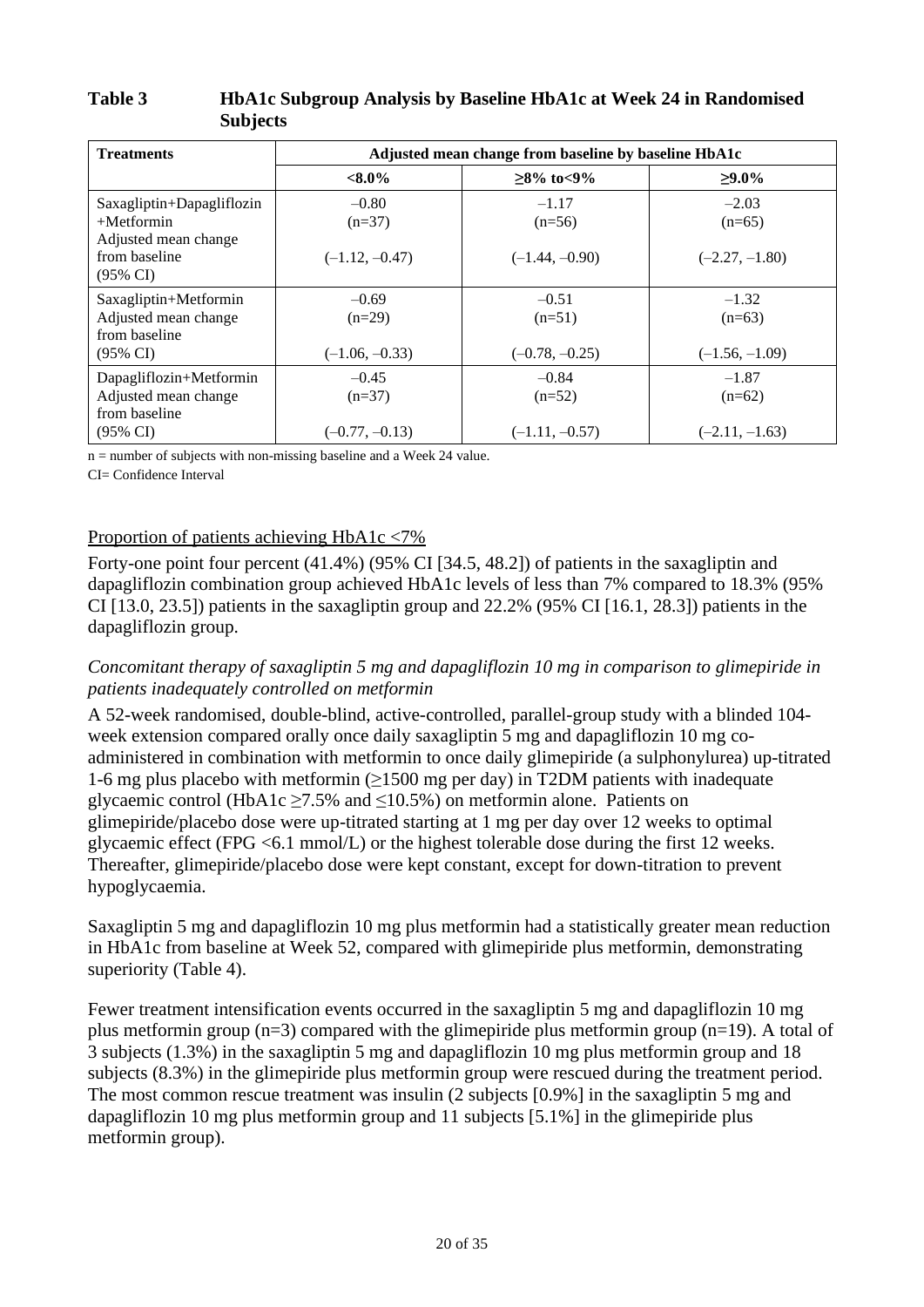#### <span id="page-19-0"></span>**Table 3 HbA1c Subgroup Analysis by Baseline HbA1c at Week 24 in Randomised Subjects**

| <b>Treatments</b>                                                                                          | Adjusted mean change from baseline by baseline HbA1c |                                         |                                         |
|------------------------------------------------------------------------------------------------------------|------------------------------------------------------|-----------------------------------------|-----------------------------------------|
|                                                                                                            | $<\!\!8.0\!\%$                                       | $≥8\%$ to<9%                            | $>9.0\%$                                |
| Saxagliptin+Dapagliflozin<br>$+$ Metformin<br>Adjusted mean change<br>from baseline<br>$(95\% \text{ CI})$ | $-0.80$<br>$(n=37)$<br>$(-1.12, -0.47)$              | $-1.17$<br>$(n=56)$<br>$(-1.44, -0.90)$ | $-2.03$<br>$(n=65)$<br>$(-2.27, -1.80)$ |
| Saxagliptin+Metformin<br>Adjusted mean change<br>from baseline<br>$(95\% \text{ CI})$                      | $-0.69$<br>$(n=29)$<br>$(-1.06, -0.33)$              | $-0.51$<br>$(n=51)$<br>$(-0.78, -0.25)$ | $-1.32$<br>$(n=63)$<br>$(-1.56, -1.09)$ |
| Dapagliflozin+Metformin<br>Adjusted mean change<br>from baseline<br>$(95\% \text{ CI})$                    | $-0.45$<br>$(n=37)$<br>$(-0.77, -0.13)$              | $-0.84$<br>$(n=52)$<br>$(-1.11, -0.57)$ | $-1.87$<br>$(n=62)$<br>$(-2.11, -1.63)$ |

n = number of subjects with non-missing baseline and a Week 24 value.

CI= Confidence Interval

## Proportion of patients achieving HbA1c <7%

Forty-one point four percent (41.4%) (95% CI [34.5, 48.2]) of patients in the saxagliptin and dapagliflozin combination group achieved HbA1c levels of less than 7% compared to 18.3% (95% CI  $[13.0, 23.5]$  patients in the saxagliptin group and  $22.2\%$  (95% CI  $[16.1, 28.3]$ ) patients in the dapagliflozin group.

#### *Concomitant therapy of saxagliptin 5 mg and dapagliflozin 10 mg in comparison to glimepiride in patients inadequately controlled on metformin*

A 52-week randomised, double-blind, active-controlled, parallel-group study with a blinded 104 week extension compared orally once daily saxagliptin 5 mg and dapagliflozin 10 mg coadministered in combination with metformin to once daily glimepiride (a sulphonylurea) up-titrated 1-6 mg plus placebo with metformin  $(\geq 1500 \text{ mg per day})$  in T2DM patients with inadequate glycaemic control (HbA1c  $\geq$ 7.5% and  $\leq$ 10.5%) on metformin alone. Patients on glimepiride/placebo dose were up-titrated starting at 1 mg per day over 12 weeks to optimal glycaemic effect (FPG <6.1 mmol/L) or the highest tolerable dose during the first 12 weeks. Thereafter, glimepiride/placebo dose were kept constant, except for down-titration to prevent hypoglycaemia.

Saxagliptin 5 mg and dapagliflozin 10 mg plus metformin had a statistically greater mean reduction in HbA1c from baseline at Week 52, compared with glimepiride plus metformin, demonstrating superiority (Table 4).

Fewer treatment intensification events occurred in the saxagliptin 5 mg and dapagliflozin 10 mg plus metformin group  $(n=3)$  compared with the glimepiride plus metformin group  $(n=19)$ . A total of 3 subjects (1.3%) in the saxagliptin 5 mg and dapagliflozin 10 mg plus metformin group and 18 subjects (8.3%) in the glimepiride plus metformin group were rescued during the treatment period. The most common rescue treatment was insulin (2 subjects [0.9%] in the saxagliptin 5 mg and dapagliflozin 10 mg plus metformin group and 11 subjects [5.1%] in the glimepiride plus metformin group).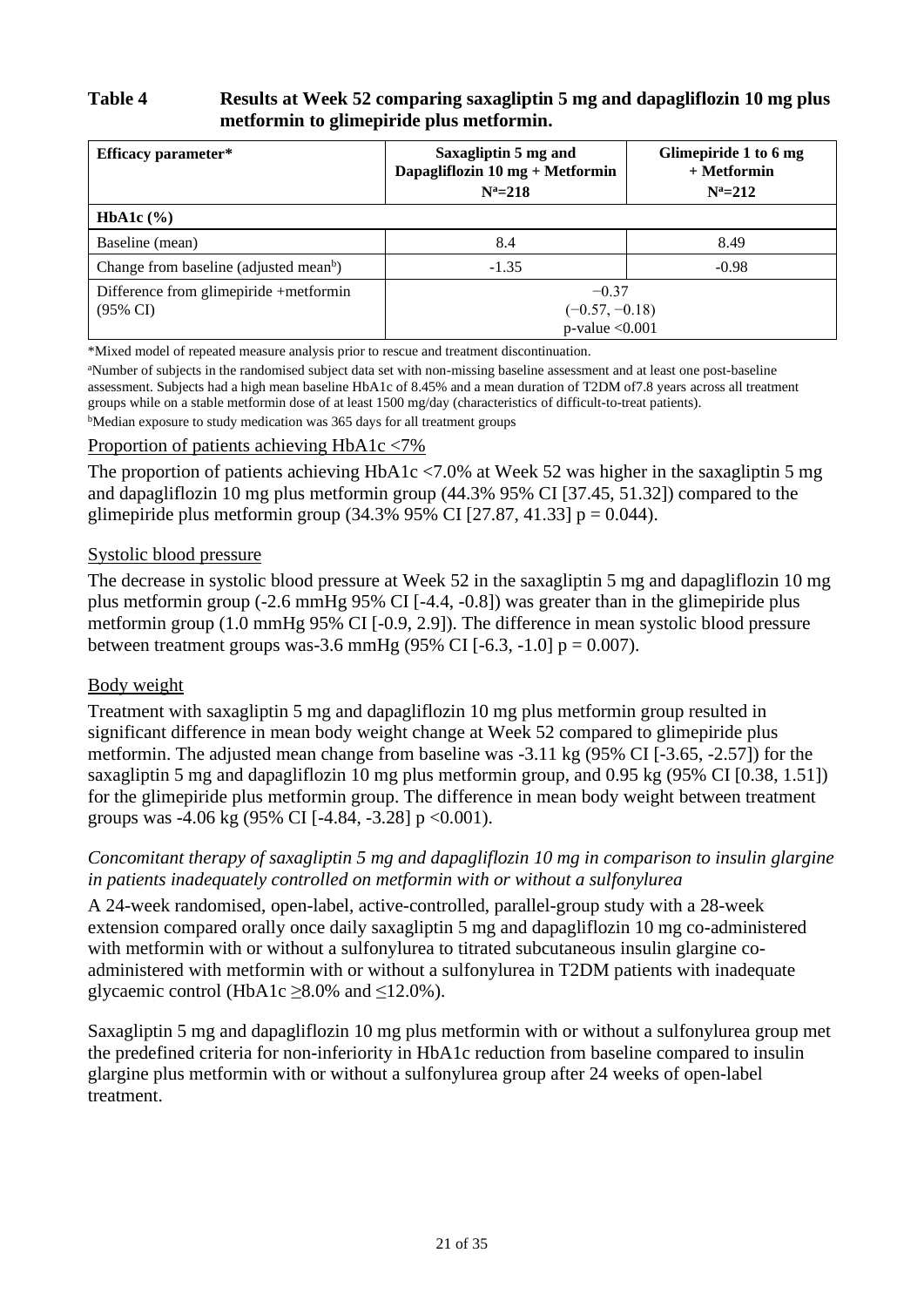## **Table 4 Results at Week 52 comparing saxagliptin 5 mg and dapagliflozin 10 mg plus metformin to glimepiride plus metformin.**

| Efficacy parameter*                                           | Saxagliptin 5 mg and<br>Dapagliflozin $10 \text{ mg} + \text{Metformin}$<br>$N^a = 218$ | Glimepiride 1 to 6 mg<br>$+$ Metformin<br>$N^a = 212$ |
|---------------------------------------------------------------|-----------------------------------------------------------------------------------------|-------------------------------------------------------|
| <b>HbA1c</b> $(\%)$                                           |                                                                                         |                                                       |
| Baseline (mean)                                               | 8.4                                                                                     | 8.49                                                  |
| Change from baseline (adjusted mean <sup>b</sup> )            | $-1.35$                                                                                 | $-0.98$                                               |
| Difference from glimepiride +metformin<br>$(95\% \text{ CI})$ | $-0.37$<br>$(-0.57, -0.18)$<br>$p$ -value < 0.001                                       |                                                       |

\*Mixed model of repeated measure analysis prior to rescue and treatment discontinuation.

<sup>a</sup>Number of subjects in the randomised subject data set with non-missing baseline assessment and at least one post-baseline assessment. Subjects had a high mean baseline HbA1c of 8.45% and a mean duration of T2DM of7.8 years across all treatment groups while on a stable metformin dose of at least 1500 mg/day (characteristics of difficult-to-treat patients).

<sup>b</sup>Median exposure to study medication was 365 days for all treatment groups

#### Proportion of patients achieving HbA1c <7%

The proportion of patients achieving HbA1c <7.0% at Week 52 was higher in the saxagliptin 5 mg and dapagliflozin 10 mg plus metformin group (44.3% 95% CI [37.45, 51.32]) compared to the glimepiride plus metformin group  $(34.3\% 95\% \text{ CI} [27.87, 41.33] p = 0.044)$ .

#### Systolic blood pressure

The decrease in systolic blood pressure at Week 52 in the saxagliptin 5 mg and dapagliflozin 10 mg plus metformin group (-2.6 mmHg 95% CI [-4.4, -0.8]) was greater than in the glimepiride plus metformin group (1.0 mmHg 95% CI [-0.9, 2.9]). The difference in mean systolic blood pressure between treatment groups was-3.6 mmHg (95% CI [-6.3, -1.0]  $p = 0.007$ ).

#### Body weight

Treatment with saxagliptin 5 mg and dapagliflozin 10 mg plus metformin group resulted in significant difference in mean body weight change at Week 52 compared to glimepiride plus metformin. The adjusted mean change from baseline was -3.11 kg (95% CI [-3.65, -2.57]) for the saxagliptin 5 mg and dapagliflozin 10 mg plus metformin group, and 0.95 kg (95% CI [0.38, 1.51]) for the glimepiride plus metformin group. The difference in mean body weight between treatment groups was  $-4.06$  kg (95% CI [ $-4.84$ ,  $-3.28$ ] p  $<0.001$ ).

#### *Concomitant therapy of saxagliptin 5 mg and dapagliflozin 10 mg in comparison to insulin glargine in patients inadequately controlled on metformin with or without a sulfonylurea*

A 24-week randomised, open-label, active-controlled, parallel-group study with a 28-week extension compared orally once daily saxagliptin 5 mg and dapagliflozin 10 mg co-administered with metformin with or without a sulfonylurea to titrated subcutaneous insulin glargine coadministered with metformin with or without a sulfonylurea in T2DM patients with inadequate glycaemic control (HbA1c  $\geq$ 8.0% and  $\leq$ 12.0%).

Saxagliptin 5 mg and dapagliflozin 10 mg plus metformin with or without a sulfonylurea group met the predefined criteria for non-inferiority in HbA1c reduction from baseline compared to insulin glargine plus metformin with or without a sulfonylurea group after 24 weeks of open-label treatment.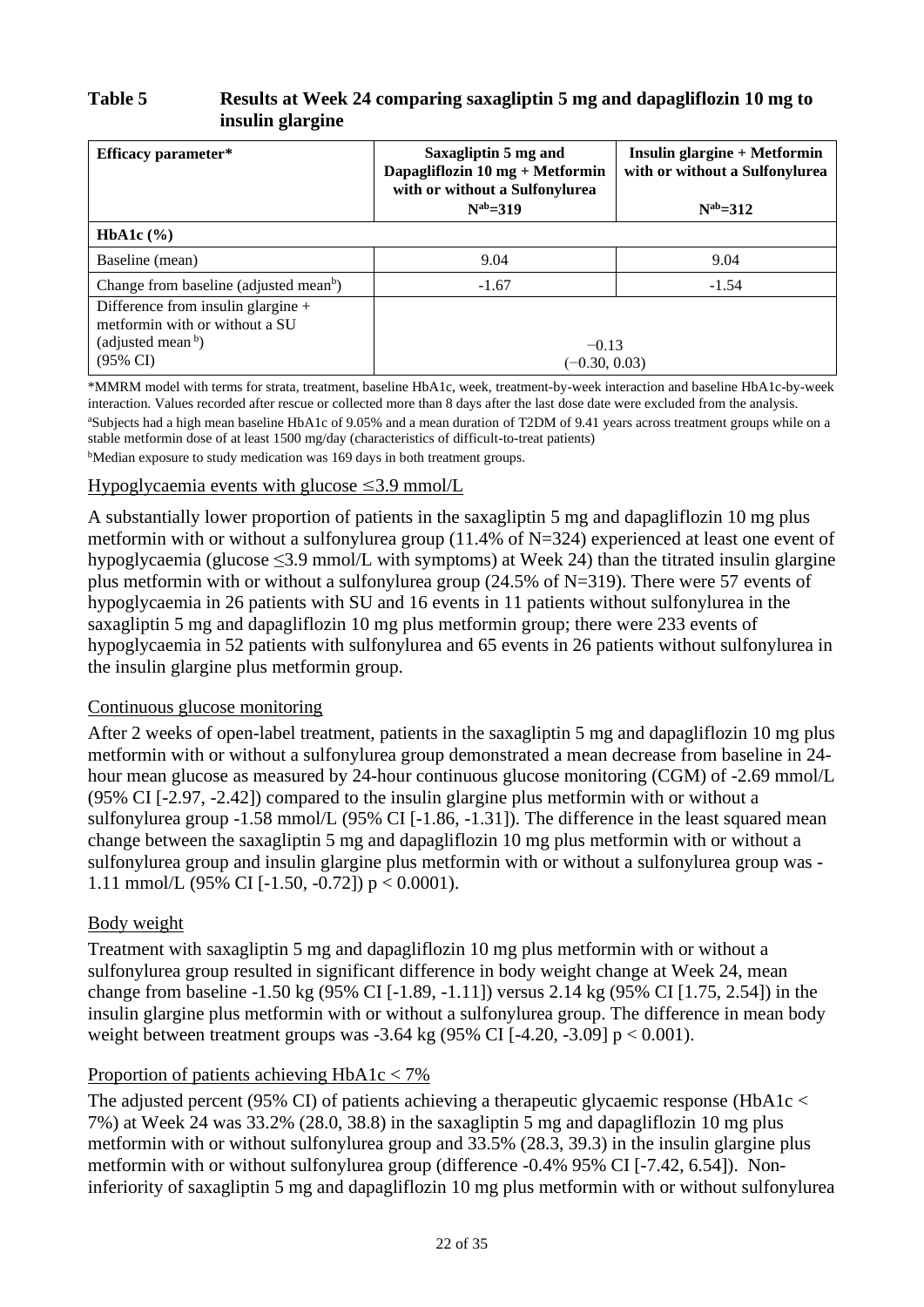## **Table 5 Results at Week 24 comparing saxagliptin 5 mg and dapagliflozin 10 mg to insulin glargine**

| Saxagliptin 5 mg and<br>Efficacy parameter*<br>Dapagliflozin $10 \text{ mg} + \text{Metformin}$<br>with or without a Sulfonylurea<br>$N^{ab}=319$ |                            | <b>Insulin glargine + Metformin</b><br>with or without a Sulfonylurea<br>$N^{ab} = 312$ |
|---------------------------------------------------------------------------------------------------------------------------------------------------|----------------------------|-----------------------------------------------------------------------------------------|
| <b>HbA1c</b> $(\% )$                                                                                                                              |                            |                                                                                         |
| Baseline (mean)                                                                                                                                   | 9.04                       | 9.04                                                                                    |
| Change from baseline (adjusted mean <sup>b</sup> )                                                                                                | $-1.67$                    | $-1.54$                                                                                 |
| Difference from insulin glargine $+$<br>metformin with or without a SU<br>(adjusted mean $\bar{b}$ )<br>$(95\% \text{ CI})$                       | $-0.13$<br>$(-0.30, 0.03)$ |                                                                                         |

\*MMRM model with terms for strata, treatment, baseline HbA1c, week, treatment-by-week interaction and baseline HbA1c-by-week interaction. Values recorded after rescue or collected more than 8 days after the last dose date were excluded from the analysis. <sup>a</sup>Subjects had a high mean baseline HbA1c of 9.05% and a mean duration of T2DM of 9.41 years across treatment groups while on a stable metformin dose of at least 1500 mg/day (characteristics of difficult-to-treat patients) bMedian exposure to study medication was 169 days in both treatment groups.

#### Hypoglycaemia events with glucose  $\leq$ 3.9 mmol/L

A substantially lower proportion of patients in the saxagliptin 5 mg and dapagliflozin 10 mg plus metformin with or without a sulfonylurea group (11.4% of N=324) experienced at least one event of hypoglycaemia (glucose ≤3.9 mmol/L with symptoms) at Week 24) than the titrated insulin glargine plus metformin with or without a sulfonylurea group (24.5% of N=319). There were 57 events of hypoglycaemia in 26 patients with SU and 16 events in 11 patients without sulfonylurea in the saxagliptin 5 mg and dapagliflozin 10 mg plus metformin group; there were 233 events of hypoglycaemia in 52 patients with sulfonylurea and 65 events in 26 patients without sulfonylurea in the insulin glargine plus metformin group.

#### Continuous glucose monitoring

After 2 weeks of open-label treatment, patients in the saxagliptin 5 mg and dapagliflozin 10 mg plus metformin with or without a sulfonylurea group demonstrated a mean decrease from baseline in 24 hour mean glucose as measured by 24-hour continuous glucose monitoring (CGM) of -2.69 mmol/L (95% CI [-2.97, -2.42]) compared to the insulin glargine plus metformin with or without a sulfonylurea group -1.58 mmol/L (95% CI [-1.86, -1.31]). The difference in the least squared mean change between the saxagliptin 5 mg and dapagliflozin 10 mg plus metformin with or without a sulfonylurea group and insulin glargine plus metformin with or without a sulfonylurea group was - 1.11 mmol/L (95% CI [-1.50, -0.72])  $p < 0.0001$ ).

#### Body weight

Treatment with saxagliptin 5 mg and dapagliflozin 10 mg plus metformin with or without a sulfonylurea group resulted in significant difference in body weight change at Week 24, mean change from baseline -1.50 kg (95% CI [-1.89, -1.11]) versus 2.14 kg (95% CI [1.75, 2.54]) in the insulin glargine plus metformin with or without a sulfonylurea group. The difference in mean body weight between treatment groups was  $-3.64$  kg (95% CI [ $-4.20$ ,  $-3.09$ ] p  $< 0.001$ ).

#### Proportion of patients achieving HbA1c < 7%

The adjusted percent (95% CI) of patients achieving a therapeutic glycaemic response (HbA1c  $\lt$ 7%) at Week 24 was 33.2% (28.0, 38.8) in the saxagliptin 5 mg and dapagliflozin 10 mg plus metformin with or without sulfonylurea group and 33.5% (28.3, 39.3) in the insulin glargine plus metformin with or without sulfonylurea group (difference -0.4% 95% CI [-7.42, 6.54]). Noninferiority of saxagliptin 5 mg and dapagliflozin 10 mg plus metformin with or without sulfonylurea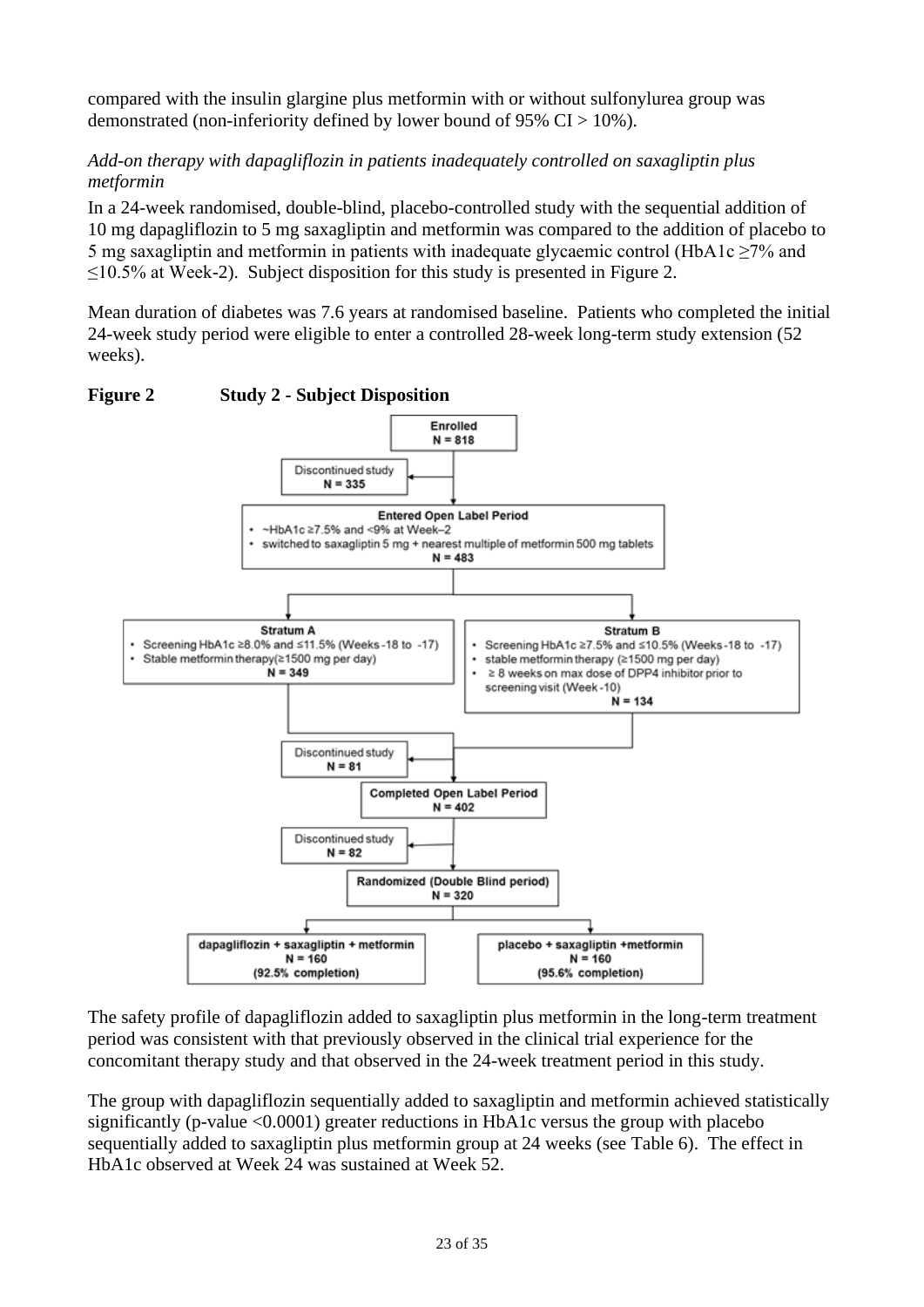compared with the insulin glargine plus metformin with or without sulfonylurea group was demonstrated (non-inferiority defined by lower bound of 95%  $CI > 10\%$ ).

## *Add-on therapy with dapagliflozin in patients inadequately controlled on saxagliptin plus metformin*

In a 24-week randomised, double-blind, placebo-controlled study with the sequential addition of 10 mg dapagliflozin to 5 mg saxagliptin and metformin was compared to the addition of placebo to 5 mg saxagliptin and metformin in patients with inadequate glycaemic control (HbA1c ≥7% and  $\leq$ 10.5% at Week-2). Subject disposition for this study is presented in [Figure](#page-22-0) 2.

Mean duration of diabetes was 7.6 years at randomised baseline. Patients who completed the initial 24-week study period were eligible to enter a controlled 28-week long-term study extension (52 weeks).



#### <span id="page-22-0"></span>**Figure 2 Study 2 - Subject Disposition**

The safety profile of dapagliflozin added to saxagliptin plus metformin in the long-term treatment period was consistent with that previously observed in the clinical trial experience for the concomitant therapy study and that observed in the 24-week treatment period in this study.

The group with dapagliflozin sequentially added to saxagliptin and metformin achieved statistically significantly (p-value <0.0001) greater reductions in HbA1c versus the group with placebo sequentially added to saxagliptin plus metformin group at 24 weeks (see [Table](#page-24-0) 6). The effect in HbA1c observed at Week 24 was sustained at Week 52.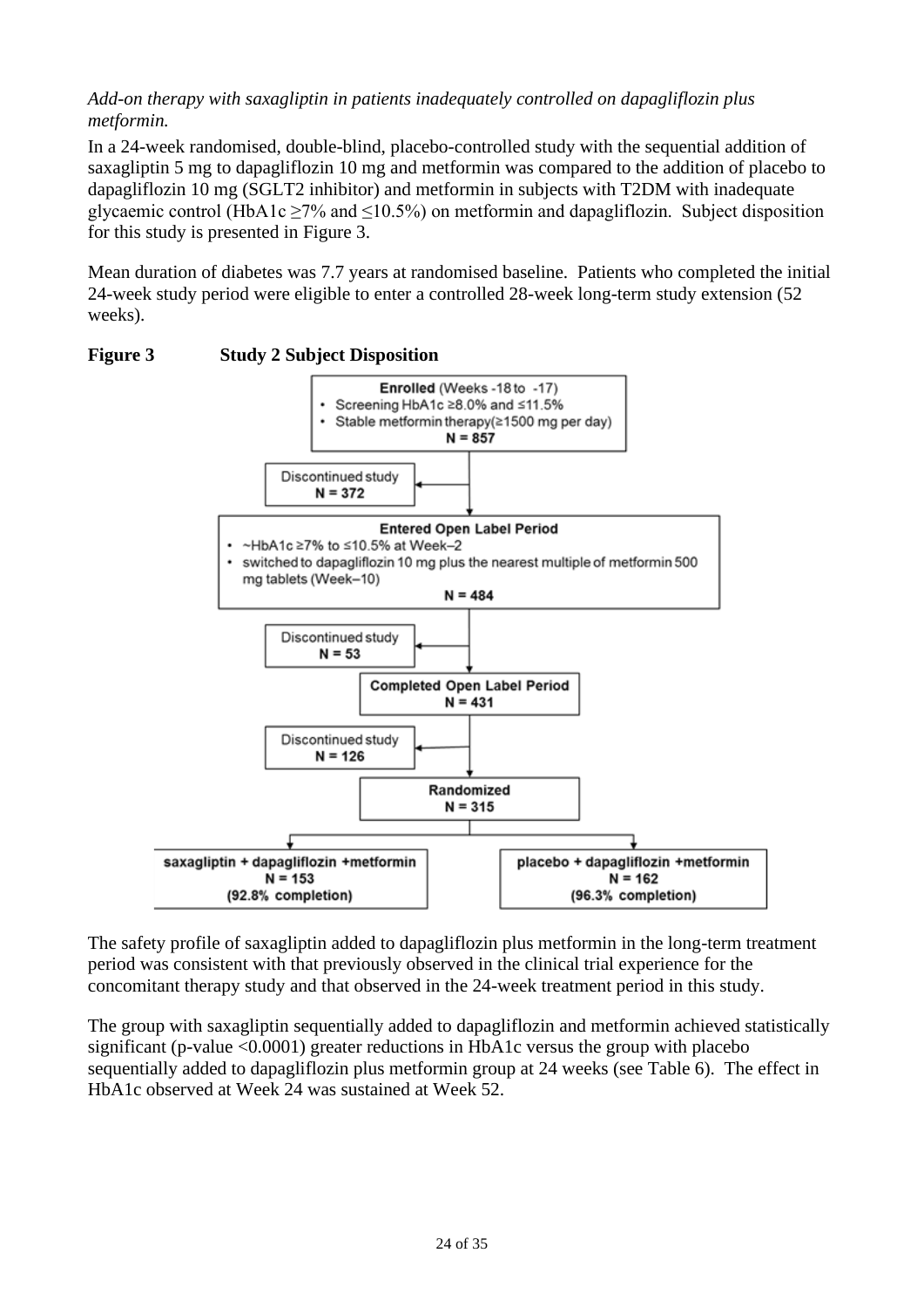## *Add-on therapy with saxagliptin in patients inadequately controlled on dapagliflozin plus metformin.*

In a 24-week randomised, double-blind, placebo-controlled study with the sequential addition of saxagliptin 5 mg to dapagliflozin 10 mg and metformin was compared to the addition of placebo to dapagliflozin 10 mg (SGLT2 inhibitor) and metformin in subjects with T2DM with inadequate glycaemic control (HbA1c  $\geq$ 7% and  $\leq$ 10.5%) on metformin and dapagliflozin. Subject disposition for this study is presented in [Figure](#page-23-0) 3.

Mean duration of diabetes was 7.7 years at randomised baseline. Patients who completed the initial 24-week study period were eligible to enter a controlled 28-week long-term study extension (52 weeks).



#### <span id="page-23-0"></span>**Figure 3 Study 2 Subject Disposition**

The safety profile of saxagliptin added to dapagliflozin plus metformin in the long-term treatment period was consistent with that previously observed in the clinical trial experience for the concomitant therapy study and that observed in the 24-week treatment period in this study.

The group with saxagliptin sequentially added to dapagliflozin and metformin achieved statistically significant (p-value <0.0001) greater reductions in HbA1c versus the group with placebo sequentially added to dapagliflozin plus metformin group at 24 weeks (see [Table](#page-24-0) 6). The effect in HbA1c observed at Week 24 was sustained at Week 52.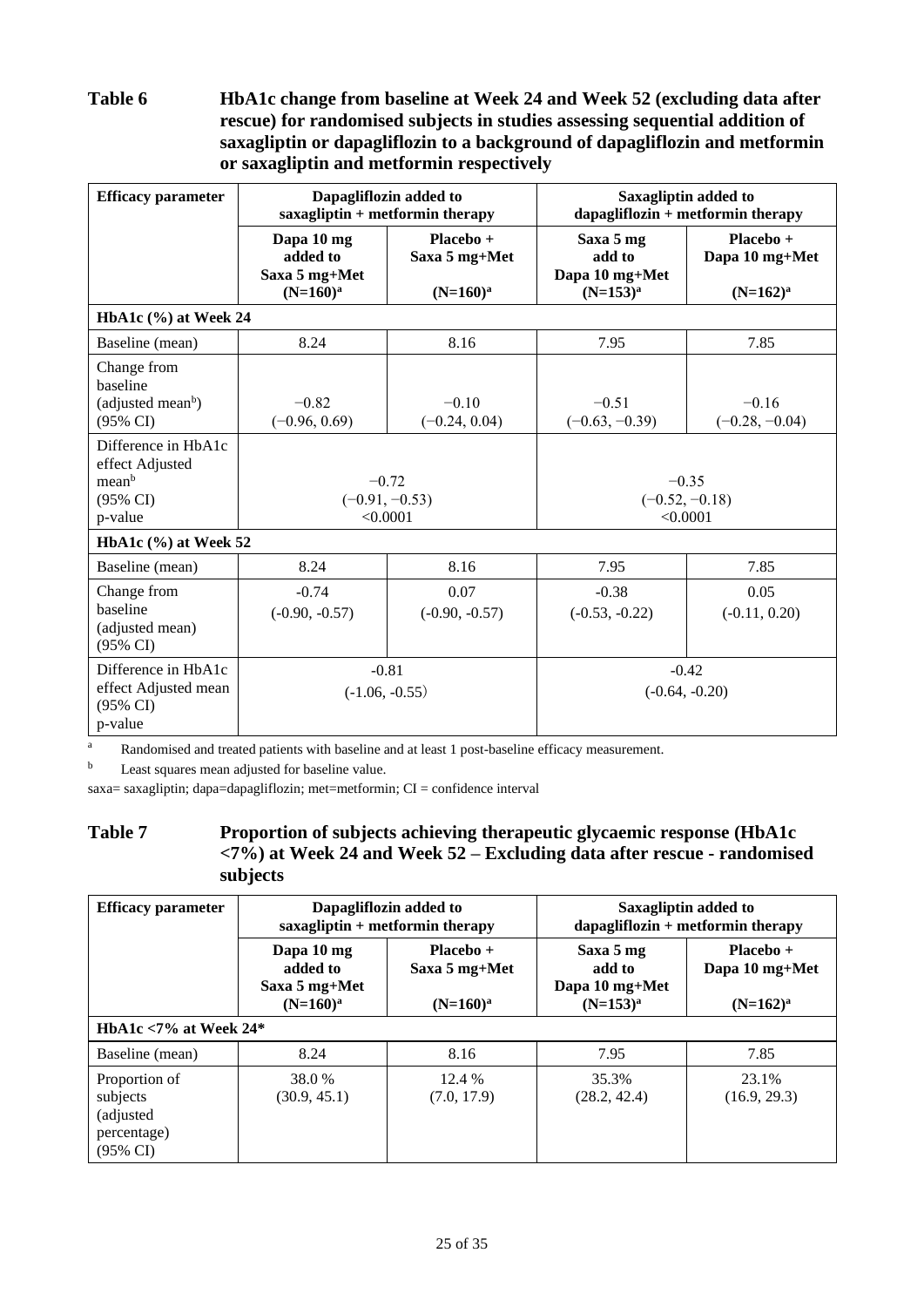<span id="page-24-0"></span>**Table 6 HbA1c change from baseline at Week 24 and Week 52 (excluding data after rescue) for randomised subjects in studies assessing sequential addition of saxagliptin or dapagliflozin to a background of dapagliflozin and metformin or saxagliptin and metformin respectively**

| <b>Efficacy parameter</b>                                                         | Dapagliflozin added to<br>$saxagliptin + metformin$ therapy |                                           |                                                        | Saxagliptin added to<br>$dapagliflozin + metformin therapy$ |  |
|-----------------------------------------------------------------------------------|-------------------------------------------------------------|-------------------------------------------|--------------------------------------------------------|-------------------------------------------------------------|--|
|                                                                                   | Dapa 10 mg<br>added to<br>Saxa 5 mg+Met<br>$(N=160)^a$      | Placebo +<br>Saxa 5 mg+Met<br>$(N=160)^a$ | Saxa 5 mg<br>add to<br>Dapa 10 mg+Met<br>$(N=153)^{a}$ | Placebo +<br>Dapa 10 mg+Met<br>$(N=162)^a$                  |  |
| HbA1c (%) at Week 24                                                              |                                                             |                                           |                                                        |                                                             |  |
| Baseline (mean)                                                                   | 8.24                                                        | 8.16                                      | 7.95                                                   | 7.85                                                        |  |
| Change from<br>baseline<br>(adjusted mean <sup>b</sup> )<br>(95% CI)              | $-0.82$<br>$(-0.96, 0.69)$                                  | $-0.10$<br>$(-0.24, 0.04)$                | $-0.51$<br>$(-0.63, -0.39)$                            | $-0.16$<br>$(-0.28, -0.04)$                                 |  |
| Difference in HbA1c<br>effect Adjusted<br>meanb<br>$(95\% \text{ CI})$<br>p-value | $-0.72$<br>$(-0.91, -0.53)$<br>< 0.0001                     |                                           | $-0.35$<br>$(-0.52, -0.18)$<br>< 0.0001                |                                                             |  |
| HbA1c $(\% )$ at Week 52                                                          |                                                             |                                           |                                                        |                                                             |  |
| Baseline (mean)                                                                   | 8.24                                                        | 8.16                                      | 7.95                                                   | 7.85                                                        |  |
| Change from<br>baseline<br>(adjusted mean)<br>(95% CI)                            | $-0.74$<br>$(-0.90, -0.57)$                                 | 0.07<br>$(-0.90, -0.57)$                  | $-0.38$<br>$(-0.53, -0.22)$                            | 0.05<br>$(-0.11, 0.20)$                                     |  |
| Difference in HbA1c<br>effect Adjusted mean<br>(95% CI)<br>p-value                | $(-1.06, -0.55)$                                            | $-0.81$                                   |                                                        | $-0.42$<br>$(-0.64, -0.20)$                                 |  |

<sup>a</sup> Randomised and treated patients with baseline and at least 1 post-baseline efficacy measurement.

b Least squares mean adjusted for baseline value.

saxa= saxagliptin; dapa=dapagliflozin; met=metformin; CI = confidence interval

#### **Table 7 Proportion of subjects achieving therapeutic glycaemic response (HbA1c <7%) at Week 24 and Week 52 – Excluding data after rescue - randomised subjects**

| <b>Efficacy parameter</b>                                                     | Dapagliflozin added to<br>$saxagliptin + metformin$ therapy |                                             | Saxagliptin added to<br>$dapagliflozin + metformin therapy$ |                                              |
|-------------------------------------------------------------------------------|-------------------------------------------------------------|---------------------------------------------|-------------------------------------------------------------|----------------------------------------------|
|                                                                               | Dapa 10 mg<br>added to<br>Saxa 5 mg+Met<br>$(N=160)^a$      | $Placebo +$<br>Saxa 5 mg+Met<br>$(N=160)^a$ | Saxa 5 mg<br>add to<br>Dapa 10 mg+Met<br>$(N=153)^a$        | $Placebo +$<br>Dapa 10 mg+Met<br>$(N=162)^a$ |
| HbA1c $<$ 7% at Week 24*                                                      |                                                             |                                             |                                                             |                                              |
| Baseline (mean)                                                               | 8.24                                                        | 8.16                                        | 7.95                                                        | 7.85                                         |
| Proportion of<br>subjects<br>(adjusted)<br>percentage)<br>$(95\% \text{ CI})$ | 38.0 %<br>(30.9, 45.1)                                      | 12.4 %<br>(7.0, 17.9)                       | 35.3%<br>(28.2, 42.4)                                       | 23.1%<br>(16.9, 29.3)                        |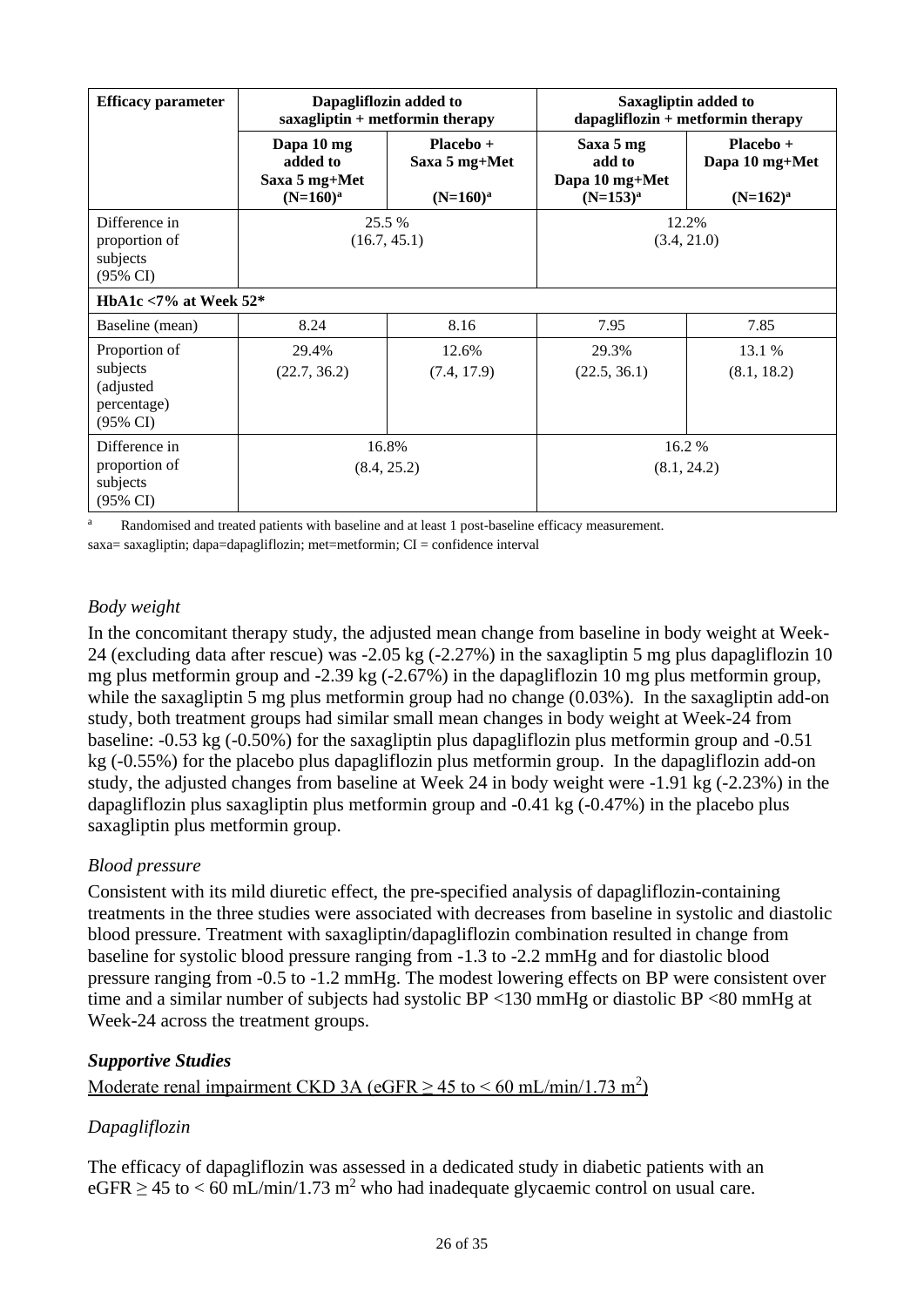| <b>Efficacy parameter</b>                                          | Dapagliflozin added to<br>$saxag$ liptin + metformin therapy |                                             | Saxagliptin added to<br>$dapagliflozin + metformin therapy$ |                                              |
|--------------------------------------------------------------------|--------------------------------------------------------------|---------------------------------------------|-------------------------------------------------------------|----------------------------------------------|
|                                                                    | Dapa 10 mg<br>added to<br>Saxa 5 mg+Met<br>$(N=160)^a$       | $Placebo +$<br>Saxa 5 mg+Met<br>$(N=160)^a$ | Saxa 5 mg<br>add to<br>Dapa 10 mg+Met<br>$(N=153)^{a}$      | $Placebo +$<br>Dapa 10 mg+Met<br>$(N=162)^a$ |
| Difference in<br>proportion of<br>subjects<br>(95% CI)             | 25.5 %<br>(16.7, 45.1)                                       |                                             | 12.2%<br>(3.4, 21.0)                                        |                                              |
| HbA1c $<$ 7% at Week 52*                                           |                                                              |                                             |                                                             |                                              |
| Baseline (mean)                                                    | 8.24                                                         | 8.16                                        | 7.95                                                        | 7.85                                         |
| Proportion of<br>subjects<br>(adjusted)<br>percentage)<br>(95% CI) | 29.4%<br>(22.7, 36.2)                                        | 12.6%<br>(7.4, 17.9)                        | 29.3%<br>(22.5, 36.1)                                       | 13.1 %<br>(8.1, 18.2)                        |
| Difference in<br>proportion of<br>subjects<br>$(95\% \text{ CI})$  | 16.8%<br>(8.4, 25.2)                                         |                                             |                                                             | 16.2 %<br>(8.1, 24.2)                        |

<sup>a</sup> Randomised and treated patients with baseline and at least 1 post-baseline efficacy measurement.

saxa= saxagliptin; dapa=dapagliflozin; met=metformin;  $CI =$  confidence interval

## *Body weight*

In the concomitant therapy study, the adjusted mean change from baseline in body weight at Week-24 (excluding data after rescue) was -2.05 kg (-2.27%) in the saxagliptin 5 mg plus dapagliflozin 10 mg plus metformin group and -2.39 kg (-2.67%) in the dapagliflozin 10 mg plus metformin group, while the saxagliptin 5 mg plus metformin group had no change (0.03%). In the saxagliptin add-on study, both treatment groups had similar small mean changes in body weight at Week-24 from baseline: -0.53 kg (-0.50%) for the saxagliptin plus dapagliflozin plus metformin group and -0.51 kg (-0.55%) for the placebo plus dapagliflozin plus metformin group. In the dapagliflozin add-on study, the adjusted changes from baseline at Week 24 in body weight were -1.91 kg (-2.23%) in the dapagliflozin plus saxagliptin plus metformin group and -0.41 kg (-0.47%) in the placebo plus saxagliptin plus metformin group.

## *Blood pressure*

Consistent with its mild diuretic effect, the pre-specified analysis of dapagliflozin-containing treatments in the three studies were associated with decreases from baseline in systolic and diastolic blood pressure. Treatment with saxagliptin/dapagliflozin combination resulted in change from baseline for systolic blood pressure ranging from -1.3 to -2.2 mmHg and for diastolic blood pressure ranging from -0.5 to -1.2 mmHg. The modest lowering effects on BP were consistent over time and a similar number of subjects had systolic BP <130 mmHg or diastolic BP <80 mmHg at Week-24 across the treatment groups.

## *Supportive Studies*

Moderate renal impairment CKD 3A (eGFR  $\geq$  45 to  $\leq$  60 mL/min/1.73 m<sup>2</sup>)

## *Dapagliflozin*

The efficacy of dapagliflozin was assessed in a dedicated study in diabetic patients with an  $eGFR \ge 45$  to  $< 60$  mL/min/1.73 m<sup>2</sup> who had inadequate glycaemic control on usual care.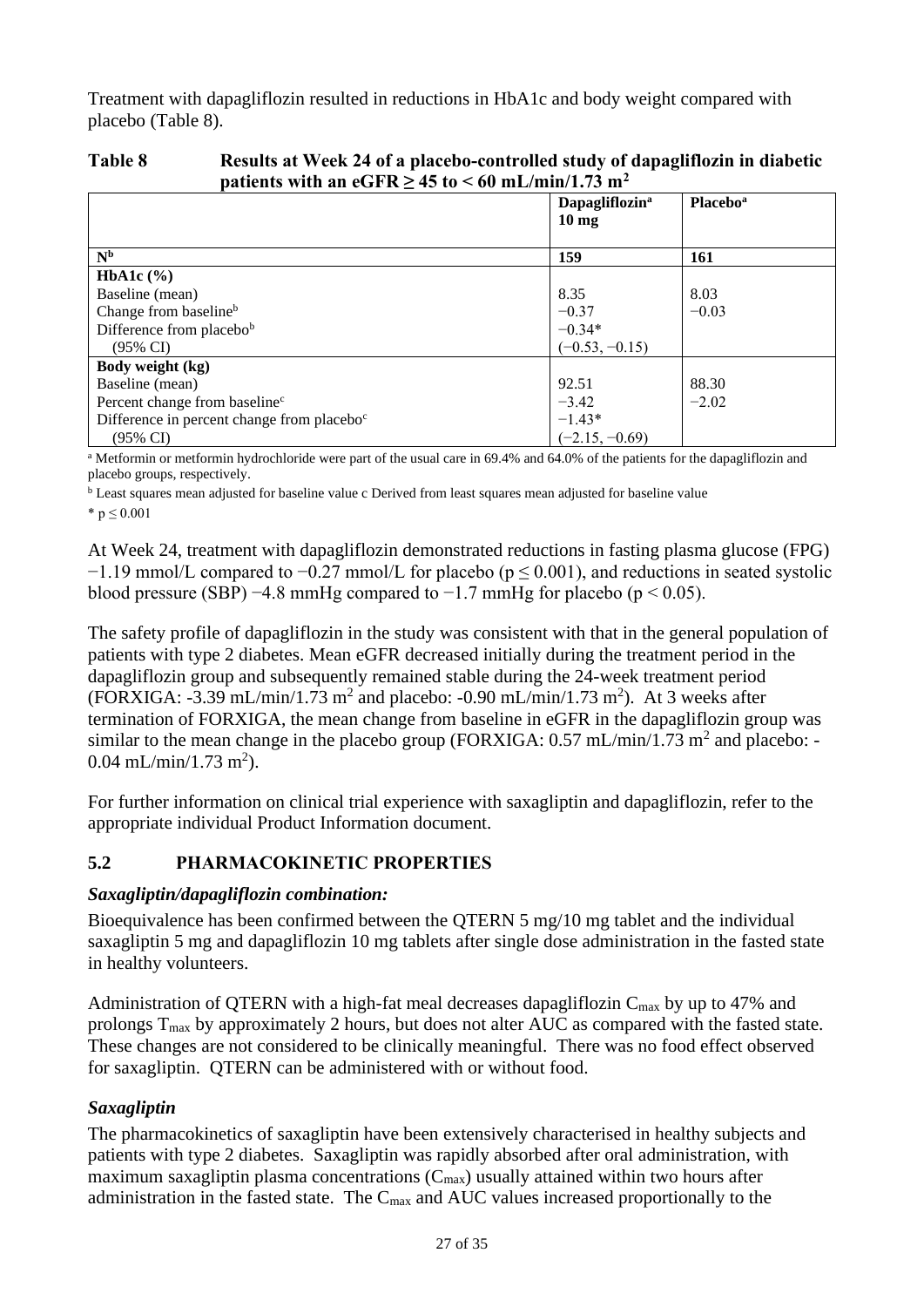Treatment with dapagliflozin resulted in reductions in HbA1c and body weight compared with placebo [\(Table 8\)](#page-26-0).

#### <span id="page-26-0"></span>**Table 8 Results at Week 24 of a placebo-controlled study of dapagliflozin in diabetic patients with an eGFR**  $> 45$  **to**  $< 60$  **mL/min/1.73 m<sup>2</sup>**

|                                                        | <b>Dapagliflozin<sup>a</sup></b><br>$10 \text{ mg}$ | <b>Placebo</b> <sup>a</sup> |
|--------------------------------------------------------|-----------------------------------------------------|-----------------------------|
| N <sub>b</sub>                                         | 159                                                 | <b>161</b>                  |
| <b>HbA1c</b> $(\% )$                                   |                                                     |                             |
| Baseline (mean)                                        | 8.35                                                | 8.03                        |
| Change from baseline <sup>b</sup>                      | $-0.37$                                             | $-0.03$                     |
| Difference from placebob                               | $-0.34*$                                            |                             |
| $(95\% \text{ CI})$                                    | $(-0.53, -0.15)$                                    |                             |
| Body weight (kg)                                       |                                                     |                             |
| Baseline (mean)                                        | 92.51                                               | 88.30                       |
| Percent change from baseline <sup>c</sup>              | $-3.42$                                             | $-2.02$                     |
| Difference in percent change from placebo <sup>c</sup> | $-1.43*$                                            |                             |
| $(95\% \text{ CI})$                                    | $(-2.15, -0.69)$                                    |                             |

<sup>a</sup> Metformin or metformin hydrochloride were part of the usual care in 69.4% and 64.0% of the patients for the dapagliflozin and placebo groups, respectively.

<sup>b</sup> Least squares mean adjusted for baseline value c Derived from least squares mean adjusted for baseline value

\*  $p \le 0.001$ 

At Week 24, treatment with dapagliflozin demonstrated reductions in fasting plasma glucose (FPG)  $-1.19$  mmol/L compared to  $-0.27$  mmol/L for placebo ( $p \le 0.001$ ), and reductions in seated systolic blood pressure (SBP) −4.8 mmHg compared to −1.7 mmHg for placebo (p < 0.05).

The safety profile of dapagliflozin in the study was consistent with that in the general population of patients with type 2 diabetes. Mean eGFR decreased initially during the treatment period in the dapagliflozin group and subsequently remained stable during the 24-week treatment period (FORXIGA: -3.39 mL/min/1.73 m<sup>2</sup> and placebo: -0.90 mL/min/1.73 m<sup>2</sup>). At 3 weeks after termination of FORXIGA, the mean change from baseline in eGFR in the dapagliflozin group was similar to the mean change in the placebo group (FORXIGA:  $0.57$  mL/min/1.73 m<sup>2</sup> and placebo: - $0.04$  mL/min/1.73 m<sup>2</sup>).

For further information on clinical trial experience with saxagliptin and dapagliflozin, refer to the appropriate individual Product Information document.

# **5.2 PHARMACOKINETIC PROPERTIES**

## *Saxagliptin/dapagliflozin combination:*

Bioequivalence has been confirmed between the QTERN 5 mg/10 mg tablet and the individual saxagliptin 5 mg and dapagliflozin 10 mg tablets after single dose administration in the fasted state in healthy volunteers.

Administration of QTERN with a high-fat meal decreases dapagliflozin  $C_{\text{max}}$  by up to 47% and prolongs Tmax by approximately 2 hours, but does not alter AUC as compared with the fasted state. These changes are not considered to be clinically meaningful. There was no food effect observed for saxagliptin. QTERN can be administered with or without food.

# *Saxagliptin*

The pharmacokinetics of saxagliptin have been extensively characterised in healthy subjects and patients with type 2 diabetes. Saxagliptin was rapidly absorbed after oral administration, with maximum saxagliptin plasma concentrations  $(C_{\text{max}})$  usually attained within two hours after administration in the fasted state. The  $C_{\text{max}}$  and AUC values increased proportionally to the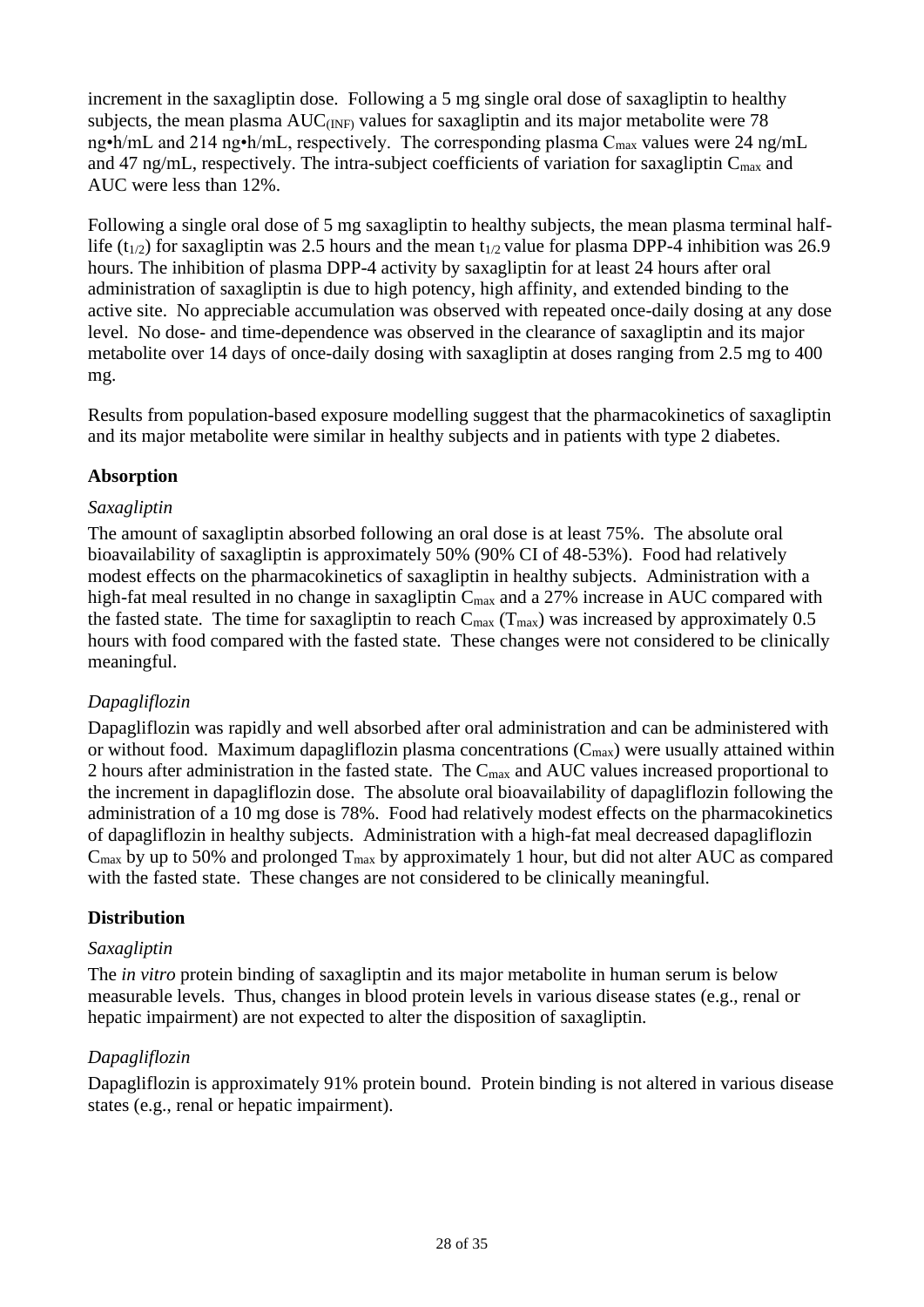increment in the saxagliptin dose. Following a 5 mg single oral dose of saxagliptin to healthy subjects, the mean plasma  $AUC_{(INF)}$  values for saxagliptin and its major metabolite were 78 ng•h/mL and 214 ng•h/mL, respectively. The corresponding plasma  $C_{\text{max}}$  values were 24 ng/mL and 47 ng/mL, respectively. The intra-subject coefficients of variation for saxagliptin  $C_{\text{max}}$  and AUC were less than 12%.

Following a single oral dose of 5 mg saxagliptin to healthy subjects, the mean plasma terminal halflife (t<sub>1/2</sub>) for saxagliptin was 2.5 hours and the mean t<sub>1/2</sub> value for plasma DPP-4 inhibition was 26.9 hours. The inhibition of plasma DPP-4 activity by saxagliptin for at least 24 hours after oral administration of saxagliptin is due to high potency, high affinity, and extended binding to the active site. No appreciable accumulation was observed with repeated once-daily dosing at any dose level. No dose- and time-dependence was observed in the clearance of saxagliptin and its major metabolite over 14 days of once-daily dosing with saxagliptin at doses ranging from 2.5 mg to 400 mg.

Results from population-based exposure modelling suggest that the pharmacokinetics of saxagliptin and its major metabolite were similar in healthy subjects and in patients with type 2 diabetes.

## **Absorption**

#### *Saxagliptin*

The amount of saxagliptin absorbed following an oral dose is at least 75%. The absolute oral bioavailability of saxagliptin is approximately 50% (90% CI of 48-53%). Food had relatively modest effects on the pharmacokinetics of saxagliptin in healthy subjects. Administration with a high-fat meal resulted in no change in saxagliptin  $C_{\text{max}}$  and a 27% increase in AUC compared with the fasted state. The time for saxagliptin to reach  $C_{\text{max}}$  (T<sub>max</sub>) was increased by approximately 0.5 hours with food compared with the fasted state. These changes were not considered to be clinically meaningful.

## *Dapagliflozin*

Dapagliflozin was rapidly and well absorbed after oral administration and can be administered with or without food. Maximum dapagliflozin plasma concentrations  $(C_{max})$  were usually attained within 2 hours after administration in the fasted state. The C<sub>max</sub> and AUC values increased proportional to the increment in dapagliflozin dose. The absolute oral bioavailability of dapagliflozin following the administration of a 10 mg dose is 78%. Food had relatively modest effects on the pharmacokinetics of dapagliflozin in healthy subjects. Administration with a high-fat meal decreased dapagliflozin  $C_{\text{max}}$  by up to 50% and prolonged  $T_{\text{max}}$  by approximately 1 hour, but did not alter AUC as compared with the fasted state. These changes are not considered to be clinically meaningful.

#### **Distribution**

#### *Saxagliptin*

The *in vitro* protein binding of saxagliptin and its major metabolite in human serum is below measurable levels. Thus, changes in blood protein levels in various disease states (e.g., renal or hepatic impairment) are not expected to alter the disposition of saxagliptin.

## *Dapagliflozin*

Dapagliflozin is approximately 91% protein bound. Protein binding is not altered in various disease states (e.g., renal or hepatic impairment).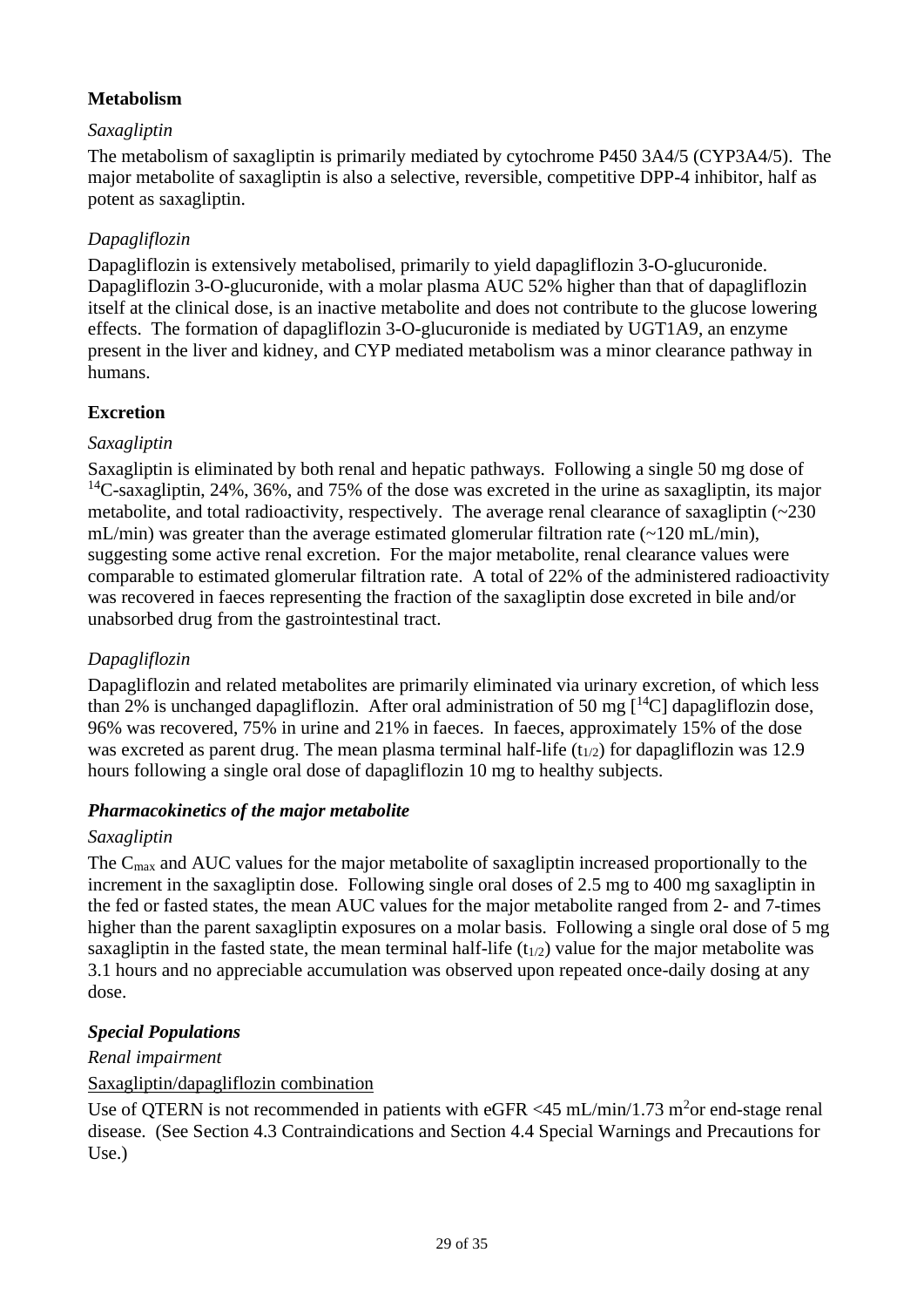## **Metabolism**

## *Saxagliptin*

The metabolism of saxagliptin is primarily mediated by cytochrome P450 3A4/5 (CYP3A4/5). The major metabolite of saxagliptin is also a selective, reversible, competitive DPP-4 inhibitor, half as potent as saxagliptin.

# *Dapagliflozin*

Dapagliflozin is extensively metabolised, primarily to yield dapagliflozin 3-O-glucuronide. Dapagliflozin 3-O-glucuronide, with a molar plasma AUC 52% higher than that of dapagliflozin itself at the clinical dose, is an inactive metabolite and does not contribute to the glucose lowering effects. The formation of dapagliflozin 3-O-glucuronide is mediated by UGT1A9, an enzyme present in the liver and kidney, and CYP mediated metabolism was a minor clearance pathway in humans.

# **Excretion**

## *Saxagliptin*

Saxagliptin is eliminated by both renal and hepatic pathways. Following a single 50 mg dose of <sup>14</sup>C-saxagliptin, 24%, 36%, and 75% of the dose was excreted in the urine as saxagliptin, its major metabolite, and total radioactivity, respectively. The average renal clearance of saxagliptin (~230 mL/min) was greater than the average estimated glomerular filtration rate  $(-120 \text{ mL/min})$ , suggesting some active renal excretion. For the major metabolite, renal clearance values were comparable to estimated glomerular filtration rate. A total of 22% of the administered radioactivity was recovered in faeces representing the fraction of the saxagliptin dose excreted in bile and/or unabsorbed drug from the gastrointestinal tract.

# *Dapagliflozin*

Dapagliflozin and related metabolites are primarily eliminated via urinary excretion, of which less than 2% is unchanged dapagliflozin. After oral administration of 50 mg  $\lceil {^{14}C} \rceil$  dapagliflozin dose, 96% was recovered, 75% in urine and 21% in faeces. In faeces, approximately 15% of the dose was excreted as parent drug. The mean plasma terminal half-life  $(t_{1/2})$  for dapagliflozin was 12.9 hours following a single oral dose of dapagliflozin 10 mg to healthy subjects.

## *Pharmacokinetics of the major metabolite*

## *Saxagliptin*

The Cmax and AUC values for the major metabolite of saxagliptin increased proportionally to the increment in the saxagliptin dose. Following single oral doses of 2.5 mg to 400 mg saxagliptin in the fed or fasted states, the mean AUC values for the major metabolite ranged from 2- and 7-times higher than the parent saxagliptin exposures on a molar basis. Following a single oral dose of 5 mg saxagliptin in the fasted state, the mean terminal half-life  $(t_{1/2})$  value for the major metabolite was 3.1 hours and no appreciable accumulation was observed upon repeated once-daily dosing at any dose.

# *Special Populations*

*Renal impairment* 

## Saxagliptin/dapagliflozin combination

Use of QTERN is not recommended in patients with eGFR <45 mL/min/1.73 m<sup>2</sup>or end-stage renal disease. (See Section 4.3 Contraindications and Section 4.4 Special Warnings and Precautions for Use.)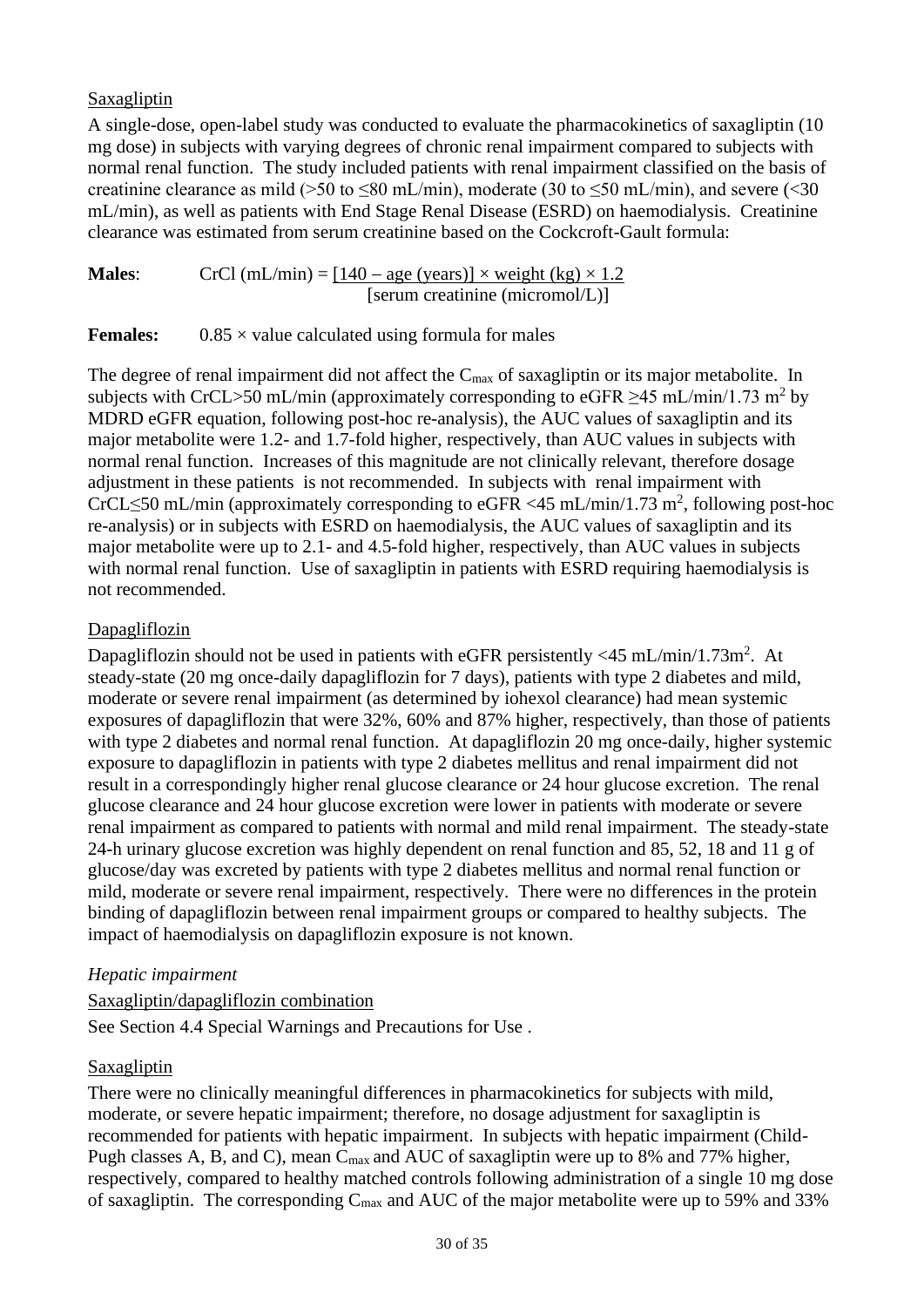#### Saxagliptin

A single-dose, open-label study was conducted to evaluate the pharmacokinetics of saxagliptin (10 mg dose) in subjects with varying degrees of chronic renal impairment compared to subjects with normal renal function. The study included patients with renal impairment classified on the basis of creatinine clearance as mild (>50 to  $\leq 80$  mL/min), moderate (30 to  $\leq 50$  mL/min), and severe (<30 mL/min), as well as patients with End Stage Renal Disease (ESRD) on haemodialysis. Creatinine clearance was estimated from serum creatinine based on the Cockcroft-Gault formula:

**Males:** CrCl (mL/min) =  $[140 - \text{age (years)}] \times \text{weight (kg)} \times 1.2$ [serum creatinine (micromol/L)]

**Females:**  $0.85 \times$  value calculated using formula for males

The degree of renal impairment did not affect the C<sub>max</sub> of saxagliptin or its major metabolite. In subjects with CrCL>50 mL/min (approximately corresponding to eGFR  $\geq$ 45 mL/min/1.73 m<sup>2</sup> by MDRD eGFR equation, following post-hoc re-analysis), the AUC values of saxagliptin and its major metabolite were 1.2- and 1.7-fold higher, respectively, than AUC values in subjects with normal renal function. Increases of this magnitude are not clinically relevant, therefore dosage adjustment in these patients is not recommended. In subjects with renal impairment with CrCL≤50 mL/min (approximately corresponding to eGFR <45 mL/min/1.73 m<sup>2</sup>, following post-hoc re-analysis) or in subjects with ESRD on haemodialysis, the AUC values of saxagliptin and its major metabolite were up to 2.1- and 4.5-fold higher, respectively, than AUC values in subjects with normal renal function. Use of saxagliptin in patients with ESRD requiring haemodialysis is not recommended.

## Dapagliflozin

Dapagliflozin should not be used in patients with eGFR persistently  $\langle 45 \text{ mL/min} / 1.73 \text{m}^2$ . At steady-state (20 mg once-daily dapagliflozin for 7 days), patients with type 2 diabetes and mild, moderate or severe renal impairment (as determined by iohexol clearance) had mean systemic exposures of dapagliflozin that were 32%, 60% and 87% higher, respectively, than those of patients with type 2 diabetes and normal renal function. At dapagliflozin 20 mg once-daily, higher systemic exposure to dapagliflozin in patients with type 2 diabetes mellitus and renal impairment did not result in a correspondingly higher renal glucose clearance or 24 hour glucose excretion. The renal glucose clearance and 24 hour glucose excretion were lower in patients with moderate or severe renal impairment as compared to patients with normal and mild renal impairment. The steady-state 24-h urinary glucose excretion was highly dependent on renal function and 85, 52, 18 and 11 g of glucose/day was excreted by patients with type 2 diabetes mellitus and normal renal function or mild, moderate or severe renal impairment, respectively. There were no differences in the protein binding of dapagliflozin between renal impairment groups or compared to healthy subjects. The impact of haemodialysis on dapagliflozin exposure is not known.

#### *Hepatic impairment*

## Saxagliptin/dapagliflozin combination

See Section 4.4 Special Warnings and Precautions for Use .

## Saxagliptin

There were no clinically meaningful differences in pharmacokinetics for subjects with mild, moderate, or severe hepatic impairment; therefore, no dosage adjustment for saxagliptin is recommended for patients with hepatic impairment. In subjects with hepatic impairment (Child-Pugh classes A, B, and C), mean C<sub>max</sub> and AUC of saxagliptin were up to 8% and 77% higher, respectively, compared to healthy matched controls following administration of a single 10 mg dose of saxagliptin. The corresponding  $C_{\text{max}}$  and AUC of the major metabolite were up to 59% and 33%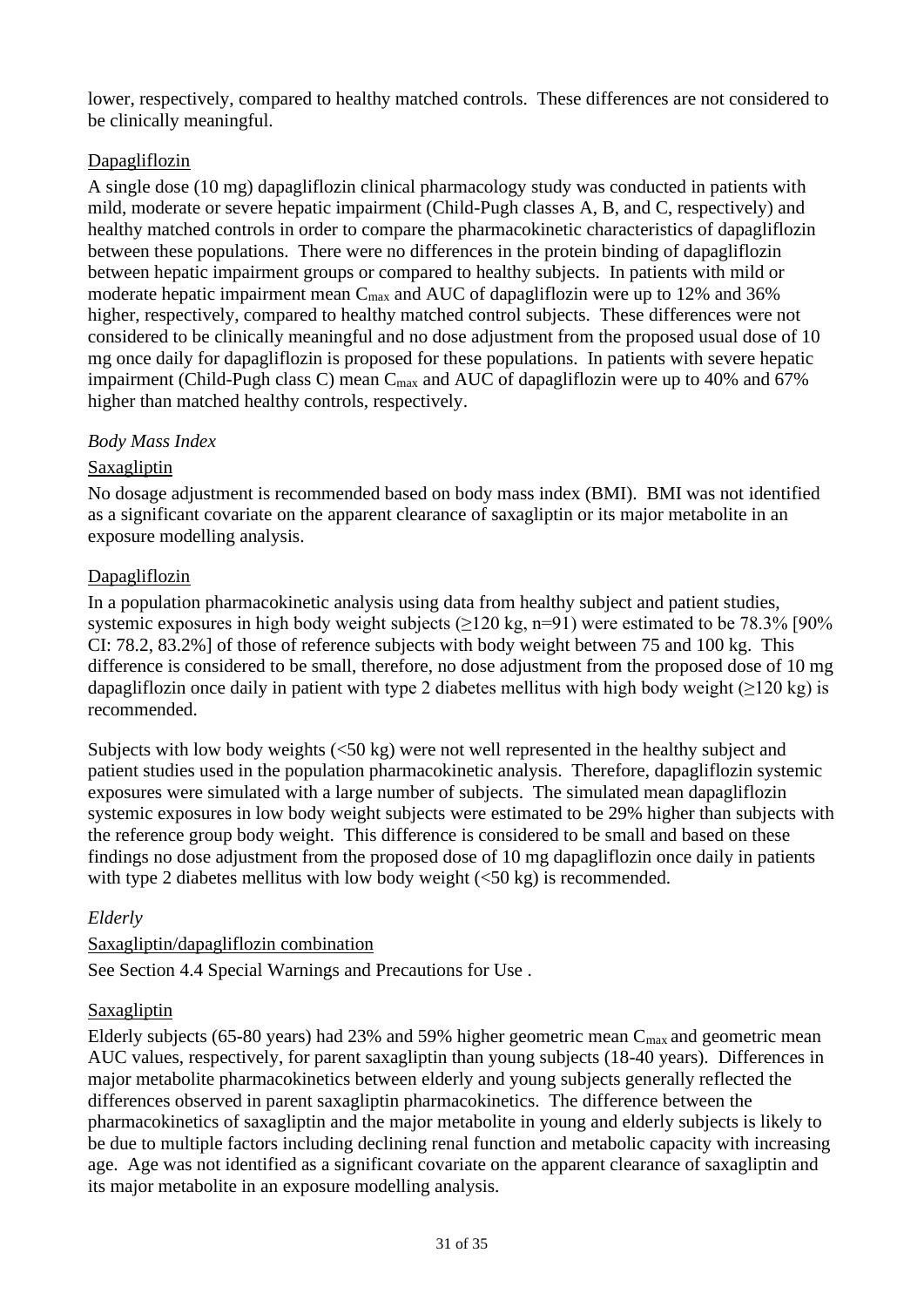lower, respectively, compared to healthy matched controls. These differences are not considered to be clinically meaningful.

## Dapagliflozin

A single dose (10 mg) dapagliflozin clinical pharmacology study was conducted in patients with mild, moderate or severe hepatic impairment (Child-Pugh classes A, B, and C, respectively) and healthy matched controls in order to compare the pharmacokinetic characteristics of dapagliflozin between these populations. There were no differences in the protein binding of dapagliflozin between hepatic impairment groups or compared to healthy subjects. In patients with mild or moderate hepatic impairment mean  $C_{\text{max}}$  and AUC of dapagliflozin were up to 12% and 36% higher, respectively, compared to healthy matched control subjects. These differences were not considered to be clinically meaningful and no dose adjustment from the proposed usual dose of 10 mg once daily for dapagliflozin is proposed for these populations. In patients with severe hepatic impairment (Child-Pugh class C) mean  $C_{\text{max}}$  and AUC of dapagliflozin were up to 40% and 67% higher than matched healthy controls, respectively.

## *Body Mass Index*

# Saxagliptin

No dosage adjustment is recommended based on body mass index (BMI). BMI was not identified as a significant covariate on the apparent clearance of saxagliptin or its major metabolite in an exposure modelling analysis.

# Dapagliflozin

In a population pharmacokinetic analysis using data from healthy subject and patient studies, systemic exposures in high body weight subjects  $(>120 \text{ kg}, n=91)$  were estimated to be 78.3% [90%] CI: 78.2, 83.2%] of those of reference subjects with body weight between 75 and 100 kg. This difference is considered to be small, therefore, no dose adjustment from the proposed dose of 10 mg dapagliflozin once daily in patient with type 2 diabetes mellitus with high body weight  $(>120 \text{ kg})$  is recommended.

Subjects with low body weights (<50 kg) were not well represented in the healthy subject and patient studies used in the population pharmacokinetic analysis. Therefore, dapagliflozin systemic exposures were simulated with a large number of subjects. The simulated mean dapagliflozin systemic exposures in low body weight subjects were estimated to be 29% higher than subjects with the reference group body weight. This difference is considered to be small and based on these findings no dose adjustment from the proposed dose of 10 mg dapagliflozin once daily in patients with type 2 diabetes mellitus with low body weight  $(<50 \text{ kg})$  is recommended.

# *Elderly*

## Saxagliptin/dapagliflozin combination

See Section 4.4 Special Warnings and Precautions for Use .

## Saxagliptin

Elderly subjects (65-80 years) had 23% and 59% higher geometric mean  $C_{\text{max}}$  and geometric mean AUC values, respectively, for parent saxagliptin than young subjects (18-40 years). Differences in major metabolite pharmacokinetics between elderly and young subjects generally reflected the differences observed in parent saxagliptin pharmacokinetics. The difference between the pharmacokinetics of saxagliptin and the major metabolite in young and elderly subjects is likely to be due to multiple factors including declining renal function and metabolic capacity with increasing age. Age was not identified as a significant covariate on the apparent clearance of saxagliptin and its major metabolite in an exposure modelling analysis.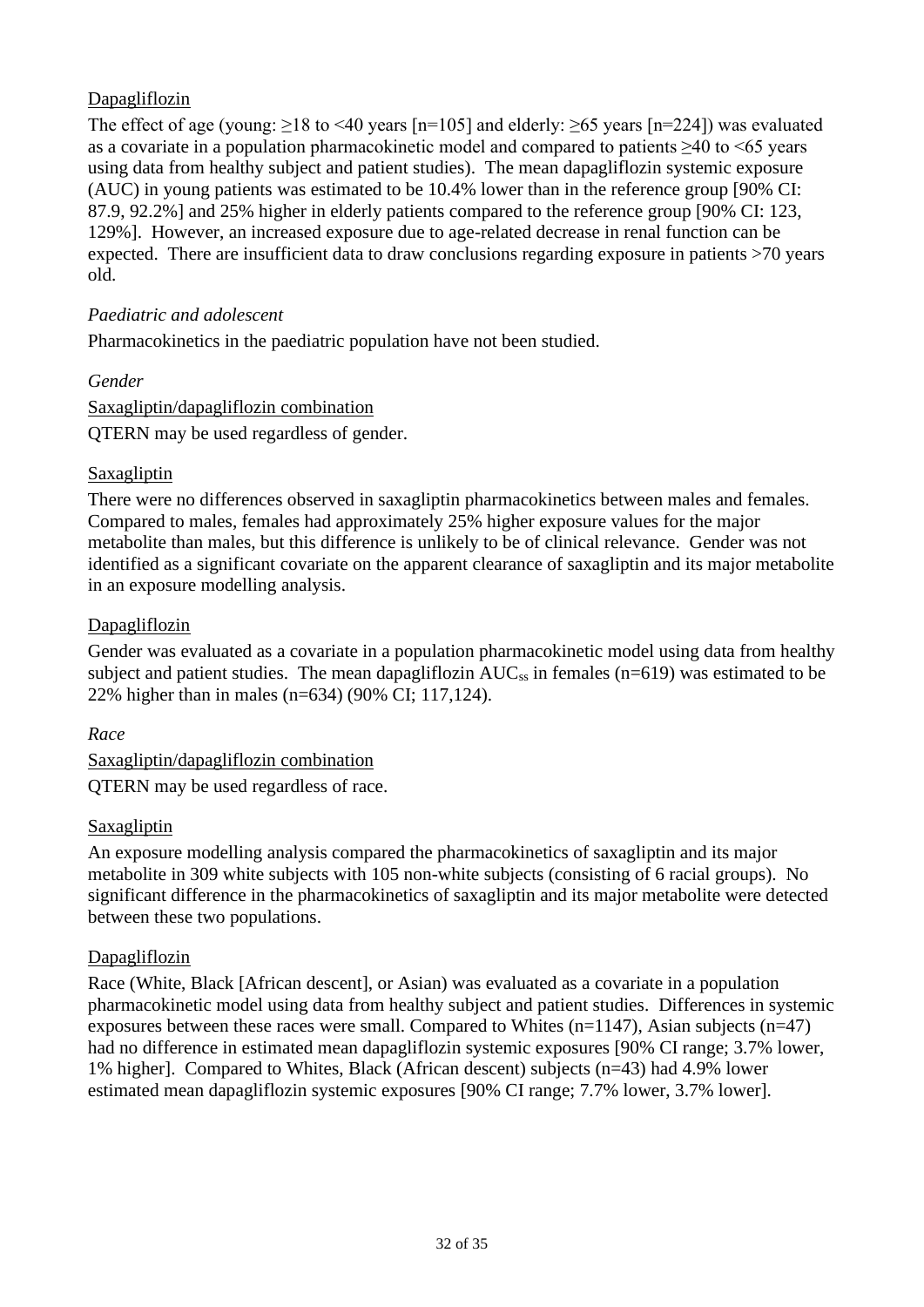## Dapagliflozin

The effect of age (young:  $>18$  to <40 years [n=105] and elderly:  $>65$  years [n=224]) was evaluated as a covariate in a population pharmacokinetic model and compared to patients ≥40 to <65 years using data from healthy subject and patient studies). The mean dapagliflozin systemic exposure (AUC) in young patients was estimated to be 10.4% lower than in the reference group [90% CI: 87.9, 92.2%] and 25% higher in elderly patients compared to the reference group [90% CI: 123, 129%]. However, an increased exposure due to age-related decrease in renal function can be expected. There are insufficient data to draw conclusions regarding exposure in patients >70 years old.

### *Paediatric and adolescent*

Pharmacokinetics in the paediatric population have not been studied.

#### *Gender*

Saxagliptin/dapagliflozin combination QTERN may be used regardless of gender.

#### Saxagliptin

There were no differences observed in saxagliptin pharmacokinetics between males and females. Compared to males, females had approximately 25% higher exposure values for the major metabolite than males, but this difference is unlikely to be of clinical relevance. Gender was not identified as a significant covariate on the apparent clearance of saxagliptin and its major metabolite in an exposure modelling analysis.

#### Dapagliflozin

Gender was evaluated as a covariate in a population pharmacokinetic model using data from healthy subject and patient studies. The mean dapagliflozin  $AUC_{ss}$  in females (n=619) was estimated to be 22% higher than in males (n=634) (90% CI; 117,124).

#### *Race*

Saxagliptin/dapagliflozin combination QTERN may be used regardless of race.

#### **Saxagliptin**

An exposure modelling analysis compared the pharmacokinetics of saxagliptin and its major metabolite in 309 white subjects with 105 non-white subjects (consisting of 6 racial groups). No significant difference in the pharmacokinetics of saxagliptin and its major metabolite were detected between these two populations.

#### **Dapagliflozin**

Race (White, Black [African descent], or Asian) was evaluated as a covariate in a population pharmacokinetic model using data from healthy subject and patient studies. Differences in systemic exposures between these races were small. Compared to Whites  $(n=1147)$ , Asian subjects  $(n=47)$ had no difference in estimated mean dapagliflozin systemic exposures [90% CI range; 3.7% lower, 1% higher]. Compared to Whites, Black (African descent) subjects (n=43) had 4.9% lower estimated mean dapagliflozin systemic exposures [90% CI range; 7.7% lower, 3.7% lower].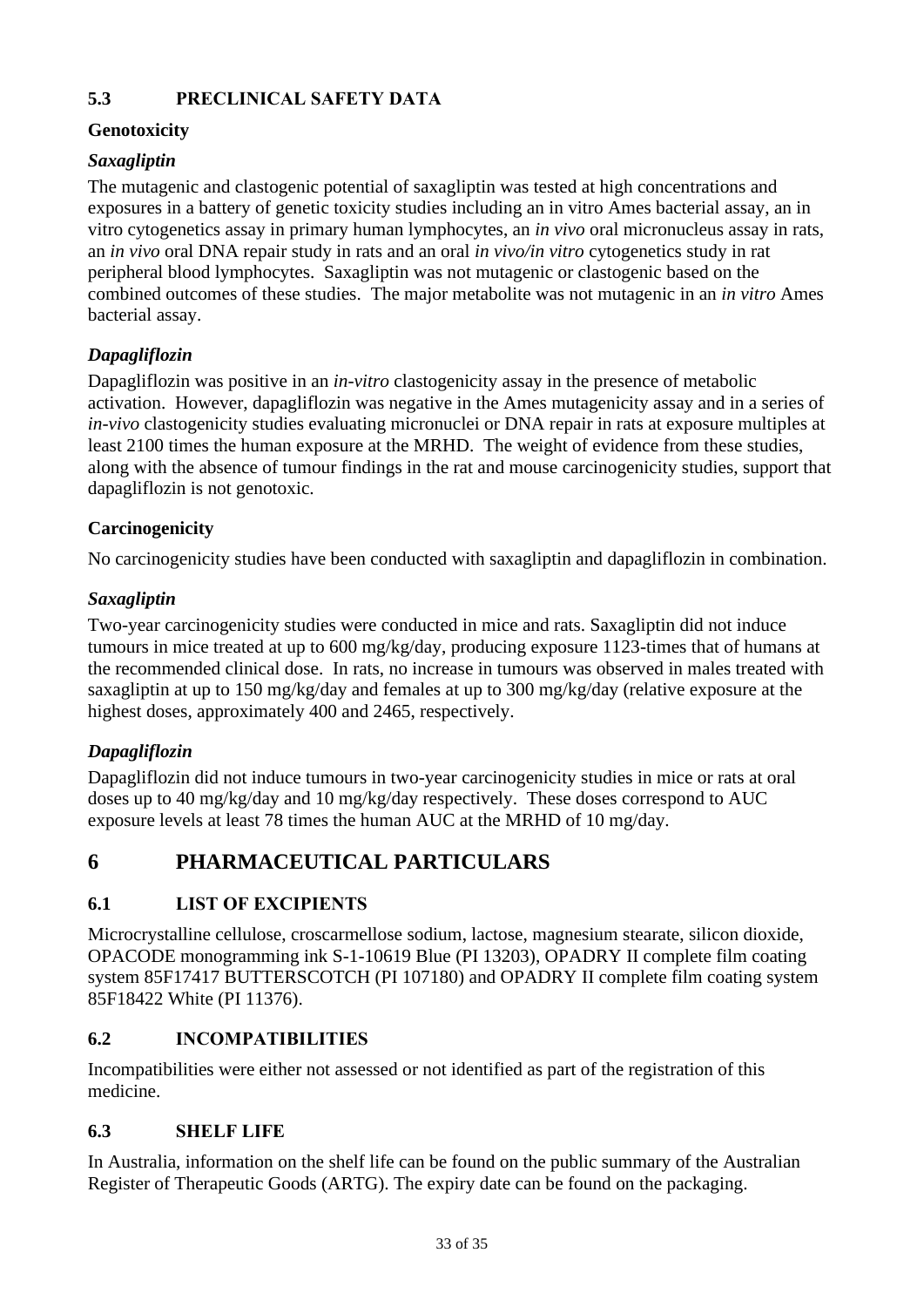# **5.3 PRECLINICAL SAFETY DATA**

## **Genotoxicity**

# *Saxagliptin*

The mutagenic and clastogenic potential of saxagliptin was tested at high concentrations and exposures in a battery of genetic toxicity studies including an in vitro Ames bacterial assay, an in vitro cytogenetics assay in primary human lymphocytes, an *in vivo* oral micronucleus assay in rats, an *in vivo* oral DNA repair study in rats and an oral *in vivo/in vitro* cytogenetics study in rat peripheral blood lymphocytes. Saxagliptin was not mutagenic or clastogenic based on the combined outcomes of these studies. The major metabolite was not mutagenic in an *in vitro* Ames bacterial assay.

# *Dapagliflozin*

Dapagliflozin was positive in an *in-vitro* clastogenicity assay in the presence of metabolic activation. However, dapagliflozin was negative in the Ames mutagenicity assay and in a series of *in-vivo* clastogenicity studies evaluating micronuclei or DNA repair in rats at exposure multiples at least 2100 times the human exposure at the MRHD. The weight of evidence from these studies, along with the absence of tumour findings in the rat and mouse carcinogenicity studies, support that dapagliflozin is not genotoxic.

## **Carcinogenicity**

No carcinogenicity studies have been conducted with saxagliptin and dapagliflozin in combination.

## *Saxagliptin*

Two-year carcinogenicity studies were conducted in mice and rats. Saxagliptin did not induce tumours in mice treated at up to 600 mg/kg/day, producing exposure 1123-times that of humans at the recommended clinical dose. In rats, no increase in tumours was observed in males treated with saxagliptin at up to 150 mg/kg/day and females at up to 300 mg/kg/day (relative exposure at the highest doses, approximately 400 and 2465, respectively.

## *Dapagliflozin*

Dapagliflozin did not induce tumours in two-year carcinogenicity studies in mice or rats at oral doses up to 40 mg/kg/day and 10 mg/kg/day respectively. These doses correspond to AUC exposure levels at least 78 times the human AUC at the MRHD of 10 mg/day.

# **6 PHARMACEUTICAL PARTICULARS**

## **6.1 LIST OF EXCIPIENTS**

Microcrystalline cellulose, croscarmellose sodium, lactose, magnesium stearate, silicon dioxide, OPACODE monogramming ink S-1-10619 Blue (PI 13203), OPADRY II complete film coating system 85F17417 BUTTERSCOTCH (PI 107180) and OPADRY II complete film coating system 85F18422 White (PI 11376).

## **6.2 INCOMPATIBILITIES**

Incompatibilities were either not assessed or not identified as part of the registration of this medicine.

## **6.3 SHELF LIFE**

In Australia, information on the shelf life can be found on the public summary of the Australian Register of Therapeutic Goods (ARTG). The expiry date can be found on the packaging.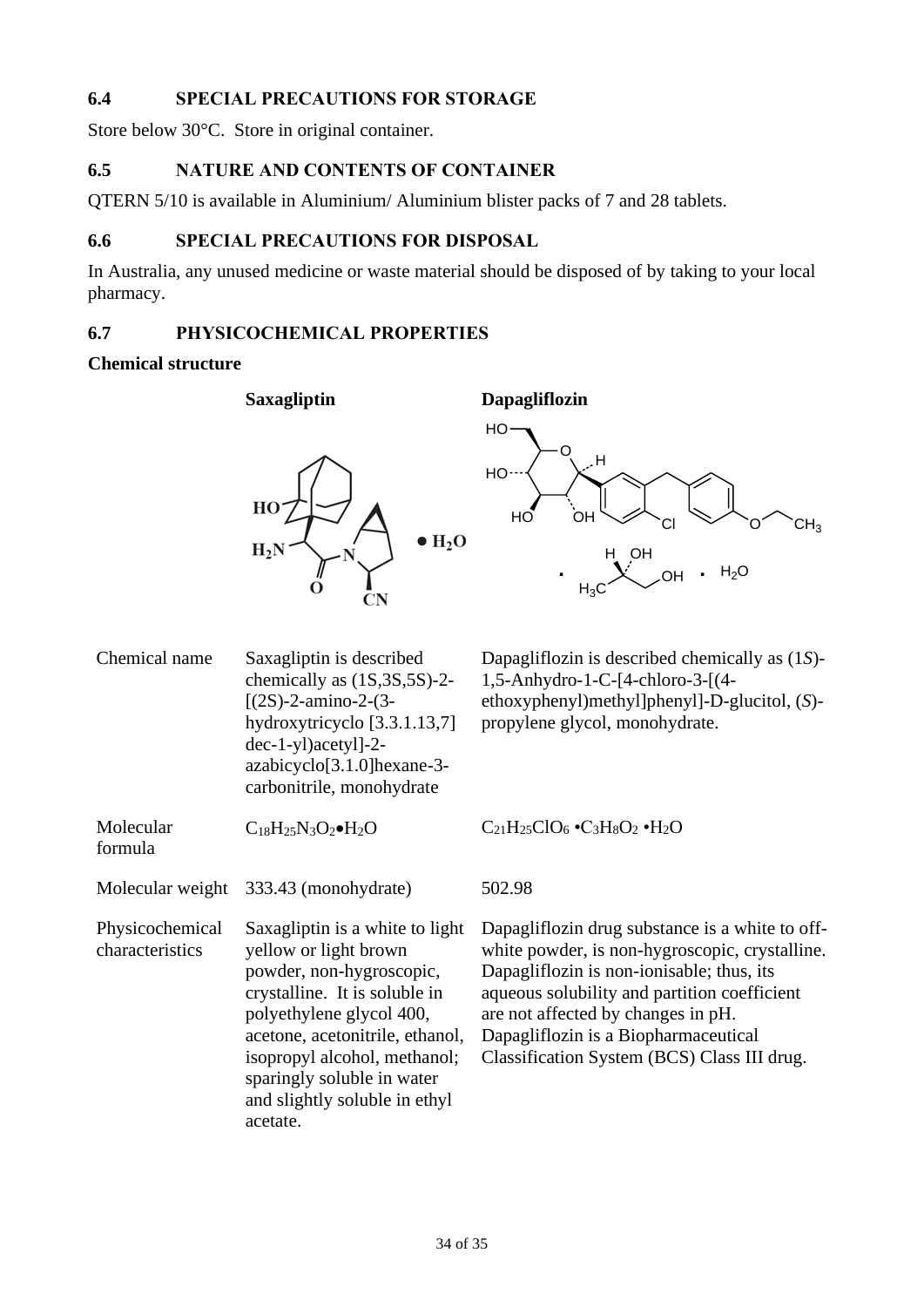## **6.4 SPECIAL PRECAUTIONS FOR STORAGE**

Store below 30°C. Store in original container.

## **6.5 NATURE AND CONTENTS OF CONTAINER**

QTERN 5/10 is available in Aluminium/ Aluminium blister packs of 7 and 28 tablets.

## **6.6 SPECIAL PRECAUTIONS FOR DISPOSAL**

In Australia, any unused medicine or waste material should be disposed of by taking to your local pharmacy.

## **6.7 PHYSICOCHEMICAL PROPERTIES**

#### **Chemical structure**

Molecular formula

**Saxagliptin Dapagliflozin**

HO<sup></sup>

 $HO$ 

HO

O

H

.<br>ОН

 $_{\rm H_3C}$ 

H OH



Dapagliflozin is described chemically as (1*S*)- 1,5-Anhydro-1-C-[4-chloro-3-[(4 ethoxyphenyl)methyl]phenyl]-D-glucitol, (*S*) propylene glycol, monohydrate.

OH

**. .** H2O

 $CH<sub>3</sub>$ 

hydroxytricyclo [3.3.1.13,7] dec-1-yl)acetyl]-2 azabicyclo[3.1.0]hexane-3 carbonitrile, monohydrate

chemically as (1S,3S,5S)-2-

 $[(2S)-2-amin-2-(3-$ 

 $C_{18}H_{25}N_3O_2\bullet H_2O$   $C_{21}H_{25}ClO_6\bullet C_3H_8O_2\bullet H_2O$ 

Molecular weight 333.43 (monohydrate) 502.98

Chemical name Saxagliptin is described

Physicochemical characteristics Saxagliptin is a white to light yellow or light brown powder, non-hygroscopic, crystalline. It is soluble in polyethylene glycol 400, acetone, acetonitrile, ethanol, isopropyl alcohol, methanol; sparingly soluble in water and slightly soluble in ethyl acetate.

Dapagliflozin drug substance is a white to offwhite powder, is non-hygroscopic, crystalline. Dapagliflozin is non-ionisable; thus, its aqueous solubility and partition coefficient are not affected by changes in pH. Dapagliflozin is a Biopharmaceutical Classification System (BCS) Class III drug.